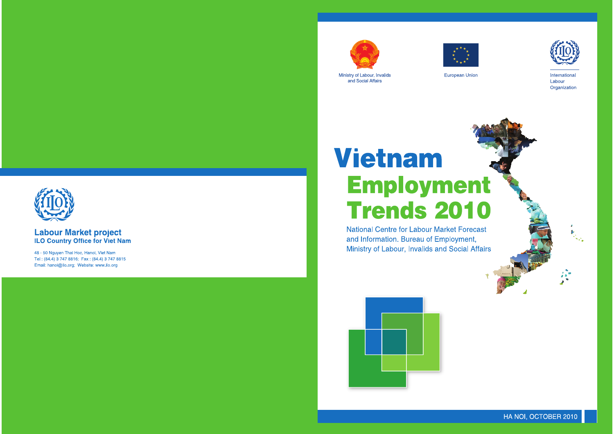

Ministry of Labour, Invalids and Social Affairs



# Vietnam **Employment Trends 2010**

**National Centre for Labour Market Forecast** and Information. Bureau of Employment, Ministry of Labour, Invalids and Social Affairs





# **Labour Market project ILO Country Office for Viet Nam**

48 - 50 Nguyen Thai Hoc, Hanoi, Viet Nam Tel: (84.4) 3 747 8816; Fax: (84.4) 3 747 8815 Email: hanoi@ilo.org; Website: www.ilo.org



European Union



International Labour Organization

HA NOI, OCTOBER 2010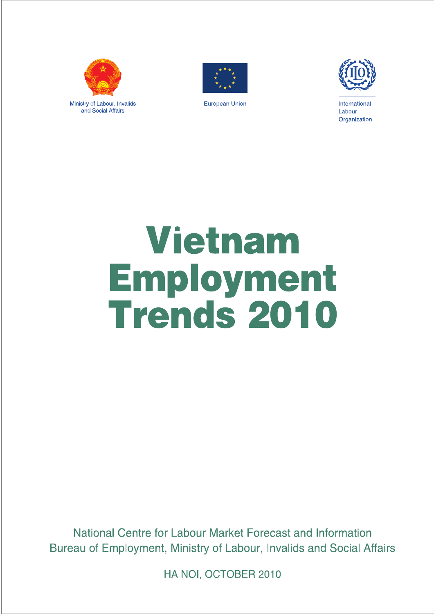

Ministry of Labour, Invalids and Social Affairs



**European Union** 



International Labour Organization

# **Vietnam** Employment<br>Trends 2010

National Centre for Labour Market Forecast and Information Bureau of Employment, Ministry of Labour, Invalids and Social Affairs

HA NOI, OCTOBER 2010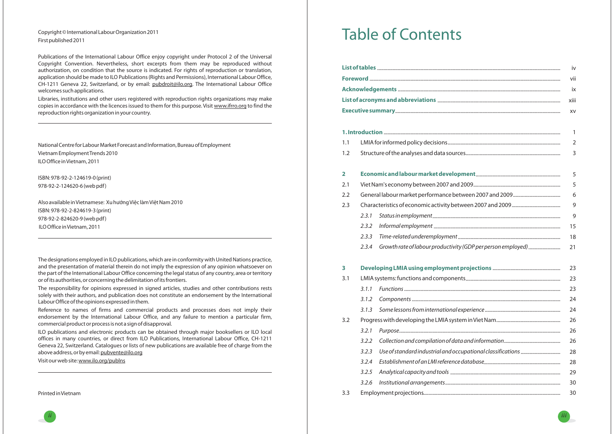*ii*

# Copyright© International LabourOrganization 2011 First published 2011

Publications of the International Labour Office enjoy copyright under Protocol 2 of the Universal Copyright Convention. Nevertheless, short excerpts from them may be reproduced without authorization, on condition that the source is indicated. For rights of reproduction or translation, application should be made to ILO Publications (Rights and Permissions), International Labour Office, CH-1211 Geneva 22, Switzerland, or by email: <u>pubdroit@ilo.org</u>. The International Labour Office welcomes such applications.

National Centre for Labour Market Forecast and Information, Bureau of Employment Vietnam EmploymentTrends 2010 ILOOffice inVietnam, 2011

Libraries, institutions and other users registered with reproduction rights organizations may make copies in accordance with the licences issued to them for this purpose. Visit <u>www.ifrro.org</u> to find the reproduction rights organization in your country.

ISBN: 978-92-2-124619-0(print) 978-92-2-124620-6(web pdf)

ILO publications and electronic products can be obtained through major booksellers or ILO local offices in many countries, or direct from ILO Publications, International Labour Office, CH-1211 Geneva 22, Switzerland. Catalogues or lists of new publications are available free of charge from the above address, or by email: <u>pubvente@ilo.org</u>

Visit our web site: <u>www.ilo.org/publns</u>

Also available inVietnamese: Xu hướngViệc làmViệtNam 2010 ISBN: 978-92-2-824619-3(print) 978-92-2-824620-9(web pdf) ILOOffice inVietnam, 2011

The designations employed in ILO publications, which are in conformity with United Nations practice, and the presentation of material therein do not imply the expression of any opinion whatsoever on the part of the International Labour Office concerning the legal status of any country, area or territory or of its authorities, or concerning the delimitation of itsfrontiers.

The responsibility for opinions expressed in signed articles, studies and other contributions rests solely with their authors, and publication does not constitute an endorsement by the International LabourOffice of the opinions expressed in them.

Reference to names of firms and commercial products and processes does not imply their endorsement by the International Labour Office, and any failure to mention <sup>a</sup> particular firm, commercial product or process is not <sup>a</sup> sign of disapproval.

Printed inVietnam

- -
	-
	-
- -
	-
	-
	-
	-
	-
- 3.3 Employment projections

# Table of Contents

|                         |       |                                                              | iv                               |
|-------------------------|-------|--------------------------------------------------------------|----------------------------------|
|                         |       |                                                              | vii                              |
|                         |       |                                                              | ix                               |
|                         |       |                                                              | xiii                             |
|                         |       |                                                              | XV                               |
|                         |       |                                                              |                                  |
|                         |       |                                                              | $\mathbf{1}$                     |
| 1.1<br>1.2              |       |                                                              | $\overline{2}$<br>$\overline{3}$ |
|                         |       |                                                              |                                  |
| $\overline{\mathbf{2}}$ |       |                                                              | 5                                |
| 2.1                     |       |                                                              | 5                                |
| 2.2                     |       |                                                              | 6                                |
| 2.3                     |       |                                                              | 9                                |
|                         | 2.3.1 |                                                              | 9                                |
|                         | 2.3.2 |                                                              | 15                               |
|                         | 2.3.3 |                                                              | 18                               |
|                         | 2.3.4 | Growth rate of labour productivity (GDP per person employed) | 21                               |
| 3                       |       |                                                              | 23                               |
| 3.1                     |       |                                                              | 23                               |
|                         | 3.1.1 |                                                              | 23                               |
|                         | 3.1.2 |                                                              | 24                               |
|                         | 3.1.3 |                                                              | 24                               |
| 3.2                     |       |                                                              | 26                               |
|                         | 3.2.1 |                                                              | 26                               |
|                         | 3.2.2 |                                                              | 26                               |
|                         | 3.2.3 |                                                              | 28                               |
|                         | 3.2.4 |                                                              | 28                               |
|                         | 3.2.5 |                                                              | 29                               |
|                         | 3.2.6 |                                                              | 30                               |
| 3.3                     |       |                                                              | 30                               |

- 
- 

- 
- 
- -
	-
	-
	-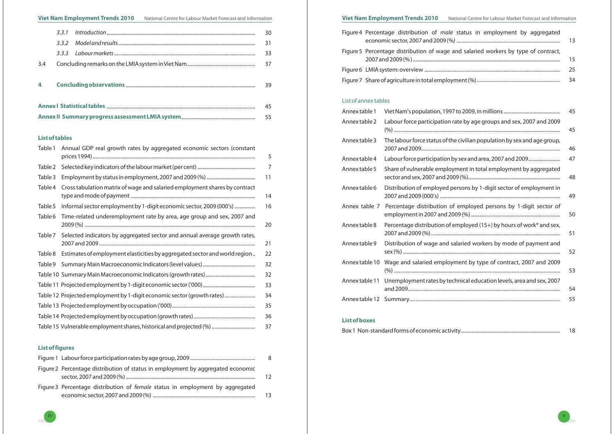*iv*

#### **List of tables**

# **List of figures**

|  | Figure 4 Percentage distribution of <i>male</i> status in employment by aggregated |
|--|------------------------------------------------------------------------------------|
|  | Figure 5 Percentage distribution of wage and salaried workers by type of contract, |
|  |                                                                                    |
|  |                                                                                    |

| Annex table 1  |                                                                          |
|----------------|--------------------------------------------------------------------------|
| Annex table 2  | Labour force participation rate by age groups and sex, 2007 and 2009     |
| Annex table 3  | The labour force status of the civilian population by sex and age group, |
| Annex table 4  | Labour force participation by sex and area, 2007 and 2009                |
| Annex table 5  | Share of vulnerable employment in total employment by aggregated         |
| Annex table 6  | Distribution of employed persons by 1-digit sector of employment in      |
| Annex table 7  | Percentage distribution of employed persons by 1-digit sector of         |
| Annex table 8  | Percentage distribution of employed (15+) by hours of work* and sex,     |
| Annex table 9  | Distribution of wage and salaried workers by mode of payment and         |
| Annex table 10 | Wage and salaried employment by type of contract, 2007 and 2009          |
| Annex table 11 | Unemployment rates by technical education levels, area and sex, 2007     |
| Annex table 12 |                                                                          |

#### List of annex tables

#### **List of boxes**

Box 1 Non-standard forms of economic activity...

|                                                                                      | 8 |
|--------------------------------------------------------------------------------------|---|
| Figure 2 Percentage distribution of status in employment by aggregated economic      |   |
| Figure 3 Percentage distribution of <i>female</i> status in employment by aggregated |   |

| Table 1 | Annual GDP real growth rates by aggregated economic sectors (constant      | 5  |
|---------|----------------------------------------------------------------------------|----|
|         |                                                                            |    |
| Table 2 |                                                                            | 7  |
| Table 3 |                                                                            | 11 |
| Table 4 | Cross tabulation matrix of wage and salaried employment shares by contract | 14 |
| Table 5 | Informal sector employment by 1-digit economic sector, 2009 (000's)        | 16 |
| Table 6 | Time-related underemployment rate by area, age group and sex, 2007 and     | 20 |
| Table 7 | Selected indicators by aggregated sector and annual average growth rates,  | 21 |
| Table 8 | Estimates of employment elasticities by aggregated sector and world region | 22 |
| Table 9 |                                                                            | 32 |
|         |                                                                            | 32 |
|         |                                                                            | 33 |
|         | Table 12 Projected employment by 1-digit economic sector (growth rates)    | 34 |
|         |                                                                            | 35 |
|         |                                                                            | 36 |
|         | Table 15 Vulnerable employment shares, historical and projected (%)        | 37 |

# Viet Nam Employment Trends 2010 National Centre for Labour Market Forecast and Information Viet Nam Employment Trends 2010 National Centre for Labour Market Forecast and Information

|     |  |  | 30 |  |  |  |
|-----|--|--|----|--|--|--|
|     |  |  | 31 |  |  |  |
|     |  |  | 33 |  |  |  |
| 3.4 |  |  | 37 |  |  |  |
|     |  |  |    |  |  |  |
| 4   |  |  | 39 |  |  |  |
|     |  |  |    |  |  |  |
|     |  |  |    |  |  |  |

**Annex II Summary progress assessment LMIA system** .......................................................... 55

| oution of <i>male</i> status in employment by aggregated | 13 |
|----------------------------------------------------------|----|
| ution of wage and salaried workers by type of contract,  | 15 |
|                                                          | 25 |
|                                                          | 34 |

|                                                                      | 45 |
|----------------------------------------------------------------------|----|
| our force participation rate by age groups and sex, 2007 and 2009    | 45 |
| labour force status of the civilian population by sex and age group, | 46 |
| our force participation by sex and area, 2007 and 2009               | 47 |
| re of vulnerable employment in total employment by aggregated        | 48 |
| ribution of employed persons by 1-digit sector of employment in      | 49 |
| centage distribution of employed persons by 1-digit sector of        | 50 |
| centage distribution of employed $(15+)$ by hours of work* and sex,  | 51 |
| ribution of wage and salaried workers by mode of payment and         | 52 |
| je and salaried employment by type of contract, 2007 and 2009        | 53 |
| mployment rates by technical education levels, area and sex, 2007    | 54 |
|                                                                      | 55 |
|                                                                      |    |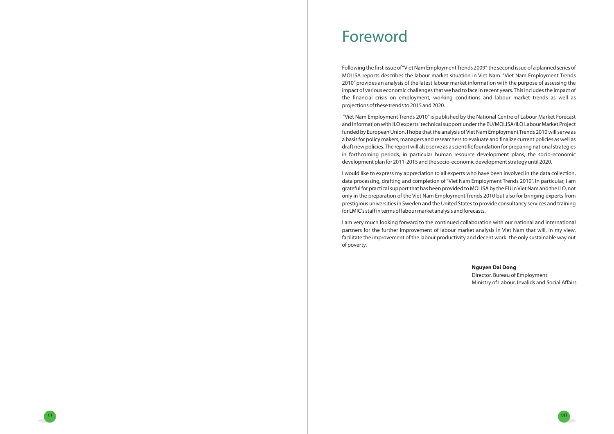*vi*

Following thefirst issue of"Viet Nam EmploymentTrends 2009", the second issue of <sup>a</sup> planned series of MOLISA reports describes the labour market situation in Viet Nam. "Viet Nam Employment Trends 2010" provides an analysis of the latest labour market information with the purpose of assessing the impact of various economic challenges that we had to face in recent years.This includes the impact of the financial crisis on employment, working conditions and labour market trends as well as projections of these trends to 2015 and 2020.

I would like to express my appreciation to all experts who have been involved in the data collection, data processing, drafting and completion of "Viet Nam Employment Trends 2010". In particular, I am grateful for practical support that has been provided to MOLISA by the EU in Viet Nam and the ILO, not only in the preparation of the Viet Nam Employment Trends 2010 but also for bringing experts from prestigious universities in Sweden and the United States to provide consultancy services and training for LMIC's staff in terms of labour market analysis and forecasts.

"Viet Nam Employment Trends 2010" is published by the National Centre of Labour Market Forecast and Information with ILO experts' technical support under the EU/MOLISA/ILO Labour Market Project funded by European Union. I hope that the analysis of Viet Nam Employment Trends 2010 will serve as <sup>a</sup> basis for policy makers, managers and researchers to evaluate and finalize current policies as well as draft new policies.The report will also serve as <sup>a</sup> scientific foundation for preparing national strategies in forthcoming periods, in particular human resource development plans, the socio-economic development planfor 2011-2015 and the socio-economic development strategy until 2020.

I am very much looking forward to the continued collaboration with our national and international partners for the further improvement of labour market analysis in Viet Nam that will, in my view, facilitate the improvement of the labour productivity and decent work the only sustainable way out of poverty.

# Foreword

## **Nguyen Dai Dong**

Director, Bureau of Employment Ministry of Labour, Invalids and Social Affairs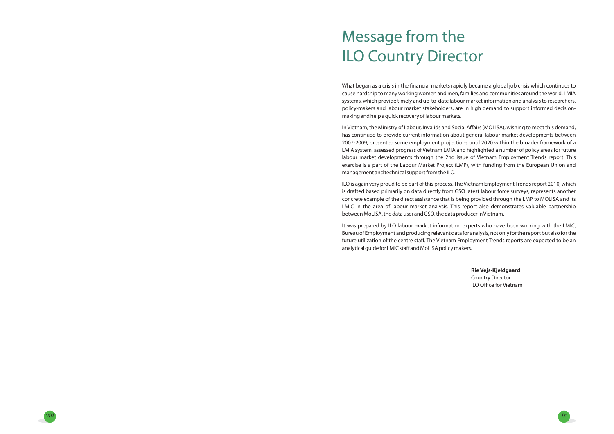In Vietnam, the Ministry of Labour, Invalids and Social Affairs (MOLISA), wishing to meet this demand, has continued to provide current information about general labour market developments between 2007-2009, presented some employment projections until 2020 within the broader framework of <sup>a</sup> LMIA system, assessed progress of Vietnam LMIA and highlighted <sup>a</sup> number of policy areas for future labour market developments through the 2nd issue of Vietnam Employment Trends report. This exercise is <sup>a</sup> part of the Labour Market Project (LMP), with funding from the European Union and management and technical support from the ILO.

What began as <sup>a</sup> crisis in the financial markets rapidly became <sup>a</sup> global job crisis which continues to cause hardship to many working women and men, families and communities around the world. LMIA systems, which provide timely and up-to-date labour market information and analysis to researchers, policy-makers and labour market stakeholders, are in high demand to support informed decisionmaking and help <sup>a</sup> quick recovery of labourmarkets.

ILO is again very proud to be part of this process.The Vietnam EmploymentTrends report 2010, which is drafted based primarily on data directly from GSO latest labour force surveys, represents another concrete example of the direct assistance that is being provided through the LMP to MOLISA and its LMIC in the area of labour market analysis. This report also demonstrates valuable partnership between MoLISA, the data user and GSO, the data producer in Vietnam.

It was prepared by ILO labour market information experts who have been working with the LMIC, Bureau of Employment and producing relevant datafor analysis, not onlyfor the report but alsofor the future utilization of the centre staff. The Vietnam Employment Trends reports are expected to be an analytical guide for LMIC staff and MoLISA policy makers.

# Message from the ILO Country Director

**Rie Vejs-Kjeldgaard** Country Director ILO Office for Vietnam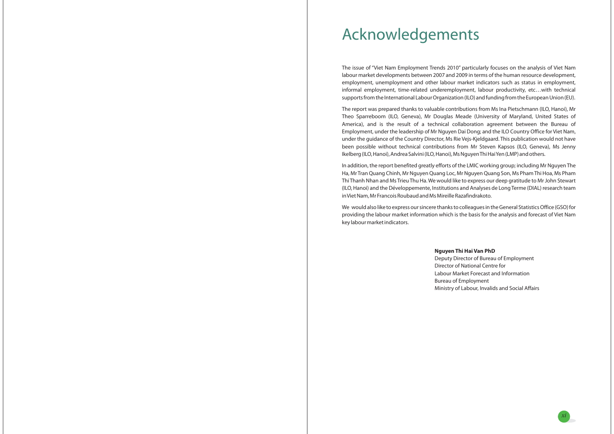The issue of "Viet Nam Employment Trends 2010" particularly focuses on the analysis of Viet Nam labour market developments between 2007 and 2009 in terms of the human resource development, employment, unemployment and other labour market indicators such as status in employment, informal employment, time-related underemployment, labour productivity, etc…with technical supports from the International Labour Organization (ILO) and funding from the European Union (EU).

The report was prepared thanks to valuable contributions from Ms Ina Pietschmann (ILO, Hanoi), Mr Theo Sparreboom (ILO, Geneva), Mr Douglas Meade (University of Maryland, United States of America), and is the result of <sup>a</sup> technical collaboration agreement between the Bureau of Employment, under the leadership of Mr Nguyen Dai Dong; and the ILO Country Office for Viet Nam, under the guidance of the Country Director, Ms Rie Vejs-Kjeldgaard. This publication would not have been possible without technical contributions from Mr Steven Kapsos (ILO, Geneva), Ms Jenny Ikelberg (ILO, Hanoi), Andrea Salvini (ILO, Hanoi), Ms Nguyen Thi Hai Yen (LMP) and others.

In addition, the report benefited greatly efforts of the LMIC working group; including Mr Nguyen The Ha, Mr Tran Quang Chinh, Mr Nguyen Quang Loc, Mr Nguyen Quang Son, Ms Pham Thi Hoa, Ms Pham Thi Thanh Nhan and Ms Trieu Thu Ha.We would like to express our deep gratitude to Mr John Stewart (ILO, Hanoi) and the Développemente, Institutions and Analyses de Long Terme (DIAL) research team in Viet Nam, Mr Francois Roubaud and Ms Mireille Razafindrakoto.

We would also like to express our sincere thanks to colleagues in the General Statistics Office(GSO)for providing the labour market information which is the basis for the analysis and forecast of Viet Nam key labourmarket indicators.

# Acknowledgements

# **Nguyen Thi Hai Van PhD**

- Deputy Director of Bureau of Employment
- Director of National Centre for
- Labour Market Forecast and Information
	-
- Ministry of Labour, Invalids and Social Affairs

Bureau of Employment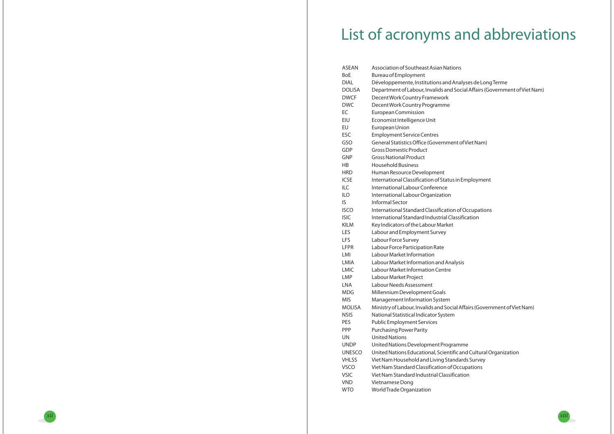lyses de LongTerme cial Affairs (Government of Viet Nam)

of Viet Nam)

Employment

**fOccupations** 

Affairs (Government of Viet Nam)



and Cultural Organization ards Survey cupations tion

| ASEAN         | Association of Southeast Asian Nations             |
|---------------|----------------------------------------------------|
| <b>BoE</b>    | <b>Bureau of Employment</b>                        |
| <b>DIAL</b>   | Développemente, Institutions and Analyses de       |
| <b>DOLISA</b> | Department of Labour, Invalids and Social Affai    |
| <b>DWCF</b>   | Decent Work Country Framework                      |
| <b>DWC</b>    | Decent Work Country Programme                      |
| EC            | <b>European Commission</b>                         |
| EIU           | Economist Intelligence Unit                        |
| EU            | European Union                                     |
| ESC           | <b>Employment Service Centres</b>                  |
| GSO           | General Statistics Office (Government of Viet N    |
| GDP           | <b>Gross Domestic Product</b>                      |
| <b>GNP</b>    | <b>Gross National Product</b>                      |
| HB            | <b>Household Business</b>                          |
| <b>HRD</b>    | Human Resource Development                         |
| <b>ICSE</b>   | International Classification of Status in Employ   |
| ILC           | International Labour Conference                    |
| <b>ILO</b>    | International Labour Organization                  |
| IS            | <b>Informal Sector</b>                             |
| <b>ISCO</b>   | International Standard Classification of Occupa    |
| <b>ISIC</b>   | International Standard Industrial Classification   |
| <b>KILM</b>   | Key Indicators of the Labour Market                |
| LES           | Labour and Employment Survey                       |
| LFS           | Labour Force Survey                                |
| LFPR          | Labour Force Participation Rate                    |
| LMI           | Labour Market Information                          |
| LMIA          | Labour Market Information and Analysis             |
| <b>LMIC</b>   | Labour Market Information Centre                   |
| LMP           | Labour Market Project                              |
| <b>LNA</b>    | Labour Needs Assessment                            |
| <b>MDG</b>    | Millennium Development Goals                       |
| <b>MIS</b>    | Management Information System                      |
| <b>MOLISA</b> | Ministry of Labour, Invalids and Social Affairs (G |
| <b>NSIS</b>   | National Statistical Indicator System              |
| PES           | <b>Public Employment Services</b>                  |
| <b>PPP</b>    | <b>Purchasing Power Parity</b>                     |
| <b>UN</b>     | <b>United Nations</b>                              |
| <b>UNDP</b>   | United Nations Development Programme               |
| <b>UNESCO</b> | United Nations Educational, Scientific and Cult    |
| <b>VHLSS</b>  | Viet Nam Household and Living Standards Sury       |
| <b>VSCO</b>   | Viet Nam Standard Classification of Occupatior     |
| <b>VSIC</b>   | Viet Nam Standard Industrial Classification        |
| <b>VND</b>    | Vietnamese Dong                                    |
| <b>WTO</b>    | World Trade Organization                           |

# List of acronyms and abbreviations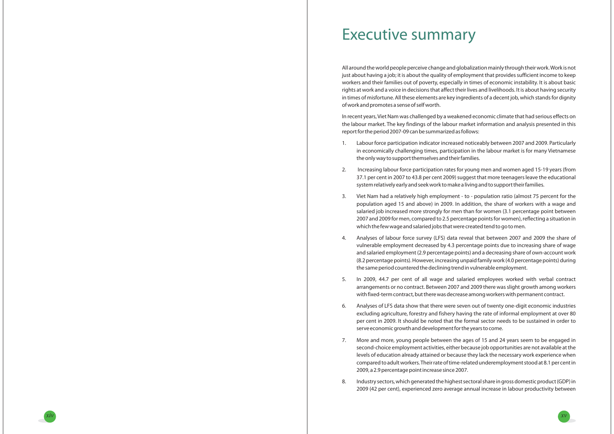*xiv*



# Executive summary

All around the world people perceive change and globalizationmainly through their work.Work is not just about having <sup>a</sup> job; it is about the quality of employment that provides sufficient income to keep workers and their families out of poverty, especially in times of economic instability. It is about basic rights at work and <sup>a</sup> voice in decisions that affect their lives and livelihoods. It is about having security in times of misfortune. All these elements are key ingredients of <sup>a</sup> decent job, which stands for dignity of work and promotes <sup>a</sup> sense of self worth.

In recent years, Viet Nam was challenged by <sup>a</sup> weakened economic climate that had serious effects on the labour market. The key findings of the labour market information and analysis presented in this reportfor the period 2007-09 can be summarized asfollows:

in economically challenging times, participation in the labour market is for many Vietnamese

37.1 per cent in 2007 to 43.8 per cent 2009) suggest that more teenagers leave the educational

vulnerable employment decreased by 4.3 percentage points due to increasing share of wage and salaried employment (2.9 percentage points) and <sup>a</sup> decreasing share of own-account work (8.2 percentage points). However, increasing unpaidfamily work(4.0 percentage points) during

- 1. Labour force participation indicator increased noticeably between 2007 and 2009. Particularly the only way to support themselves and theirfamilies.
- 2. Increasing labour force participation rates for young men and women aged 15-19 years (from system relatively early and seek work tomake <sup>a</sup> living and to support theirfamilies.
- 3. Viet Nam had <sup>a</sup> relatively high employment to population ratio (almost 75 percent for the which thefew wage and salaried jobs that were created tend to go tomen.
- 4. Analyses of labour force survey (LFS) data reveal that between 2007 and 2009 the share of the same period countered the declining trend in vulnerable employment.
- 5. In 2009, 44.7 per cent of all wage and salaried employees worked with verbal contract withfixed-term contract, but there was decrease among workers with permanent contract.
- 6. Analyses of LFS data show that there were seven out of twenty one-digit economic industries serve economic growth and developmentfor the years to come.
- 7. More and more, young people between the ages of 15 and 24 years seem to be engaged in 2009, <sup>a</sup> 2.9 percentage point increase since 2007.
- 8. Industry sectors, which generated the highest sectoral share in gross domestic product(GDP) in

arrangements or no contract. Between 2007 and 2009 there was slight growth among workers

excluding agriculture, forestry and fishery having the rate of informal employment at over 80 per cent in 2009. It should be noted that the formal sector needs to be sustained in order to

second-choice employment activities, either because job opportunities are not available at the levels of education already attained or because they lack the necessary work experience when compared to adult workers.Their rate of time-related underemployment stood at 8.1 per cent in

2009 (42 per cent), experienced zero average annual increase in labour productivity between

population aged 15 and above) in 2009. In addition, the share of workers with <sup>a</sup> wage and salaried job increased more strongly for men than for women (3.1 percentage point between 2007 and 2009 for men, compared to 2.5 percentage points for women), reflecting <sup>a</sup> situation in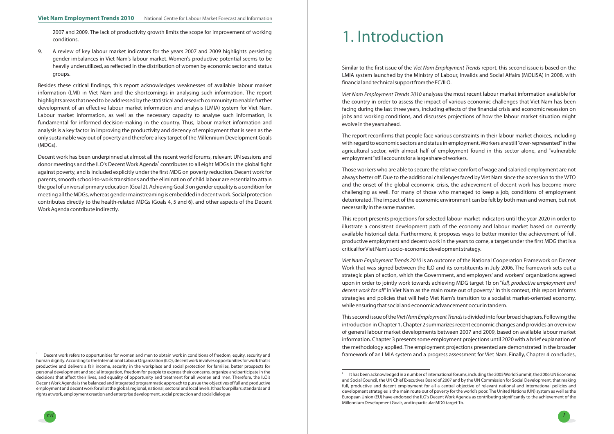*xvi*

 $V$ *iet Nam Employment Trends 2010* analyses the most recent labour market information available for the country in order to assess the impact of various economic challenges that Viet Nam has been facing during the last three years, including effects of the financial crisis and economic recession on jobs and working conditions, and discusses projections of how the labour market situation might evolve in the years ahead.

Those workers who are able to secure the relative comfort of wage and salaried employment are not always better off. Due to the additional challenges faced by Viet Nam since the accession to the WTO and the onset of the global economic crisis, the achievement of decent work has become more challenging as well. For many of those who managed to keep <sup>a</sup> job, conditions of employment deteriorated. The impact of the economic environment can be felt by both men and women, but not necessarily in the same manner.

This report presents projections for selected labour market indicators until the year 2020 in order to illustrate <sup>a</sup> consistent development path of the economy and labour market based on currently available historical data. Furthermore, it proposes ways to better monitor the achievement of full, productive employment and decent work in the years to come, <sup>a</sup> target under the first MDG that is <sup>a</sup> critical for Viet Nam's socio-economic development strategy.

The report reconfirms that people face various constraints in their labour market choices, including with regard to economic sectors and status in employment.Workers are still"over-represented"in the agricultural sector, with almost half of employment found in this sector alone, and "vulnerable employment"still accountsfor <sup>a</sup> large share of workers.

*Viet Nam Employment Trends 2010* is an outcome of the National Cooperation Framework on Decent Work that was signed between the ILO and its constituents in July 2006. The framework sets out <sup>a</sup> strategic plan of action, which the Government, and employers' and workers' organizations agreed upon in order to jointly work towards achieving MDG target 1b on " *full, productive employment and*  $d$ ecent work for all" in Viet Nam as the main route out of poverty. $^2$  In this context, this report informs strategies and policies that will help Viet Nam's transition to <sup>a</sup> socialist market-oriented economy, while ensuring that social and economic advancement occur in tandem.

This second issue of the *Viet Nam Employment Trends* is divided into four broad chapters. Following the introduction in Chapter 1, Chapter 2 summarizes recent economic changes and provides an overview of general labour market developments between 2007 and 2009, based on available labour market information. Chapter 3 presents some employment projections until 2020 with <sup>a</sup> brief explanation of the methodology applied. The employment projections presented are demonstrated in the broader framework of an LMIA system and <sup>a</sup> progress assessment for Viet Nam. Finally, Chapter <sup>4</sup> concludes,

It has been acknowledged in <sup>a</sup> number of internationalforums, including the 2005World Summit, the 2006 UN Economic and Social Council, the UN Chief Executives Board of 2007 and by the UN Commission for Social Development, that making full, productive and decent employment for all <sup>a</sup> central objective of relevant national and international policies and development strategies is the main route out of poverty for the world's poor. The United Nations (UN) system as well as the European Union (EU) have endorsed the ILO's Decent Work Agenda as contributing significantly to the achievement of the MillenniumDevelopmentGoals, and in particularMDG target 1b.



# 1. Introduction

Similar to the first issue of the *Viet Nam Employment Trends* report, this second issue is based on the LMIA system launched by the Ministry of Labour, Invalids and Social Affairs (MOLISA) in 2008, with financial and technical support from the EC/ILO.

2007 and 2009. The lack of productivity growth limits the scope for improvement of working conditions.

9. A review of key labour market indicators for the years 2007 and 2009 highlights persisting gender imbalances in Viet Nam's labour market. Women's productive potential seems to be heavily underutilized, as reflected in the distribution of women by economic sector and status groups.

Besides these critical findings, this report acknowledges weaknesses of available labour market information (LMI) in Viet Nam and the shortcomings in analysing such information. The report highlights areas that need to be addressed by the statistical and research community to enablefurther development of an effective labour market information and analysis (LMIA) system for Viet Nam. Labour market information, as well as the necessary capacity to analyse such information, is fundamental for informed decision-making in the country. Thus, labour market information and analysis is <sup>a</sup> key factor in improving the productivity and decency of employment that is seen as the only sustainable way out of poverty and therefore <sup>a</sup> key target of the Millennium Development Goals (MDGs).

Decent work has been underpinned at almost all the recent world forums, relevant UN sessions and donor meetings and the ILO's Decent Work Agenda $^{\scriptscriptstyle 1}$  contributes to all eight MDGs in the global fight against poverty, and is included explicitly under the first MDG on poverty reduction. Decent work for parents, smooth school-to-work transitions and the elimination of child labour are essential to attain the goal of universal primary education(Goal 2). Achieving Goal 3 on gender equality is <sup>a</sup> conditionfor meeting all the MDGs, whereas gender mainstreaming is embedded in decent work. Social protection contributes directly to the health-related MDGs (Goals 4, 5 and 6), and other aspects of the Decent Work Agenda contribute indirectly.

Decent work refers to opportunities for women and men to obtain work in conditions of freedom, equity, security and human dignity. According to the International Labour Organization (ILO), decent work involves opportunitiesfor work that is productive and delivers <sup>a</sup> fair income, security in the workplace and social protection for families, better prospects for personal development and social integration, freedom for people to express their concerns, organize and participate in the decisions that affect their lives, and equality of opportunity and treatment for all women and men. Therefore, the ILO's DecentWork Agenda is the balanced and integrated programmatic approach to pursue the objectives of full and productive employment and decent workfor all at the global, regional, national, sectoral and local levels. It hasfour pillars: standards and rights at work, employment creation and enterprise development, social protection and social dialogue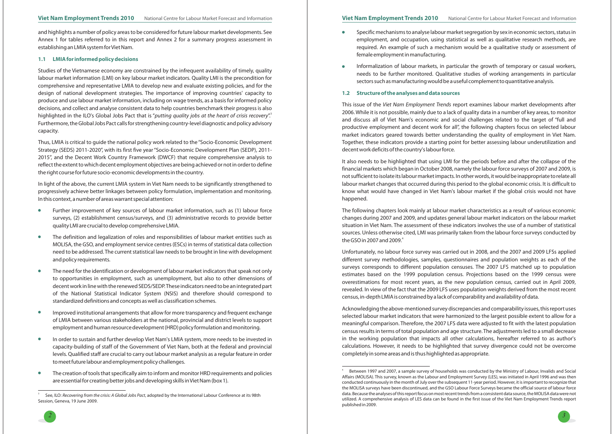and highlights <sup>a</sup> number of policy areas to be considered for future labour market developments. See Annex <sup>1</sup> for tables referred to in this report and Annex 2 for <sup>a</sup> summary progress assessment in establishing an LMIA system for Viet Nam.



Studies of the Vietnamese economy are constrained by the infrequent availability of timely, quality labour market information (LMI) on key labour market indicators. Quality LMI is the precondition for comprehensive and representative LMIA to develop new and evaluate existing policies, and for the design of national development strategies. The importance of improving countries' capacity to produce and use labour market information, including on wage trends, as <sup>a</sup> basis for informed policy decisions, and collect and analyse consistent data to help countries benchmark their progress is also highlighted in the ILO's Global Jobs Pact that is "*putting quality jobs at the heart of crisis recovery*". " Furthermore, the Global Jobs Pact callsfor strengthening country-level diagnostic and policy advisory capacity.

Thus, LMIA is critical to guide the national policy work related to the "Socio-Economic Development Strategy (SEDS) 2011-2020", with its first five year "Socio-Economic Development Plan (SEDP), 2011- 2015", and the Decent Work Country Framework (DWCF) that require comprehensive analysis to reflect the extent to which decent employment objectives are being achieved or not in order to define the right courseforfuture socio-economic developments in the country.

In light of the above, the current LMIA system in Viet Nam needs to be significantly strengthened to progressively achieve better linkages between policy formulation, implementation and monitoring. In this context, <sup>a</sup> number of areas warrant special attention:

- $\bullet$ Further improvement of key sources of labour market information, such as (1) labour force surveys, (2) establishment census/surveys, and (3) administrative records to provide better quality LMI are crucial to develop comprehensive LMIA.
- The definition and legalization of roles and responsibilities of labour market entities such as  $\bullet$ MOLISA, the GSO, and employment service centres (ESCs) in terms of statistical data collection need to be addressed. The current statistical law needs to be brought in line with development and policy requirements.
- The need for the identification or development of labour market indicators that speak not only  $\overline{\phantom{a}}$ to opportunities in employment, such as unemployment, but also to other dimensions of decent work in line with the renewed SEDS/SEDP.These indicators need to be an integrated part of the National Statistical Indicator System (NSIS) and therefore should correspond to standardized definitions and concepts as well as classification schemes.
- Improved institutional arrangements that allow for more transparency and frequent exchange of LMIA between various stakeholders at the national, provincial and district levels to support employment and human resource development (HRD) policy formulation and monitoring.
- In order to sustain and further develop Viet Nam's LMIA system, more needs to be invested in  $\bullet$ capacity-building of staff of the Government of Viet Nam, both at the federal and provincial levels. Qualified staff are crucial to carry out labour market analysis as <sup>a</sup> regular feature in order tomeetfuture labour and employment policy challenges.
- The creation of tools that specifically aim to inform and monitor HRD requirements and policies  $\bullet$ are essential for creating better jobs and developing skills in Viet Nam (box 1).
- female employment in manufacturing.
- $\bullet$ sectors such asmanufacturing would be <sup>a</sup> useful complement to quantitative analysis.

The following chapters look mainly at labour market characteristics as <sup>a</sup> result of various economic changes during 2007 and 2009, and updates general labour market indicators on the labour market situation in Viet Nam. The assessment of these indicators involves the use of <sup>a</sup> number of statistical sources. Unless otherwise cited, LMI was primarily taken from the labour force surveys conducted by the GSO in 2007 and 2009. $^{\rm 4}$ 

#### **1.1 LMIA for informed policy decisions**

Specific mechanisms to analyse labour market segregation by sex in economic sectors, status in employment, and occupation, using statistical as well as qualitative research methods, are required. An example of such <sup>a</sup> mechanism would be <sup>a</sup> qualitative study or assessment of

Informalization of labour markets, in particular the growth of temporary or casual workers, needs to be further monitored. Qualitative studies of working arrangements in particular

It also needs to be highlighted that using LMI for the periods before and after the collapse of the financial markets which began in October 2008, namely the labour force surveys of 2007 and 2009, is not sufficient to isolate its labourmarket impacts. In other words, it would be inappropriate to relate all labour market changes that occurred during this period to the global economic crisis. It is difficult to know what would have changed in Viet Nam's labour market if the global crisis would not have happened.

Unfortunately, no labour force survey was carried out in 2008, and the 2007 and 2009 LFSs applied different survey methodologies, samples, questionnaires and population weights as each of the surveys corresponds to different population censuses. The 2007 LFS matched up to population estimates based on the 1999 population census. Projections based on the 1999 census were overestimations for most recent years, as the new population census, carried out in April 2009, revealed. In view of the fact that the 2009 LFS uses population weights derived from the most recent census, in-depth LMIA is constrained by <sup>a</sup> lack of comparability and availability of data.

Acknowledging the above-mentioned survey discrepancies and comparability issues, this report uses selected labour market indicators that were harmonized to the largest possible extent to allow for <sup>a</sup> meaningful comparison. Therefore, the 2007 LFS data were adjusted to fit with the latest population census results in terms of total population and age structure. The adjustments led to <sup>a</sup> small decrease in the working population that impacts all other calculations, hereafter referred to as author's calculations. However, it needs to be highlighted that survey divergence could not be overcome completely in some areas and is thus highlighted as appropriate.

#### **1.2 Structure of the analyses and data sources**

*This issue of the Viet Nam Employment Trends report examines labour market developments after* 2006. While it is not possible, mainly due to <sup>a</sup> lack of quality data in <sup>a</sup> number of key areas, to monitor and discuss all of Viet Nam's economic and social challenges related to the target of "full and productive employment and decent work for all", the following chapters focus on selected labour market indicators geared towards better understanding the quality of employment in Viet Nam. Together, these indicators provide <sup>a</sup> starting point for better assessing labour underutilization and decent work deficits of the country's labour force.



 $^{\circ}$  See, ILO: *Recovering from the crisis: A Global Jobs Pact,* adopted by the International Labour Conference at its 98th Session, Geneva, 19 June 2009.

<sup>4</sup> Between 1997 and 2007, <sup>a</sup> sample survey of households was conducted by the Ministry of Labour, Invalids and Social Affairs (MOLISA). This survey, known as the Labour and Employment Survey (LES), was initiated in April 1996 and was then conducted continuously in the month of July over the subsequent 11-year period. However, it is important to recognize that the MOLISA surveys have been discontinued, and the GSO Labour Force Surveys became the official source of labour force data. Because the analyses of this reportfocus onmost recent trendsfrom <sup>a</sup> consistent data source, theMOLISA data were not utilized. A comprehensive analysis of LES data can be found in the first issue of the Viet Nam Employment Trends report published in 2009.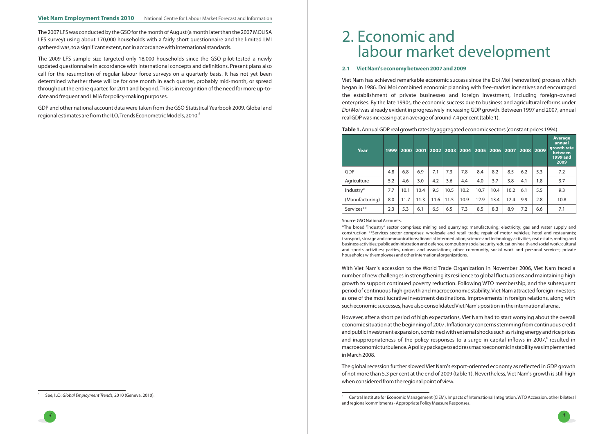*45*

The 2007 LFS was conducted by the GSO for the month of August (a month later than the 2007 MOLISA LES survey) using about 170,000 households with <sup>a</sup> fairly short questionnaire and the limited LMI gathered was, to <sup>a</sup> significant extent, not in accordance with international standards.

The 2009 LFS sample size targeted only 18,000 households since the GSO pilot-tested <sup>a</sup> newly updated questionnaire in accordance with international concepts and definitions. Present plans also call for the resumption of regular labour force surveys on <sup>a</sup> quarterly basis. It has not yet been determined whether these will be for one month in each quarter, probably mid-month, or spread throughout the entire quarter, for 2011 and beyond. This is in recognition of the need for more up-todate and frequent and LMIA for policy-making purposes.

GDP and other national account data were taken from the GSO Statistical Yearbook 2009. Global andregional estimates are from the ILO, Trends Econometric Models, 2010.<sup>5</sup>

#### **2.1 Viet Nam's economy between 2007 and 2009**

Viet Nam has achieved remarkable economic success since the Doi Moi (renovation) process which began in 1986. Doi Moi combined economic planning with free-market incentives and encouraged the establishment of private businesses and foreign investment, including foreign-owned enterprises. By the late 1990s, the economic success due to business and agricultural reforms under  $D$ o*i M*oi was already evident in progressively increasing GDP growth. Between 1997 and 2007, annual realGDP was increasing at an average of around 7.4 per cent(table 1).

#### AnnualGDP real growth rates by aggregated economic sectors(constant prices 1994) **Table 1.**

The global recession further slowed Viet Nam's export-oriented economy as reflected in GDP growth of not more than 5.3 per cent at the end of 2009 (table 1). Nevertheless, Viet Nam's growth is still high when considered from the regional point of view.

# 2. Economic andlabour market development

| Year            | 1999 |      |      | 2000 2001 2002 | 2003 |      |      | 2004 2005 2006 | 2007 |     | 2008 2009 | <b>Average</b><br>annual<br>growth rate<br>between<br><b>1999 and</b><br>2009 |
|-----------------|------|------|------|----------------|------|------|------|----------------|------|-----|-----------|-------------------------------------------------------------------------------|
| GDP             | 4.8  | 6.8  | 6.9  | 7.1            | 7.3  | 7.8  | 8.4  | 8.2            | 8.5  | 6.2 | 5.3       | 7.2                                                                           |
| Agriculture     | 5.2  | 4.6  | 3.0  | 4.2            | 3.6  | 4.4  | 4.0  | 3.7            | 3.8  | 4.1 | 1.8       | 3.7                                                                           |
| Industry*       | 7.7  | 10.1 | 10.4 | 9.5            | 10.5 | 10.2 | 10.7 | 10.4           | 10.2 | 6.1 | 5.5       | 9.3                                                                           |
| (Manufacturing) | 8.0  | 11.7 | 11.3 | 11.6           | 11.5 | 10.9 | 12.9 | 13.4           | 12.4 | 9.9 | 2.8       | 10.8                                                                          |
| Services**      | 2.3  | 5.3  | 6.1  | 6.5            | 6.5  | 7.3  | 8.5  | 8.3            | 8.9  | 7.2 | 6.6       | 7.1                                                                           |

With Viet Nam's accession to the World Trade Organization in November 2006, Viet Nam faced <sup>a</sup> number of new challenges in strengthening its resilience to global fluctuations and maintaining high growth to support continued poverty reduction. Following WTO membership, and the subsequent period of continuous high growth and macroeconomic stability, Viet Nam attracted foreign investors as one of the most lucrative investment destinations. Improvements in foreign relations, along with such economic successes, have also consolidatedVietNam's position in the international arena.

However, after <sup>a</sup> short period of high expectations, Viet Nam had to start worrying about the overall economic situation at the beginning of 2007. Inflationary concerns stemming from continuous credit and public investment expansion, combined with external shocks such as rising energy and rice prices and inappropriateness of the policy responses to a surge in capital inflows in 2007, $\degree$  resulted in macroeconomic turbulence.Apolicypackage toaddressmacroeconomicinstabilitywasimplemented inMarch 2008.

Source:GSONational Accounts.

\*The broad "industry" sector comprises: mining and quarrying; manufacturing; electricity; gas and water supply and construction. \*\*Services sector comprises: wholesale and retail trade; repair of motor vehicles; hotel and restaurants; transport, storage and communications; financial intermediation;science and technology activities; real estate, renting and business activities; public administration and defence; compulsory social security; education health and social work; cultural and sports activities; parties, unions and associations; other community, social work and personal services; private households with employees and other international organizations.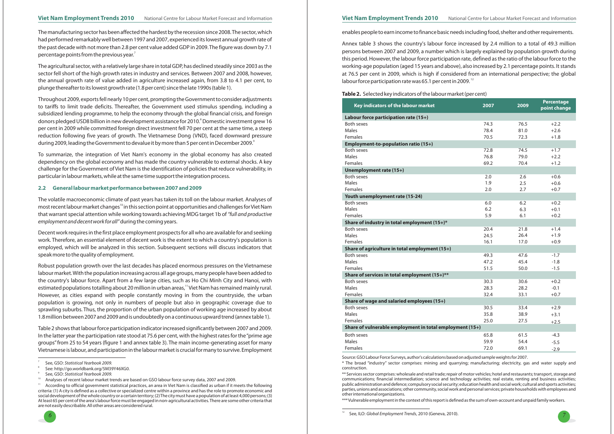\* The broad "industry" sector comprises: mining and quarrying; manufacturing; electricity, gas and water supply and construction.

Themanufacturing sector has been affected the hardest by the recession since 2008.The sector, which had performed remarkably well between 1997 and 2007, experienced its lowest annual growth rate of the past decade with not more than 2.8 per cent value added GDP in 2009.The figure was down by 7.1 percentage points from the previous year. $^7$ 

> \*\* Services sector comprises: wholesale and retail trade; repair of motor vehicles; hotel and restaurants; transport, storage and communications; financial intermediation; science and technology activities; real estate, renting and business activities; public administration and defence; compulsory social security; education health and social work; cultural and sports activities; parties, unions and associations; other community, social work and personal services; private households with employees and other international organizations.

Throughout 2009, exportsfell nearly 10 per cent, prompting the Government to consider adjustments to tariffs to limit trade deficits. Thereafter, the Government used stimulus spending, including <sup>a</sup> subsidized lending programme, to help the economy through the global financial crisis, and foreign donors pledged USD8 billion in new development assistance for 2010. $^{\circ}$  Domestic investment grew 16 per cent in 2009 while committed foreign direct investment fell 70 per cent at the same time, <sup>a</sup> steep reduction following five years of growth. The Vietnamese Dong (VND), faced downward pressure during 2009, leading the Government to devalue it by more than 5 per cent in December 2009. $^{\circ}$ 

\*\*\*Vulnerable employment in the context of this report is defined as the sum of own-account and unpaidfamily workers.



The volatile macroeconomic climate of past years has taken its toll on the labour market. Analyses of most recent labour market changes $^{\text{\tiny{10}}}$  in this section point at opportunities and challenges for Viet Nam that warrant special attention while working towards achieving MDG target 1b of *"full and productive employment and decent work for all"* during the coming years.

The agricultural sector, with <sup>a</sup> relatively large share in total GDP, has declined steadily since 2003 as the sector fell short of the high growth rates in industry and services. Between 2007 and 2008, however, the annual growth rate of value added in agriculture increased again, from 3.8 to 4.1 per cent, to plunge thereafter to its lowest growth rate(1.8 per cent) since the late 1990s(table 1).

Annex table 3 shows the country's labour force increased by 2.4 million to <sup>a</sup> total of 49.3 million persons between 2007 and 2009, <sup>a</sup> number which is largely explained by population growth during this period. However, the labour force participation rate, defined as the ratio of the labour force to the working-age population (aged 15 years and above), also increased by 2.1 percentage points. It stands at 76.5 per cent in 2009, which is high if considered from an international perspective; the global labour force participation rate was 65.1 per cent in 2009.<sup>12</sup>

To summarize, the integration of Viet Nam's economy in the global economy has also created dependency on the global economy and has made the country vulnerable to external shocks. A key challenge for the Government of Viet Nam is the identification of policies that reduce vulnerability, in particular in labourmarkets, while at the same time support the integration process.

Decent work requires in the first place employment prospects for all who are available for and seeking work. Therefore, an essential element of decent work is the extent to which <sup>a</sup> country's population is employed, which will be analyzed in this section. Subsequent sections will discuss indicators that speakmore to the quality of employment.

| Key indicators of the labour market                                                                | 2007 | 2009 | <b>Percentage</b><br>point change |
|----------------------------------------------------------------------------------------------------|------|------|-----------------------------------|
| Labour force participation rate (15+)                                                              |      |      |                                   |
| Both sexes                                                                                         | 74.3 | 76.5 | $+2.2$                            |
| Males                                                                                              | 78.4 | 81.0 | $+2.6$                            |
| Females                                                                                            | 70.5 | 72.3 | $+1.8$                            |
| Employment-to-population ratio (15+)                                                               |      |      |                                   |
| <b>Both sexes</b>                                                                                  | 72.8 | 74.5 | $+1.7$                            |
| Males                                                                                              | 76.8 | 79.0 | $+2.2$                            |
| Females                                                                                            | 69.2 | 70.4 | $+1.2$                            |
| Unemployment rate (15+)                                                                            |      |      |                                   |
| Both sexes                                                                                         | 2.0  | 2.6  | $+0.6$                            |
| Males                                                                                              | 1.9  | 2.5  | $+0.6$                            |
| Females                                                                                            | 2.0  | 2.7  | $+0.7$                            |
| Youth unemployment rate (15-24)                                                                    |      |      |                                   |
| <b>Both sexes</b>                                                                                  | 6.0  | 6.2  | $+0.2$                            |
| <b>Males</b>                                                                                       | 6.2  | 6.3  | $+0.1$                            |
| Females                                                                                            | 5.9  | 6.1  | $+0.2$                            |
| Share of industry in total employment (15+)*                                                       |      |      |                                   |
| Both sexes                                                                                         | 20.4 | 21.8 | $+1.4$                            |
| <b>Males</b>                                                                                       | 24.5 | 26.4 | $+1.9$                            |
| Females                                                                                            | 16.1 | 17.0 | $+0.9$                            |
| Share of agriculture in total employment (15+)                                                     |      |      |                                   |
| Both sexes                                                                                         | 49.3 | 47.6 | $-1.7$                            |
| <b>Males</b>                                                                                       | 47.2 | 45.4 | $-1.8$                            |
| Females                                                                                            | 51.5 | 50.0 | $-1.5$                            |
| Share of services in total employment (15+)**                                                      |      |      |                                   |
| <b>Both sexes</b>                                                                                  | 30.3 | 30.6 | $+0.2$                            |
| Males                                                                                              | 28.3 | 28.2 | $-0.1$                            |
| Females                                                                                            | 32.4 | 33.1 | $+0.7$                            |
| Share of wage and salaried employees (15+)                                                         |      |      |                                   |
| <b>Both sexes</b>                                                                                  | 30.5 | 33.4 | $+2.9$                            |
| Males                                                                                              | 35.8 | 38.9 | $+3.1$                            |
| Females                                                                                            | 25.0 | 27.5 | $+2.5$                            |
| Share of vulnerable employment in total employment (15+)                                           |      |      |                                   |
| <b>Both sexes</b>                                                                                  | 65.8 | 61.5 | $-4.3$                            |
| Males                                                                                              | 59.9 | 54.4 | $-5.5$                            |
| Females                                                                                            | 72.0 | 69.1 | $-2.9$                            |
| Source: GSO Labour Force Surveys, author's calculations based on adjusted sample weights for 2007. |      |      |                                   |

Robust population growth over the last decades has placed enormous pressures on the Vietnamese labour market. With the population increasing across all age groups, many people have been added to the country's labour force. Apart from <sup>a</sup> few large cities, such as Ho Chi Minh City and Hanoi, with estimated populations totalling about 20 million in urban areas, $^{\text{\tiny{11}}}$ Viet Nam has remained mainly rural. However, as cities expand with people constantly moving in from the countryside, the urban population is growing, not only in numbers of people but also in geographic coverage due to sprawling suburbs. Thus, the proportion of the urban population of working age increased by about 1.8million between 2007 and 2009 and is undoubtedly on <sup>a</sup> continuous upward trend(annex table 1).

Table 2 shows that labourforce participation indicator increased significantly between 2007 and 2009. In the latter year the participation rate stood at 75.6 per cent, with the highest rates for the "prime age groups"from 25 to 54 years (figure <sup>1</sup> and annex table 3). The main income-generating asset for many Vietnamese is labour, and participation in the labourmarket is crucialformany to survive. Employment

#### **2.2 General labour market performance between 2007 and 2009**

enables people to earn income tofinance basic needs includingfood, shelter and other requirements.

According to official government statistical practices, an area in Viet Nam is classified as urban if it meets the following criteria: (1) A city is defined as <sup>a</sup> collective or specialized centre within <sup>a</sup> province and has the role to promote economic and social development of the whole country or <sup>a</sup> certain territory;(2)The citymust have <sup>a</sup> population of at least 4,000 persons;(3) At least 65 per cent of the area's labourforcemust be engaged in non-agricultural activities.There are some other criteria that are not easily describable. All other areas are considered rural.

12

#### **Table 2.** Selected key indicators of the labourmarket(per cent)

See: http://go.worldbank.org/5M39Y46XG0.

Analyses of recent labour market trends are based on GSO labour force survey data, 2007 and 2009.

See, GSO: *Statistical Yearbook 2009.*

See, GSO: *Statistical Yearbook 2009.*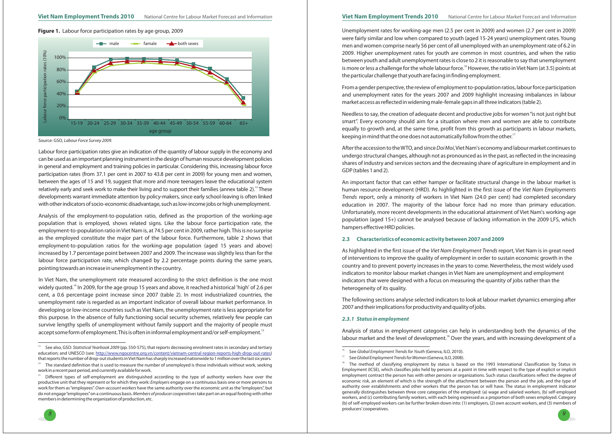

**Figure 1.** Labour force participation rates by age group, 2009 **Unemployment rates for working-age men** (2.5 per cent in 2009) and women (2.7 per cent in 2009) were fairly similar and low when compared to youth (aged 15-24 years) unemployment rates. Young men and women comprise nearly 56 per cent of all unemployed with an unemployment rate of 6.2 in 2009. Higher unemployment rates for youth are common in most countries, and when the ratio between youth and adult unemployment rates is close to 2 it is reasonable to say that unemployment is more or less a challenge for the whole labour force.<sup>16</sup> However, the ratio in Viet Nam (at 3.5) points at the particular challenge that youth arefacing infinding employment.

> Needless to say, the creation of adequate decent and productive jobs for women "is not just right but smart". Every economy should aim for <sup>a</sup> situation where men and women are able to contribute equally to growth and, at the same time, profit from this growth as participants in labour markets, keeping in mind that the one does not automatically follow from the other. $^{\text{\tiny{17}}}$

> After the accession to the WTO, and since *Doi Moi*, Viet Nam's economy and labour market continues to undergo structural changes, although not as pronounced as in the past, as reflected in the increasing shares of industry and services sectors and the decreasing share of agriculture in employment and in GDP(tables 1 and 2).

> An important factor that can either hamper or facilitate structural change in the labour market is human resource development (HRD). As highlighted in the first issue of the *Viet Nam Employments Trends* report, only a minority of workers in Viet Nam (24.0 per cent) had completed secondary education in 2007. The majority of the labour force had no more than primary education. Unfortunately, more recent developments in the educational attainment of Viet Nam's working-age population (aged 15+) cannot be analysed because of lacking information in the 2009 LFS, which hampers effective HRD policies.

> From <sup>a</sup> gender perspective, the review of employment to-population ratios, labourforce participation and unemployment rates for the years 2007 and 2009 highlight increasing imbalances in labour market access as reflected in wideningmale-female gaps in all three indicators(table 2).

> As highlighted in the first issue of the *Viet Nam Employment Trends r*eport, Viet Nam is in great need of interventions to improve the quality of employment in order to sustain economic growth in the country and to prevent poverty increases in the years to come. Nevertheless, the most widely used indicators to monitor labour market changes in Viet Nam are unemployment and employment indicators that were designed with <sup>a</sup> focus on measuring the quantity of jobs rather than the heterogeneity of its quality.

Analysis of status in employment categories can help in understanding both the dynamics of the labour market and the level of development. $^{\text{\tiny{18}}}$  Over the years, and with increasing development of a

In Viet Nam, the unemployment rate measured according to the strict definition is the one most widely quoted. $^{\mathsf{14}}$  In 2009, for the age group 15 years and above, it reached a historical 'high' of 2.6 per cent, <sup>a</sup> 0.6 percentage point increase since 2007 (table 2). In most industrialized countries, the unemployment rate is regarded as an important indicator of overall labour market performance. In developing or low-income countries such as Viet Nam, the unemployment rate is less appropriate for this purpose. In the absence of fully functioning social security schemes, relatively few people can survive lengthy spells of unemployment without family support and the majority of people must accept some form of employment. This is often in informal employment and/or self-employment. <sup>15</sup>

The following sections analyse selected indicators to look at labour market dynamics emerging after 2007 and their implicationsfor productivity and quality of jobs.

# **2.3 Characteristics of economic activity between 2007 and 2009**

#### *2.3.1 Status in employment*

Labour force participation rates give an indication of the quantity of labour supply in the economy and can be used as an important planning instrument in the design of human resource development policies in general and employment and training policies in particular. Considering this, increasing labour force participation rates (from 37.1 per cent in 2007 to 43.8 per cent in 2009) for young men and women, between the ages of 15 and 19, suggest that more and more teenagers leave the educational system relatively early and seek work to make their living and to support their families (annex table 2). $^{\rm 13}$ These developments warrant immediate attention by policy-makers, since early school-leaving is often linked with other indicators of socio-economic disadvantage, such as low-income jobs or high unemployment.



Source: GSO, . *Labour Force Survey 2009*

*8*

Analysis of the employment-to-population ratio, defined as the proportion of the working-age population that is employed, shows related signs. Like the labour force participation rate, the employment-to-population ratio in Viet Nam is, at 74.5 per cent in 2009, rather high.This is no surprise as the employed constitute the major part of the labour force. Furthermore, table 2 shows that employment-to-population ratios for the working-age population (aged 15 years and above) increased by 1.7 percentage point between 2007 and 2009. The increase was slightly less than for the labour force participation rate, which changed by 2.2 percentage points during the same years, pointing towards an increase in unemployment in the country.

 $S$ ee *Global Employment Trends for Youth (Geneva, ILO, 2010).* 

<sup>&</sup>lt;sup>17</sup> See Global Employment Trends for Women (Geneva, ILO, 2008).

<sup>&</sup>lt;sup>18</sup> The method of classifying employment by status is based on the 1993 International Classification by Status in Employment (ICSE), which classifies jobs held by persons at <sup>a</sup> point in time with respect to the type of explicit or implicit employment contract the person has with other persons or organizations. Such status classifications reflect the degree of economic risk, an element of which is the strength of the attachment between the person and the job, and the type of authority over establishments and other workers that the person has or will have. The status in employment indicator generally distinguishes between three core categories of the employed: (a) wage and salaried workers, (b) self-employed workers, and (c) contributing family workers, with each being expressed as <sup>a</sup> proportion of both sexes employed. Category (b) of self-employed workers can be further broken down into: (1) employers, (2) own account workers, and (3) members of producers' cooperatives.

<sup>13</sup>See also, GSO: Statistical Yearbook 2009 (pp. 550-575), that reports decreasing enrolment rates in secondary and tertiary education; and UNESCO (see: <u>http://www.ngocentre.org.vn/content/vietnam-central-region-reports-high-drop-out-rates</u> that reports the number of drop-out students inVietNam has sharply increased nationwide to 1million over the last six years.

<sup>14</sup>The standard definition that is used to measure the number of unemployed is those individuals without work, seeking work in <sup>a</sup> recent past period, and currently availablefor work.

<sup>15</sup>Different types of self-employment are distinguished according to the type of authority workers have over the productive unit that they represent or for which they work: *Employers* engage on a continuous basis one or more persons to work for them as "employees". Own-*account workers* have the same authority over the economic unit as the "employers", but do not engage "employees" on a continuous basis. *Members of producer cooperatives* take part on an equal footing with other members in determining the organization of production, etc.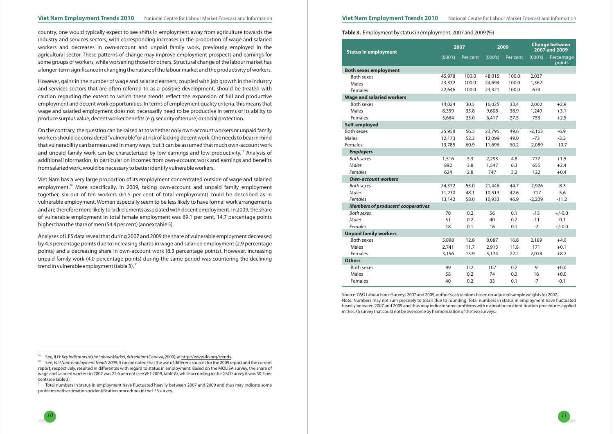



country, one would typically expect to see shifts in employment away from agriculture towards the industry and services sectors, with corresponding increases in the proportion of wage and salaried workers and decreases in own-account and unpaid family work, previously employed in the agricultural sector. These patterns of change may improve employment prospects and earnings for some groups of workers, while worsening those for others. Structural change of the labour market has <sup>a</sup> longer-term significance in changing the nature of the labourmarket and the productivity of workers.

Viet Nam has <sup>a</sup> very large proportion of its employment concentrated outside of wage and salaried employment.<sup>20</sup> More specifically, in 2009, taking own-account and unpaid family employment together, six out of ten workers (61.5 per cent of total employment) could be described as in vulnerable employment. Women especially seem to be less likely to have formal work arrangements and are therefore more likely to lack elements associated with decent employment. In 2009, the share of vulnerable employment in total female employment was 69.1 per cent, 14.7 percentage points higher than the share of men (54.4 per cent) (annex table 5).

However, gains in the number of wage and salaried earners, coupled with job growth in the industry and services sectors that are often referred to as <sup>a</sup> positive development, should be treated with caution regarding the extent to which these trends reflect the expansion of full and productive employment and decent work opportunities. In terms of employment quality criteria, this means that wage and salaried employment does not necessarily need to be productive in terms of its ability to produce surplus value, decent worker benefits(e.g. security of tenure) or social protection.

Analyses of LFS data reveal that during 2007 and 2009 the share of vulnerable employment decreased by 4.3 percentage points due to increasing shares in wage and salaried employment (2.9 percentage points) and <sup>a</sup> decreasing share in own-account work (8.3 percentage points). However, increasing unpaid family work (4.0 percentage points) during the same period was countering the declining trend in vulnerable employment (table 3).  $^{21}$ 

On the contrary, the question can be raised as to whether only own-account workers or unpaid family workers should be considered"vulnerable"or at risk of lacking decent work.One needs to bear inmind that vulnerability can be measured in many ways, but it can be assumed that much own-account work and unpaid family work can be characterized by low earnings and low productivity.<sup>19</sup> Analysis of additional information, in particular on incomes from own-account work and earnings and benefits from salaried work, would be necessary to better identify vulnerable workers.

#### **Table 3.** Employment by status in employment, 2007 and 2009(%)

| <b>Status in employment</b>               |         | 2007     | 2009    |          | <b>Change between</b><br>2007 and 2009 |                      |
|-------------------------------------------|---------|----------|---------|----------|----------------------------------------|----------------------|
|                                           | (000's) | Per cent | (000's) | Per cent | (000's)                                | Percentage<br>points |
| <b>Both sexes employment</b>              |         |          |         |          |                                        |                      |
| <b>Both sexes</b>                         | 45,978  | 100.0    | 48,015  | 100.0    | 2,037                                  |                      |
| <b>Males</b>                              | 23,332  | 100.0    | 24,694  | 100.0    | 1,362                                  |                      |
| Females                                   | 22,646  | 100.0    | 23,321  | 100.0    | 674                                    |                      |
| <b>Wage and salaried workers</b>          |         |          |         |          |                                        |                      |
| <b>Both sexes</b>                         | 14,024  | 30.5     | 16,025  | 33.4     | 2,002                                  | $+2.9$               |
| Males                                     | 8,359   | 35.8     | 9,608   | 38.9     | 1,249                                  | $+3.1$               |
| Females                                   | 5,664   | 25.0     | 6,417   | 27.5     | 753                                    | $+2.5$               |
| Self-employed                             |         |          |         |          |                                        |                      |
| <b>Both sexes</b>                         | 25,958  | 56.5     | 23,795  | 49.6     | $-2,163$                               | $-6.9$               |
| Males                                     | 12,173  | 52.2     | 12,099  | 49.0     | $-73$                                  | $-3.2$               |
| Females                                   | 13,785  | 60.9     | 11,696  | 50.2     | $-2,089$                               | $-10.7$              |
| <b>Employers</b>                          |         |          |         |          |                                        |                      |
| <b>Both sexes</b>                         | 1,516   | 3.3      | 2,293   | 4.8      | 777                                    | $+1.5$               |
| Males                                     | 892     | 3.8      | 1,547   | 6.3      | 655                                    | $+2.4$               |
| <b>Females</b>                            | 624     | 2.8      | 747     | 3.2      | 122                                    | $+0.4$               |
| <b>Own-account workers</b>                |         |          |         |          |                                        |                      |
| <b>Both sexes</b>                         | 24,372  | 53.0     | 21,446  | 44.7     | $-2,926$                               | $-8.3$               |
| Males                                     | 11,230  | 48.1     | 10,513  | 42.6     | $-717$                                 | $-5.6$               |
| Females                                   | 13,142  | 58.0     | 10,933  | 46.9     | $-2,209$                               | $-11.2$              |
| <b>Members of producers' cooperatives</b> |         |          |         |          |                                        |                      |
| <b>Both sexes</b>                         | 70      | 0.2      | 56      | 0.1      | $-13$                                  | $+/-0.0$             |
| Males                                     | 51      | 0.2      | 40      | 0.2      | $-11$                                  | $-0.1$               |
| Females                                   | 18      | 0.1      | 16      | 0.1      | $-2$                                   | $+/-0.0$             |
| <b>Unpaid family workers</b>              |         |          |         |          |                                        |                      |
| <b>Both sexes</b>                         | 5,898   | 12.8     | 8,087   | 16.8     | 2,189                                  | $+4.0$               |
| Males                                     | 2,741   | 11.7     | 2,913   | 11.8     | 171                                    | $+0.1$               |
| Females                                   | 3,156   | 13.9     | 5,174   | 22.2     | 2,018                                  | $+8.2$               |
| <b>Others</b>                             |         |          |         |          |                                        |                      |
| <b>Both sexes</b>                         | 99      | 0.2      | 107     | 0.2      | 9                                      | $+0.0$               |
| <b>Males</b>                              | 58      | 0.2      | 74      | 0.3      | 16                                     | $+0.0$               |
| Females                                   | 40      | 0.2      | 33      | 0.1      | $-7$                                   | $-0.1$               |

Source:GSO Labour Force Surveys 2007 and 2009, author's calculations based on adjusted sample weightsfor 2007. Note: Numbers may not sum precisely to totals due to rounding. Total numbers in status in employment have fluctuated heavily between 2007 and 2009 and thus may indicate some problems with estimation or identification procedures applied in the LFS survey that could not be overcome by harmonization of the two surveys.

<sup>19</sup>See, ILO: *Key Indicators of the Labour Market, 6th edition (Geneva, 2009); at <u>http://www.ilo.org/trends</u>.* 

<sup>20</sup> $S$ ee, *Viet Nam Employment Trends 2009;* It can be noted that the use of different sources for the 2009 report and the current report, respectively, resulted in differentes with regard to status in employment. Based on the MOLISA survey, the share of wage and salaried workers in 2007 was 22.6 percent (see VET 2009, table 8), while according to the GSO survey it was 30.5 per cent(see table 3)

<sup>21</sup>Total numbers in status in employment have fluctuated heavily between 2007 and 2009 and thus may indicate some problems with estimation or identification procedures in the LFS survey.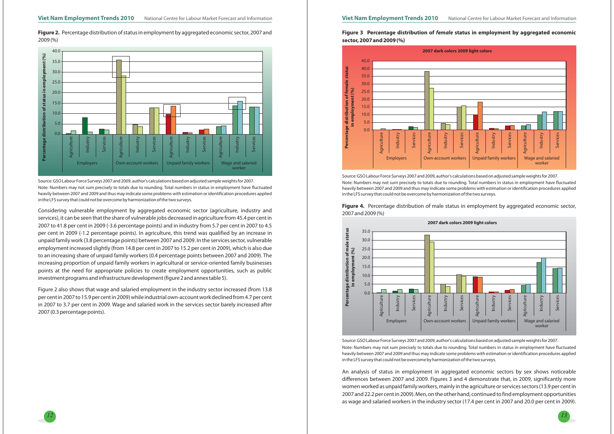

**Figure 2.** Percentage distribution of status in employment by aggregated economic sector, 2007 and 2009(%)



Source:GSO Labour Force Surveys 2007 and 2009, author's calculations based on adjusted sample weightsfor 2007. Note: Numbers may not sum precisely to totals due to rounding. Total numbers in status in employment have fluctuated heavily between 2007 and 2009 and thus may indicate some problems with estimation or identification procedures applied in the LFS survey that could not be overcome by harmonization of the two surveys.

Figure 3 Percentage distribution of *female* status in employment by aggregated economic **sector, 2007 and 2009 (%)**



Considering vulnerable employment by aggregated economic sector (agriculture, industry and services), it can be seen that the share of vulnerable jobs decreased in agriculture from 45.4 per cent in 2007 to 41.8 per cent in 2009 (-3.6 percentage points) and in industry from 5.7 per cent in 2007 to 4.5 per cent in 2009 (-1.2 percentage points). In agriculture, this trend was qualified by an increase in unpaid family work (3.8 percentage points) between 2007 and 2009. In the services sector, vulnerable employment increased slightly (from 14.8 per cent in 2007 to 15.2 per cent in 2009), which is also due to an increasing share of unpaid family workers (0.4 percentage points between 2007 and 2009). The increasing proportion of unpaid family workers in agricultural or service-oriented family businesses points at the need for appropriate policies to create employment opportunities, such as public investment programs and infrastructure development(figure 2 and annex table 5).

Figure 2 also shows that wage and salaried employment in the industry sector increased (from 13.8 per cent in 2007 to 15.9 per cent in 2009) while industrial own-account work declinedfrom 4.7 per cent in 2007 to 3.7 per cent in 2009. Wage and salaried work in the services sector barely increased after 2007(0.3 percentage points).

Source:GSO Labour Force Surveys 2007 and 2009, author's calculations based on adjusted sample weightsfor 2007. Note: Numbers may not sum precisely to totals due to rounding. Total numbers in status in employment have fluctuated heavily between 2007 and 2009 and thus may indicate some problems with estimation or identification procedures applied in the LFS survey that could not be overcome by harmonization of the two surveys.

## **Figure 4.** Percentage distribution of male status in employment by aggregated economic sector, 2007 and 2009(%)



Source:GSO Labour Force Surveys 2007 and 2009, author's calculations based on adjusted sample weightsfor 2007. Note: Numbers may not sum precisely to totals due to rounding. Total numbers in status in employment have fluctuated heavily between 2007 and 2009 and thus may indicate some problems with estimation or identification procedures applied in the LFS survey that could not be overcome by harmonization of the two surveys.

An analysis of status in employment in aggregated economic sectors by sex shows noticeable differences between 2007 and 2009. Figures 3 and <sup>4</sup> demonstrate that, in 2009, significantly more women worked as unpaid family workers, mainly in the agriculture or services sectors (13.9 per cent in 2007 and 22.2 per cent in 2009). Men, on the other hand, continued tofind employment opportunities as wage and salaried workers in the industry sector (17.4 per cent in 2007 and 20.0 per cent in 2009).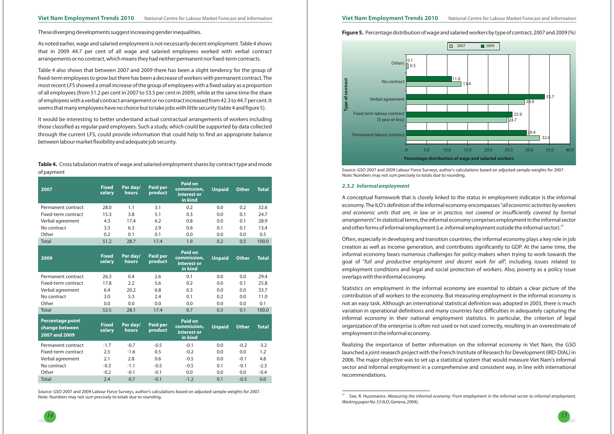

## **Figure 5.** Percentage distribution of wage and salaried workers by type of contract, 2007 and 2009(%)

As noted earlier, wage and salaried employment is not necessarily decent employment.Table <sup>4</sup> shows that in 2009 44.7 per cent of all wage and salaried employees worked with verbal contract arrangements or no contract, which means they had neither permanent nor fixed-term contracts.

**Table 4.** Cross tabulation matrix of wage and salaried employment shares by contract type and mode of payment

These diverging developments suggest increasing gender inequalities.

Table <sup>4</sup> also shows that between 2007 and 2009 there has been <sup>a</sup> slight tendency for the group of fixed-term employees to grow but there has been <sup>a</sup> decrease of workers with permanent contract.The most recent LFS showed <sup>a</sup> small increase of the group of employees with <sup>a</sup> fixed salary as <sup>a</sup> proportion of all employees (from 51.2 per cent in 2007 to 53.5 per cent in 2009), while at the same time the share of employees with a verbal contract arrangement or no contract increased from 42.3 to 44.7 per cent. It seems that many employees have no choice but to take jobs with little security (table 4 and figure 5).

It would be interesting to better understand actual contractual arrangements of workers including those classified as regular paid employees. Such <sup>a</sup> study, which could be supported by data collected through the current LFS, could provide information that could help to find an appropriate balance between labourmarketflexibility and adequate job security.

> A conceptual framework that is closely linked to the status in employment indicator is the informal economy.The ILO's definition of the informal economy encompasses" *all economic activities by workers arrangements"*. In statistical terms, the informal economy comprises employment in the informal sector and other forms of informal employment (i.e. informal employment outside the informal sector). $^{23}$ and economic units that are, in law or in practice, not covered or insufficiently covered by formal

| 2007                                      | <b>Fixed</b><br>salary | Per day/<br>hours | <b>Paid per</b><br>product | Paid on<br>commission,<br>interest or<br>in kind        | <b>Unpaid</b> | <b>Other</b> | <b>Total</b> |
|-------------------------------------------|------------------------|-------------------|----------------------------|---------------------------------------------------------|---------------|--------------|--------------|
| Permanent contract                        | 28.0                   | 1.1               | 3.1                        | 0.2                                                     | 0.0           | 0.2          | 32.6         |
| Fixed-term contract                       | 15.3                   | 3.8               | 5.1                        | 0.3                                                     | 0.0           | 0.1          | 24.7         |
|                                           | 4.3                    | 17.4              | 6.2                        | 0.8                                                     | 0.0           | 0.1          | 28.9         |
| Verbal agreement                          |                        |                   |                            |                                                         |               |              |              |
| No contract<br>Other                      | 3.3<br>0.2             | 6.3<br>0.1        | 2.9<br>0.1                 | 0.6<br>0.0                                              | 0.1<br>0.0    | 0.1<br>0.0   | 13.4<br>0.5  |
|                                           | 51.2                   |                   |                            | 1.9                                                     |               |              | 100.0        |
| Total                                     |                        | 28.7              | 17.4                       |                                                         | 0.2           | 0.5          |              |
| 2009                                      | <b>Fixed</b><br>salary | Per day/<br>hours | <b>Paid per</b><br>product | <b>Paid on</b><br>commission,<br>interest or<br>in kind | <b>Unpaid</b> | <b>Other</b> | <b>Total</b> |
| Permanent contract                        | 26.3                   | 0.4               | 2.6                        | 0.1                                                     | 0.0           | 0.0          | 29.4         |
| Fixed-term contract                       | 17.8                   | 2.2               | 5.6                        | 0.2                                                     | 0.0           | 0.1          | 25.8         |
| Verbal agreement                          | 6.4                    | 20.2              | 6.8                        | 0.3                                                     | 0.0           | 0.0          | 33.7         |
| No contract                               | 3.0                    | 5.3               | 2.4                        | 0.1                                                     | 0.2           | 0.0          | 11.0         |
| Other                                     | 0.0                    | 0.0               | 0.0                        | 0.0                                                     | 0.0           | 0.0          | 0.1          |
| Total                                     | 53.5                   | 28.1              | 17.4                       | 0.7                                                     | 0.3           | 0.1          | 100.0        |
| <b>Percentage point</b><br>change between | <b>Fixed</b><br>salary | Per day/<br>hours | <b>Paid per</b><br>product | <b>Paid on</b><br>commission,                           | <b>Unpaid</b> | <b>Other</b> | <b>Total</b> |
| 2007 and 2009                             |                        |                   |                            | interest or<br>in kind                                  |               |              |              |
| Permanent contract                        | $-1.7$                 | $-0.7$            | $-0.5$                     | $-0.1$                                                  | 0.0           | $-0.2$       | $-3.2$       |
| Fixed-term contract                       | 2.5                    | $-1.6$            | 0.5                        | $-0.2$                                                  | 0.0           | 0.0          | 1.2          |
| Verbal agreement                          | 2.1                    | 2.8               | 0.6                        | $-0.5$                                                  | 0.0           | $-0.1$       | 4.8          |
| No contract                               | $-0.3$                 | $-1.1$            | $-0.5$                     | $-0.5$                                                  | 0.1           | $-0.1$       | $-2.3$       |
| Other                                     | $-0.2$                 | $-0.1$            | $-0.1$                     | 0.0                                                     | 0.0           | 0.0          | $-0.4$       |
| <b>Total</b>                              | 2.4                    | $-0.7$            | $-0.1$                     | $-1.2$                                                  | 0.1           | $-0.5$       | 0.0          |

Source: GSO 2007 and 2009 Labour Force Surveys, author's calculations based on adjusted sample weights for 2007. Note: Numbers may not sum precisely to totals due to rounding.





**Type of contract**



#### *2.3.2 Informal employment*

Often, especially in developing and transition countries, the informal economy plays <sup>a</sup> key role in job creation as well as income generation, and contributes significantly to GDP. At the same time, the informal economy bears numerous challenges for policy-makers when trying to work towards the goal of "full and productive employment and decent work for all", including issues related to employment conditions and legal and social protection of workers. Also, poverty as <sup>a</sup> policy issue overlaps with the informal economy.

Statistics on employment in the informal economy are essential to obtain <sup>a</sup> clear picture of the contribution of all workers to the economy. But measuring employment in the informal economy is not an easy task. Although an international statistical definition was adopted in 2003, there is much variation in operational definitions and many countries face difficulties in adequately capturing the informal economy in their national employment statistics. In particular, the criterion of legal organization of the enterprise is often not used or not used correctly, resulting in an overestimate of employment in the informal economy.

Realizing the importance of better information on the informal economy in Viet Nam, the GSO launched <sup>a</sup> joint research project with the French Institute of Research for Development (IRD-DIAL) in 2006. The major objective was to set up <sup>a</sup> statistical system that would measure Viet Nam's informal sector and informal employment in <sup>a</sup> comprehensive and consistent way, in line with international recommendations.

<sup>23</sup>' See, R. Hussmanns: Measuring the informal economy: From employment in the informal sector to informal employment, (ILO,Geneva, 2004). *Working paper No. 53*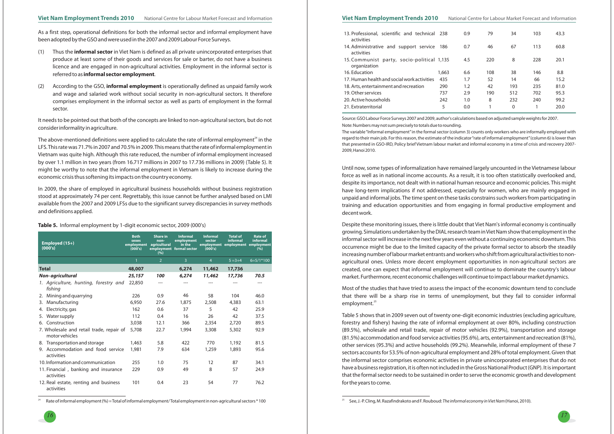

#### Viet Nam Employment Trends 2010 National Centre for Labour Market Forecast and Information Viet Nam Employment Trends 2010 National Centre for Labour Market Forecast and Information

As <sup>a</sup> first step, operational definitions for both the informal sector and informal employment have been adopted by theGSO and were used in the 2007 and 2009 Labour Force Surveys.

- (1) Thus the **informal sector** in Viet Nam is defined as all private unincorporated enterprises that produce at least some of their goods and services for sale or barter, do not have <sup>a</sup> business licence and are engaged in non-agricultural activities. Employment in the informal sector is **referred to as informal sector <code>employment</code>.**
- (2) According to the GSO, **informal employment** is operationally defined as unpaid family work and wage and salaried work without social security in non-agricultural sectors. It therefore comprises employment in the informal sector as well as parts of employment in the formal sector.

The above-mentioned definitions were applied to calculate the rate of informal employment $^{\scriptscriptstyle 24}$  in the LFS. This rate was 71.7% in 2007 and 70.5% in 2009. This means that the rate of informal employment in Vietnam was quite high. Although this rate reduced, the number of informal employment increased by over 1.1 million in two years (from 16.717 millions in 2007 to 17.736 millions in 2009) (Table 5). It might be worthy to note that the informal employment in Vietnam is likely to increase during the economic crisis thus softening its impacts on the country economy.

It needs to be pointed out that both of the concepts are linked to non-agricultural sectors, but do not consider informality in agriculture.

In 2009, the share of employed in agricultural business households without business registration stood at approximately <sup>74</sup> per cent. Regrettably, this issue cannot be further analysed based on LMI available from the 2007 and 2009 LFSs due to the significant survey discrepancies in survey methods and definitions applied.

24Rate of informal employment(%) =Total of informal employment/Total employment in non-agricultural sectors \* 100

#### **Table 5.** Informal employment by 1-digit economic sector, 2009 (000's)

Most of the studies that have tried to assess the impact of the economic downturn tend to conclude that there will be <sup>a</sup> sharp rise in terms of unemployment, but they fail to consider informal employment.<sup>25</sup>

| 13. Professional, scientific and technical 238<br>activities |       | 0.9 | 79  | 34  | 103 | 43.3 |
|--------------------------------------------------------------|-------|-----|-----|-----|-----|------|
| 14. Administrative and support service<br>activities         | 186   | 0.7 | 46  | 67  | 113 | 60.8 |
| 15. Communist party, socio-political 1,135<br>organization   |       | 4.5 | 220 | 8   | 228 | 20.1 |
| 16. Education                                                | 1,663 | 6.6 | 108 | 38  | 146 | 8.8  |
| 17. Human health and social work activities                  | 435   | 1.7 | 52  | 14  | 66  | 15.2 |
| 18. Arts, entertainment and recreation                       | 290   | 1.2 | 42  | 193 | 235 | 81.0 |
| 19. Other services                                           | 737   | 2.9 | 190 | 512 | 702 | 95.3 |
| 20. Active households                                        | 242   | 1.0 | 8   | 232 | 240 | 99.2 |
| 21. Extraterritorial                                         | 5     | 0.0 | 1   | 0   |     | 20.0 |
|                                                              |       |     |     |     |     |      |

Source:GSO Labour Force Surveys 2007 and 2009, author's calculations based on adjusted sample weightsfor 2007. Note:Numbersmay not sum precisely to totals due to rounding. The variable "Informal employment"in the formal sector (column 3) counts only workers who are informally employed with regard to their main job. For this reason, the estimate of the indicator"rate of informal employment"(column 6) is lower than that presented in GSO-IRD, Policy brief Vietnam labour market and informal economy in <sup>a</sup> time of crisis and recovery 2007- 2009,Hanoi 2010.

| Employed (15+)<br>(000's)                                  | <b>Both</b><br>sexes<br>employment<br>(000's) | <b>Share in</b><br>non-<br>agricultural<br>(%) | <b>Informal</b><br>employment<br>in the<br>employment formal sector | <b>Informal</b><br>sector<br>(000's) | <b>Total of</b><br>informal<br>employment employment employment | <b>Rate of</b><br>informal<br>(%) |
|------------------------------------------------------------|-----------------------------------------------|------------------------------------------------|---------------------------------------------------------------------|--------------------------------------|-----------------------------------------------------------------|-----------------------------------|
|                                                            |                                               | $\overline{2}$                                 | 3                                                                   | $\overline{4}$                       | $5 = 3 + 4$                                                     | $6=5/1*100$                       |
| <b>Total</b>                                               | 48,007                                        |                                                | 6,274                                                               | 11,462                               | 17,736                                                          |                                   |
| Non-agricultural                                           | 25,157                                        | 100                                            | 6,274                                                               | 11,462                               | 17,736                                                          | 70.5                              |
| 1. Agriculture, hunting, forestry and<br>fishing           | 22,850                                        |                                                |                                                                     |                                      |                                                                 |                                   |
| Mining and quarrying<br>2.                                 | 226                                           | 0.9                                            | 46                                                                  | 58                                   | 104                                                             | 46.0                              |
| Manufacturing<br>3.                                        | 6,950                                         | 27.6                                           | 1,875                                                               | 2,508                                | 4,383                                                           | 63.1                              |
| Electricity, gas<br>4.                                     | 162                                           | 0.6                                            | 37                                                                  | 5                                    | 42                                                              | 25.9                              |
| Water supply<br>5.                                         | 112                                           | 0.4                                            | 16                                                                  | 26                                   | 42                                                              | 37.5                              |
| 6. Construction                                            | 3,038                                         | 12.1                                           | 366                                                                 | 2,354                                | 2,720                                                           | 89.5                              |
| 7. Wholesale and retail trade, repair of<br>motor vehicles | 5,708                                         | 22.7                                           | 1,994                                                               | 3,308                                | 5,302                                                           | 92.9                              |
| 8. Transportation and storage                              | 1,463                                         | 5.8                                            | 422                                                                 | 770                                  | 1,192                                                           | 81.5                              |
| 9. Accommodation and food service<br>activities            | 1,981                                         | 7.9                                            | 634                                                                 | 1,259                                | 1,893                                                           | 95.6                              |
| 10. Information and communication                          | 255                                           | 1.0                                            | 75                                                                  | 12                                   | 87                                                              | 34.1                              |
| 11. Financial, banking and insurance<br>activities         | 229                                           | 0.9                                            | 49                                                                  | 8                                    | 57                                                              | 24.9                              |
| 12. Real estate, renting and business<br>activities        | 101                                           | 0.4                                            | 23                                                                  | 54                                   | 77                                                              | 76.2                              |

Until now, some types of informalization have remained largely uncounted in the Vietnamese labour force as well as in national income accounts. As <sup>a</sup> result, it is too often statistically overlooked and, despite its importance, not dealt with in national human resource and economic policies. This might have long-term implications if not addressed, especially for women, who are mainly engaged in unpaid and informal jobs.The time spent on these tasks constrains such workers from participating in training and education opportunities and from engaging in formal productive employment and decent work.

Despite these monitoring issues, there is little doubt that Viet Nam's informal economy is continually growing. Simulations undertaken by theDIAL research team inVietNam show that employment in the informal sector will increase in the next few years even without a continuing economic downturn. This occurrence might be due to the limited capacity of the private formal sector to absorb the steadily increasing number of labour market entrants and workers who shift from agricultural activities to nonagricultural ones. Unless more decent employment opportunities in non-agricultural sectors are created, one can expect that informal employment will continue to dominate the country's labour market. Furthermore, recent economic challenges will continue to impact labourmarket dynamics.

Table 5 shows that in 2009 seven out of twenty one-digit economic industries (excluding agriculture, forestry and fishery) having the rate of informal employment at over 80%, including construction (89.5%), wholesale and retail trade, repair of motor vehicles (92.9%), transportation and storage (81.5%) accommodation andfood service activities (95.6%), arts, entertainment and recreation (81%), other services (95.3%) and active households (99.2%). Meanwhile, informal employment of these <sup>7</sup> sectors accounts for 53.5% of non-agricultural employment and 28% of total employment. Given that the informal sector comprises economic activities in private unincorporated enterprises that do not have <sup>a</sup> business registration, it is often not included in the Gross National Product(GNP). It is important that the formal sector needs to be sustained in order to serve the economic growth and development for the years to come.

 $^{25}$  See, J.-P. Cling, M. Razafindrakoto and F. Rouboud: The *informal economy in Viet Nam* (Hanoi, 2010).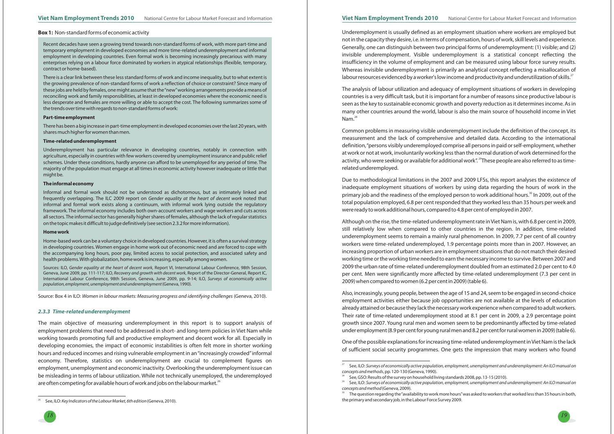#### **Box 1:** Non-standard forms of economic activity

*18*



The analysis of labour utilization and adequacy of employment situations of workers in developing countries is <sup>a</sup> very difficult task, but it is important for <sup>a</sup> number of reasons since productive labour is seen as the key to sustainable economic growth and poverty reduction as it determines income. As in many other countries around the world, labour is also the main source of household income in Viet  $\mathsf{Nam.}^{^{28}}$ 

Although on the rise, the time-related underemployment rate in Viet Nam is, with 6.8 per cent in 2009, still relatively low when compared to other countries in the region. In addition, time-related underemployment seems to remain <sup>a</sup> mainly rural phenomenon. In 2009, 7.7 per cent of all country workers were time-related underemployed, 1.9 percentage points more than in 2007. However, an increasing proportion of urban workers are in employment situations that do not match their desired working time or the working time needed to earn the necessary income to survive. Between 2007 and 2009 the urban rate of time-related underemployment doubled from an estimated 2.0 per cent to 4.0 per cent. Men were significantly more affected by time-related underemployment (7.3 per cent in 2009) when compared to women (6.2 per cent in 2009) (table 6).

Common problems in measuring visible underemployment include the definition of the concept, its measurement and the lack of comprehensive and detailed data. According to the international definition,"persons visibly underemployed comprise all persons in paid or self-employment, whether at work or not at work, involuntarily working less than the normal duration of work determined for the activity, who were seeking or available for additional work".  $^{29}$ These people are also referred to as timerelated underemployed.

Also, increasingly, young people, between the age of 15 and 24, seem to be engaged in second-choice employment activities either because job opportunities are not available at the levels of education already attained or because they lack the necessary work experience when compared to adult workers. Their rate of time-related underemployment stood at 8.1 per cent in 2009, <sup>a</sup> 2.9 percentage point growth since 2007. Young rural men and women seem to be predominantly affected by time-related under employment (8.9 per cent for young rural men and 8.2 per cent for rural women in 2009) (table 6).

Due to methodological limitations in the 2007 and 2009 LFSs, this report analyses the existence of inadequate employment situations of workers by using data regarding the hours of work in the primary job and the readiness of the employed person to work additional hours. $^{\text{30}}$  In 2009, out of the total population employed, 6.8 per cent responded that they worked less than 35 hours per week and were ready to work additional hours, compared to 4.8 per cent of employed in 2007.

There is <sup>a</sup> clear link between these less standard forms of work and income inequality, but to what extent is the growing prevalence of non-standard forms of work <sup>a</sup> reflection of choice or constraint? Since many of these jobs are held byfemales, one might assume that the"new"working arrangements provide <sup>a</sup> means of reconciling work and family responsibilities, at least in developed economies where the economic need is less desperate and females are more willing or able to accept the cost. The following summarizes some of the trends over time with regards to non-standard forms of work:

There has been <sup>a</sup> big increase in part-time employment in developed economies over the last 20 years, with shares much higher for women than men.

Sources: ILO, Gender equality at the heart of decent work, Report VI, International Labour Conference, 98th Session, Geneva, June 2009, pp. 111-117; ILO, *Recovery and growth with decent work*, Report of the Director-General, Report IC, International Labour Conference, 98th Session, Geneva, June 2009, pp. 9-14; ILO, *Surveys of economically active* (Geneva, 1990). *population, employment, unemployment and underemployment*

Source: Box 4 in ILO: Women in labour markets: Measuring progress and identifying challenges (Geneva, 2010).

The main objective of measuring underemployment in this report is to support analysis of employment problems that need to be addressed in short- and long-term policies in Viet Nam while working towards promoting full and productive employment and decent work for all. Especially in developing economies, the impact of economic instabilities is often felt more in shorter working hours and reduced incomes and rising vulnerable employment in an "increasingly crowded"informal economy. Therefore, statistics on underemployment are crucial to complement figures on employment, unemployment and economic inactivity. Overlooking the underemployment issue can be misleading in terms of labour utilization. While not technically unemployed, the underemployed are often competing for available hours of work and jobs on the labour market.<sup>26</sup>

One of the possible explanationsfor increasing time-related underemployment inViet Nam is the lack of sufficient social security programmes. One gets the impression that many workers who found

Recent decades have seen <sup>a</sup> growing trend towards non-standard forms of work, with more part-time and temporary employment in developed economies and more time-related underemployment and informal employment in developing countries. Even formal work is becoming increasingly precarious with many enterprises relying on <sup>a</sup> labour force dominated by workers in atypical relationships (flexible, temporary, contract or home-based).

See, ILO: Surveys of economically active population, employment, unemployment and underemployment: An ILO manual on

Underemployment has particular relevance in developing countries, notably in connection with agriculture, especially in countries with few workers covered by unemployment insurance and public relief schemes. Under these conditions, hardly anyone can afford to be unemployed for any period of time. The majority of the population must engage at all times in economic activity however inadequate or little that might be.

Informal and formal work should not be understood as dichotomous, but as intimately linked and frequently overlapping. The ILC 2009 report on *Gender equality at the heart of decent work* noted that informal and formal work exists along <sup>a</sup> continuum, with informal work lying outside the regulatory framework. The informal economy includes both own-account workers and wage workers and cuts across all sectors.The informal sector has generally higher shares of females, although the lack of regular statistics on the topicmakes it difficult to judge definitively(see section 2.3.2formore information).

Home-based work can be <sup>a</sup> voluntary choice in developed countries. However, it is often <sup>a</sup> survival strategy in developing countries. Women engage in home work out of economic need and are forced to cope with the accompanying long hours, poor pay, limited access to social protection, and associated safety and health problems.With globalization, home work is increasing, especially among women.

#### **Part-time employment**

#### **Time-related underemployment**

#### **The informal economy**

#### **Home work**

#### *2.3.3 Time-related underemployment*

Underemployment is usually defined as an employment situation where workers are employed but not in the capacity they desire, i.e. in terms of compensation, hours of work, skill levels and experience. Generally, one can distinguish between two principal forms of underemployment: (1) visible; and (2) invisible underemployment. Visible underemployment is <sup>a</sup> statistical concept reflecting the insufficiency in the volume of employment and can be measured using labour force survey results. Whereas invisible underemployment is primarily an analytical concept reflecting <sup>a</sup> misallocation of labour resources evidenced by a worker's low income and productivity and underutilization of skills. $^{27}$ 

 $^{30}$   $\;$  The question regarding the "availability to work more hours" was asked to workers that worked less than 35 hours in both, the primary and secondary job, in the Labour Force Survey 2009.

<sup>26</sup>See, ILO: (Geneva, 2010). *Key Indicators of the Labour Market, 6th edition*

<sup>27</sup>, pp. 120-130(Geneva, 1990). *concepts and methods*

<sup>29</sup>See,GSO: Results of the survey on household living standards 2008, pp. 13-15(2010). See, ILO: Surveys of economically active population, employment, unemployment and underemployment: An ILO manual on (Geneva, 2009). *concepts and method*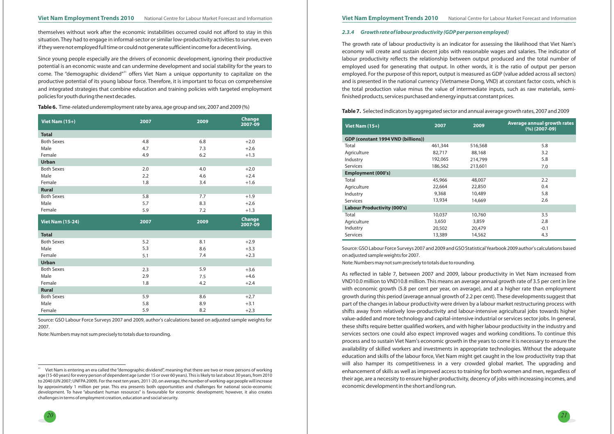

themselves without work after the economic instabilities occurred could not afford to stay in this situation. They had to engage in informal-sector or similar low-productivity activities to survive, even if they were not employed full time or could not generate sufficient income for a decent living.



come. The "demographic dividend" $^{\scriptscriptstyle 31}$  offers Viet Nam a unique opportunity to capitalize on the Since young people especially are the drivers of economic development, ignoring their productive potential is an economic waste and can undermine development and social stability for the years to productive potential of its young labour force. Therefore, it is important to focus on comprehensive and integrated strategies that combine education and training policies with targeted employment policiesfor youth during the next decades.

## *2.3.4 Growth rate of labour productivity (GDP per person employed)*

The growth rate of labour productivity is an indicator for assessing the likelihood that Viet Nam's economy will create and sustain decent jobs with reasonable wages and salaries. The indicator of labour productivity reflects the relationship between output produced and the total number of employed used for generating that output. In other words, it is the ratio of output per person employed. For the purpose of this report, output is measured as GDP (value added across all sectors) and is presented in the national currency (Vietnamese Dong, VND) at constant factor costs, which is the total production value minus the value of intermediate inputs, such as raw materials, semifinished products, services purchased and energy inputs at constant prices.

Source: GSO Labour Force Surveys 2007 and 2009 and GSO StatisticalYearbook 2009 author's calculations based on adjusted sample weights for 2007.

Note: Numbers may not sum precisely to totals due to rounding.

**Table 6.** Time-related underemployment rate by area, age group and sex, 2007 and 2009(%)

| <b>Viet Nam (15+)</b>   | 2007       | 2009 | <b>Change</b><br>2007-09 |
|-------------------------|------------|------|--------------------------|
| <b>Total</b>            |            |      |                          |
| <b>Both Sexes</b>       | 4.8        | 6.8  | $+2.0$                   |
| Male                    | 4.7        | 7.3  | $+2.6$                   |
| Female                  | 4.9        | 6.2  | $+1.3$                   |
| <b>Urban</b>            |            |      |                          |
| <b>Both Sexes</b>       | 2.0        | 4.0  | $+2.0$                   |
| Male                    | 2.2        | 4.6  | $+2.4$                   |
| Female                  | 1.8        | 3.4  | $+1.6$                   |
| <b>Rural</b>            |            |      |                          |
| <b>Both Sexes</b>       | 5.8        | 7.7  | $+1.9$                   |
| Male                    | 5.7        | 8.3  | $+2.6$                   |
| Female                  | 5.9        | 7.2  | $+1.3$                   |
|                         |            |      |                          |
| <b>Viet Nam (15-24)</b> | 2007       | 2009 | <b>Change</b><br>2007-09 |
| <b>Total</b>            |            |      |                          |
| <b>Both Sexes</b>       | 5.2        | 8.1  | $+2.9$                   |
| Male                    | 5.3        | 8.6  | $+3.3$                   |
| Female                  | 5.1        | 7.4  | $+2.3$                   |
| <b>Urban</b>            |            |      |                          |
| <b>Both Sexes</b>       | 2.3        | 5.9  | $+3.6$                   |
| Male                    | 2.9        | 7.5  | $+4.6$                   |
| Female                  | 1.8        | 4.2  | $+2.4$                   |
| <b>Rural</b>            |            |      |                          |
| <b>Both Sexes</b>       | 5.9        | 8.6  | $+2.7$                   |
| Male                    | 5.8<br>5.9 | 8.9  | $+3.1$                   |

Source: GSO Labour Force Surveys 2007 and 2009, author's calculations based on adjusted sample weights for 2007.

Note:Numbersmay not sum precisely to totals due to rounding.

#### **Table 7.** Selected indicators by aggregated sector and annual average growth rates, 2007 and 2009

| Viet Nam $(15+)$                          | 2007    | 2009    | <b>Average annual growth rates</b><br>$(%) (2007-09)$ |
|-------------------------------------------|---------|---------|-------------------------------------------------------|
| <b>GDP (constant 1994 VND (billions))</b> |         |         |                                                       |
| Total                                     | 461,344 | 516,568 | 5.8                                                   |
| Agriculture                               | 82,717  | 88,168  | 3.2                                                   |
| Industry                                  | 192,065 | 214,799 | 5.8                                                   |
| Services                                  | 186,562 | 213,601 | 7.0                                                   |
| <b>Employment (000's)</b>                 |         |         |                                                       |
| Total                                     | 45,966  | 48,007  | 2.2                                                   |
| Agriculture                               | 22,664  | 22,850  | 0.4                                                   |
| Industry                                  | 9,368   | 10,489  | 5.8                                                   |
| <b>Services</b>                           | 13,934  | 14,669  | 2.6                                                   |
| <b>Labour Productivity (000's)</b>        |         |         |                                                       |
| Total                                     | 10,037  | 10,760  | 3.5                                                   |
| Agriculture                               | 3,650   | 3,859   | 2.8                                                   |
| Industry                                  | 20,502  | 20,479  | $-0.1$                                                |
| <b>Services</b>                           | 13,389  | 14,562  | 4.3                                                   |

As reflected in table 7, between 2007 and 2009, labour productivity in Viet Nam increased from VND10.0 million to VND10.8 million. This means an average annual growth rate of 3.5 per cent in line with economic growth (5.8 per cent per year, on average), and at <sup>a</sup> higher rate than employment growth during this period (average annual growth of 2.2 per cent). These developments suggest that part of the changes in labour productivity were driven by <sup>a</sup> labour market restructuring process with shifts away from relatively low-productivity and labour-intensive agricultural jobs towards higher value-added and more technology and capital-intensive industrial or services sector jobs. In general, these shifts require better qualified workers, and with higher labour productivity in the industry and services sectors one could also expect improved wages and working conditions. To continue this process and to sustain Viet Nam's economic growth in the years to come it is necessary to ensure the availability of skilled workers and investments in appropriate technologies. Without the adequate education and skills of the labour force, Viet Nam might get caught in the low productivity trap that will also hamper its competitiveness in <sup>a</sup> very crowded global market. The upgrading and enhancement of skills as well as improved access to training for both women and men, regardless of their age, are <sup>a</sup> necessity to ensure higher productivity, decency of jobs with increasing incomes, and economic development in the short and long run.

<sup>31</sup> Viet Nam is entering an era called the "demographic dividend", meaning that there are two or more persons of working age (15-60 years) for every person of dependent age (under 15 or over 60 years).This is likely to last about 30 years, from 2010 to 2040 (UN 2007; UNFPA 2009). For the next ten years, 2011-20, on average, the number of working-age people will increase by approximately <sup>1</sup> million per year. This era presents both opportunities and challenges for national socio-economic development. To have "abundant human resources" is favourable for economic development; however, it also creates challenges in terms of employment creation, education and social security.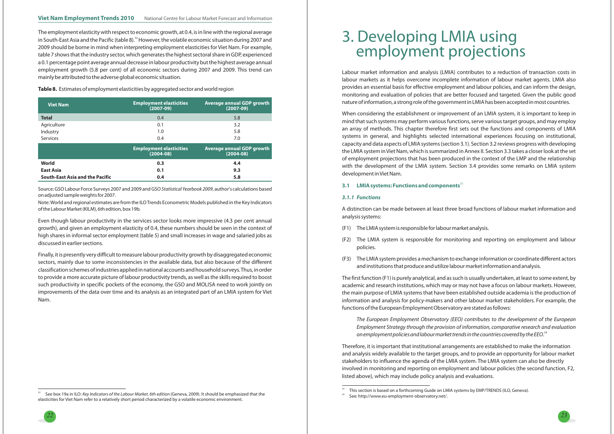



The employment elasticity with respect to economic growth, at 0.4, is in line with the regional average in South-East Asia and the Pacific (table 8). $^{\text{32}}$  However, the volatile economic situation during 2007 and 2009 should be borne in mind when interpreting employment elasticities for Viet Nam. For example, table <sup>7</sup> shows that the industry sector, which generates the highest sectoral share in GDP, experienced <sup>a</sup> 0.1 percentage point average annual decrease in labour productivity but the highest average annual employment growth (5.8 per cent) of all economic sectors during 2007 and 2009. This trend can mainly be attributed to the adverse global economic situation.

Estimates of employment elasticities by aggregated sector and world region **Table 8.**

Labour market information and analysis (LMIA) contributes to <sup>a</sup> reduction of transaction costs in labour markets as it helps overcome incomplete information of labour market agents. LMIA also provides an essential basis for effective employment and labour policies, and can inform the design, monitoring and evaluation of policies that are better focused and targeted. Given the public good nature of information, <sup>a</sup> strong role of the government in LMIA has been accepted inmost countries.

The first function (F1) is purely analytical, and as such is usually undertaken, at least to some extent, by academic and research institutions, which may or may not have <sup>a</sup> focus on labour markets. However, the main purpose of LMIA systems that have been established outside academia is the production of information and analysis for policy-makers and other labour market stakeholders. For example, the functions of the European Employment Observatory are stated as follows:

on employment policies and labour market trends in the countries covered by the EEO. $^{\text{34}}$ The European Employment Observatory (EEO) contributes to the development of the European Employment Strategy through the provision of information, comparative research and evaluation

When considering the establishment or improvement of an LMIA system, it is important to keep in mind that such systems may perform various functions, serve various target groups, and may employ an array of methods. This chapter therefore first sets out the functions and components of LMIA systems in general, and highlights selected international experiences focusing on institutional, capacity and data aspects of LMIA systems (section 3.1). Section 3.2 reviews progress with developing the LMIA system in Viet Nam, which is summarized in Annex II. Section 3.3 takes <sup>a</sup> closer look at the set of employment projections that has been produced in the context of the LMP and the relationship with the development of the LMIA system. Section 3.4 provides some remarks on LMIA system development inVietNam.

Note:World and regional estimates are from the ILOTrends Econometric Models published in the Key Indicators of the Labour Market (KILM), 6th edition, box 19b.

A distinction can be made between at least three broad functions of labour market information andanalysis systems:

- (F1) The LMIA system is responsiblefor labourmarket analysis.
- (F2) The LMIA system is responsible for monitoring and reporting on employment and labour policies.
- (F3) The LMIA system provides <sup>a</sup> mechanism to exchange information or coordinate different actors and institutions that produce and utilize labourmarket information and analysis.

 $^{\prime}$  See box 19a in ILO: *Key Indicators of the Labour Market, 6th edition (Geneva, 2009). It should be emphasized that the* elasticities for Viet Nam refer to <sup>a</sup> relatively short period characterized by <sup>a</sup> volatile economic environment.

Therefore, it is important that institutional arrangements are established to make the information and analysis widely available to the target groups, and to provide an opportunity for labour market stakeholders to influence the agenda of the LMIA system. The LMIA system can also be directly involved in monitoring and reporting on employment and labour policies (the second function, F2, listed above), which may include policy analysis and evaluations.

## **3.1 LMIA systems: Functions and components**<sup>33</sup>

#### *3.1.1 Functions*

| <b>Viet Nam</b>                        | <b>Employment elasticities</b><br>$(2007-09)$ | <b>Average annual GDP growth</b><br>$(2007-09)$ |
|----------------------------------------|-----------------------------------------------|-------------------------------------------------|
| <b>Total</b>                           | 0.4                                           | 5.8                                             |
| Agriculture                            | 0.1                                           | 3.2                                             |
| Industry                               | 1.0                                           | 5.8                                             |
| <b>Services</b>                        | 0.4                                           | 7.0                                             |
|                                        | <b>Employment elasticities</b><br>$(2004-08)$ | <b>Average annual GDP growth</b><br>$(2004-08)$ |
| World                                  | 0.3                                           | 4.4                                             |
| <b>East Asia</b>                       | 0.1                                           | 9.3                                             |
| <b>South-East Asia and the Pacific</b> | 0.4                                           | 5.8                                             |

Source: GSO Labour Force Surveys 2007 and 2009 and GSO *Statistical Yearbook 2009,* author's calculations based on adjusted sample weights for 2007.

Even though labour productivity in the services sector looks more impressive (4.3 per cent annual growth), and given an employment elasticity of 0.4, these numbers should be seen in the context of high shares in informal sector employment (table 5) and small increases in wage and salaried jobs as discussed in earlier sections.

Finally, it is presently very difficult to measure labour productivity growth by disaggregated economic sectors, mainly due to some inconsistencies in the available data, but also because of the different classification schemes of industries applied in national accounts and household surveys.Thus, in order to provide <sup>a</sup> more accurate picture of labour productivity trends, as well as the skills required to boost such productivity in specific pockets of the economy, the GSO and MOLISA need to work jointly on improvements of the data over time and its analysis as an integrated part of an LMIA system for Viet Nam.

# 3. Developing LMIA using employment projections

 $^{33}$  This section is based on a forthcoming Guide on LMIA systems by EMP/TRENDS (ILO, Geneva).

<sup>&</sup>lt;sup>34</sup> See: http://www.eu-employment-observatory.net/.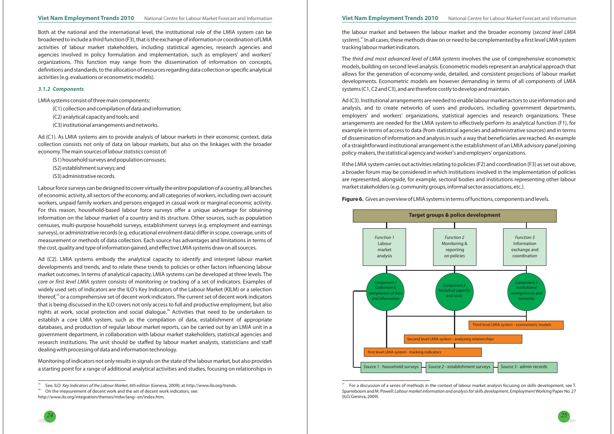

For a discussion of a series of methods in the context of labour market analysis focusing on skills development, see T.



Both at the national and the international level, the institutional role of the LMIA system can be broadened to include a third function (F3), that is the exchange of information or coordination of LMIA activities of labour market stakeholders, including statistical agencies, research agencies and agencies involved in policy formulation and implementation, such as employers' and workers' organizations. This function may range from the dissemination of information on concepts, definitions and standards, to the allocation of resources regarding data collection or specific analytical activities(e.g. evaluations or econometricmodels).

LMIA systems consist of threemain components:

(C1) collection and compilation of data and information;

(C2) analytical capacity and tools; and

(C3) institutional arrangements and networks.

Ad (C1). As LMIA systems aim to provide analysis of labour markets in their economic context, data collection consists not only of data on labour markets, but also on the linkages with the broader economy. The main sources of *labour statistics* consist of:

(S1) household surveys and population censuses;

(S2) establishment surveys; and

(S3) administrative records.

Labourforce surveys can be designed to cover virtually the entire population of <sup>a</sup> country, all branches of economic activity, all sectors of the economy, and all categories of workers, including own-account workers, unpaid family workers and persons engaged in casual work or marginal economic activity. For this reason, household-based labour force surveys offer <sup>a</sup> unique advantage for obtaining information on the labour market of <sup>a</sup> country and its structure. Other sources, such as population censuses, multi-purpose household surveys, establishment surveys (e.g. employment and earnings surveys), or administrative records (e.g. educational enrolment data) differ in scope, coverage, units of measurement or methods of data collection. Each source has advantages and limitations in terms of the cost, quality and type of information gained, and effective LMIA systems draw on all sources.

Ad (C2). LMIA systems embody the analytical capacity to identify and interpret labour market developments and trends, and to relate these trends to policies or other factors influencing labour market outcomes. In terms of analytical capacity, LMIA systems can be developed at three levels. The  $\epsilon$  or first level LMIA system consists of monitoring or tracking of a set of indicators. Examples of widely used sets of indicators are the ILO's Key Indicators of the Labour Market (KILM) or <sup>a</sup> selection thereof,<sup>35</sup> or a comprehensive set of decent work indicators. The current set of decent work indicators that is being discussed in the ILO covers not only access to full and productive employment, but also rights at work, social protection and social dialogue. $^{36}$  Activities that need to be undertaken to establish <sup>a</sup> core LMIA system, such as the compilation of data, establishment of appropriate databases, and production of regular labour market reports, can be carried out by an LMIA unit in <sup>a</sup> government department, in collaboration with labour market stakeholders, statistical agencies and research institutions. The unit should be staffed by labour market analysts, statisticians and staff dealing with processing of data and information technology.

Monitoring of indicators not only results in signals on the state of the labour market, but also provides <sup>a</sup> starting point for <sup>a</sup> range of additional analytical activities and studies, focusing on relationships in

#### *3.1.2 Components*

the labour market and between the labour market and the broader economy ( *second level LMIA*system).<sup>37</sup> In all cases, these methods draw on or need to be complemented by a first level LMIA system tracking labourmarket indicators.

*The third and most advanced level of LMIA systems involves the use of comprehensive econometric* models, building on second level analysis. Econometric models represent an analytical approach that allows for the generation of economy-wide, detailed, and consistent projections of labour market developments. Econometric models are however demanding in terms of all components of LMIA systems (C1, C2 and C3), and are therefore costly to develop and maintain.

Ad (C3). Institutional arrangements are needed to enable labour market actors to use information and analysis, and to create networks of users and producers, including government departments, employers' and workers' organizations, statistical agencies and research organizations. These arrangements are needed for the LMIA system to effectively perform its analytical function (F1), for example in terms of access to data (from statistical agencies and administrative sources) and in terms of dissemination of information and analysis in such <sup>a</sup> way that beneficiaries are reached. An example of <sup>a</sup> straightforward institutional arrangement is the establishment of an LMIA advisory panel joining policy-makers, the statistical agency and worker's and employers' organizations.

If the LMIA system carries out activities relating to policies (F2) and coordination (F3) as set out above, <sup>a</sup> broader forum may be considered in which institutions involved in the implementation of policies are represented, alongside, for example, sectoral bodies and institutions representing other labour market stakeholders(e.g. community groups, informal sector associations, etc.).

#### **Figure 6.** Gives an overview of LMIA systems in terms of functions, components and levels.



Sparreboom and M. Powell: *Labour market information and analysis for skills development,* Employment Working Paper No. 27 (ILO,Geneva, 2009).

<sup>35</sup>See, ILO: Key Indicators of the Labour Market, 6th edition (Geneva, 2009); at http://www.ilo.org/trends.

On the measurement of decent work and the set of decent work indicators, see:

http://www.ilo.org/integration/themes/mdw/lang--en/index.htm.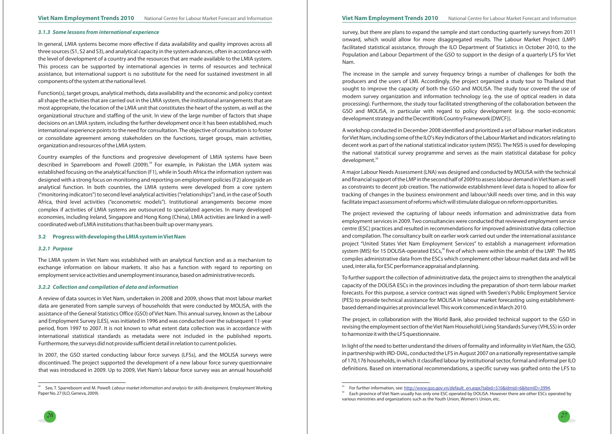#### *3.1.3 Some lessons from international experience*

#### *3.2.1 Purpose*

#### *3.2.2 Collection and compilation of data and information*

#### **3.2 Progress with developing the LMIA system inViet Nam**

In general, LMIA systems become more effective if data availability and quality improves across all three sources (S1, S2 and S3), and analytical capacity in the system advances, often in accordance with the level of development of <sup>a</sup> country and the resources that are made available to the LMIA system. This process can be supported by international agencies in terms of resources and technical assistance, but international support is no substitute for the need for sustained investment in all components of the system at the national level.

Function(s), target groups, analytical methods, data availability and the economic and policy context all shape the activities that are carried out in the LMIA system, the institutional arrangements that are most appropriate, the location of the LMIA unit that constitutes the heart of the system, as well as the organizational structure and staffing of the unit. In view of the large number of factors that shape decisions on an LMIA system, including the further development once it has been established, much international experience points to the need for consultation. The objective of consultation is to foster or consolidate agreement among stakeholders on the functions, target groups, main activities, organization and resources of the LMIA system.

In 2007, the GSO started conducting labour force surveys (LFSs), and the MOLISA surveys were discontinued. The project supported the development of <sup>a</sup> new labour force survey questionnaire that was introduced in 2009. Up to 2009, Viet Nam's labour force survey was an annual household

Country examples of the functions and progressive development of LMIA systems have been described in Sparreboom and Powell (2009).<sup>38</sup> For example, in Pakistan the LMIA system was established focusing on the analytical function (F1), while in South Africa the information system was designed with <sup>a</sup> strong focus on monitoring and reporting on employment policies (F2) alongside an analytical function. In both countries, the LMIA systems were developed from <sup>a</sup> core system ("monitoring indicators") to second level analytical activities ("relationships") and, in the case of South Africa, third level activities ("econometric models"). Institutional arrangements become more complex if activities of LMIA systems are outsourced to specialized agencies. In many developed economies, including Ireland, Singapore and Hong Kong (China), LMIA activities are linked in <sup>a</sup> wellcoordinated web of LMIA institutions that has been built up over many years.

A workshop conducted in December 2008 identified and prioritized <sup>a</sup> set of labour market indicators forViet Nam, including some of the ILO's Key Indicators of the Labour Market and indicators relating to decent work as part of the national statistical indicator system (NSIS). The NSIS is used for developing the national statistical survey programme and serves as the main statistical database for policy development.<sup>39</sup>

The LMIA system in Viet Nam was established with an analytical function and as <sup>a</sup> mechanism to exchange information on labour markets. It also has <sup>a</sup> function with regard to reporting on employment service activities and unemployment insurance, based on administrative records.

A review of data sources in Viet Nam, undertaken in 2008 and 2009, shows that most labour market data are generated from sample surveys of households that were conducted by MOLISA, with the assistance of the General Statistics Office (GSO) of Viet Nam. This annual survey, known as the Labour and Employment Survey (LES), was initiated in 1996 and was conducted over the subsequent 11-year period, from 1997 to 2007. It is not known to what extent data collection was in accordance with international statistical standards as metadata were not included in the published reports. Furthermore, the surveys did not provide sufficient detail in relation to current policies.

survey, but there are plans to expand the sample and start conducting quarterly surveys from 2011 onward, which would allow for more disaggregated results. The Labour Market Project (LMP) facilitated statistical assistance, through the ILO Department of Statistics in October 2010, to the Population and Labour Department of the GSO to support in the design of <sup>a</sup> quarterly LFS for Viet Nam.

The increase in the sample and survey frequency brings <sup>a</sup> number of challenges for both the producers and the users of LMI. Accordingly, the project organized <sup>a</sup> study tour to Thailand that sought to improve the capacity of both the GSO and MOLISA. The study tour covered the use of modern survey organization and information technology (e.g. the use of optical readers in data processing). Furthermore, the study tour facilitated strengthening of the collaboration between the GSO and MOLISA, in particular with regard to policy development (e.g. the socio-economic development strategy and the DecentWork Country Framework (DWCF)).

A major Labour Needs Assessment (LNA) was designed and conducted by MOLISA with the technical and financial support of the LMP in the second half of 2009 to assess labour demand inViet Nam as well as constraints to decent job creation. The nationwide establishment-level data is hoped to allow for tracking of changes in the business environment and labour/skill needs over time, and in this way facilitate impact assessment of reforms which will stimulate dialogue on reform opportunities.

The project reviewed the capturing of labour needs information and administrative data from employment services in 2009. Two consultancies were conducted that reviewed employment service centre (ESC) practices and resulted in recommendations for improved administrative data collection and compilation. The consultancy built on earlier work carried out under the international assistance project "United States Viet Nam Employment Services" to establish <sup>a</sup> management information system (MIS) for 15 DOLISA-operated ESCs, $\rm{^{40}}$  five of which were within the ambit of the LMP. The MIS compiles administrative data from the ESCs which complement other labour market data and will be used, inter alia, for ESC performance appraisal and planning.

To further support the collection of administrative data, the project aims to strengthen the analytical capacity of the DOLISA ESCs in the provinces including the preparation of short-term labour market forecasts. For this purpose, <sup>a</sup> service contract was signed with Sweden's Public Employment Service (PES) to provide technical assistance for MOLISA in labour market forecasting using establishmentbased demand inquiries at provincial level.This work commenced in March 2010.

The project, in collaboration with the World Bank, also provided technical support to the GSO in revising the employment section of theViet Nam Household Living Standards Survey (VHLSS) in order to harmonize it with the LFS questionnaire.

In light of the need to better understand the drivers of formality and informality in Viet Nam, the GSO, in partnership with IRD-DIAL, conducted the LFS in August 2007 on <sup>a</sup> nationally representative sample of 170,176 households, in which it classified labour by institutional sector, formal and informal per ILO definitions. Based on international recommendations, <sup>a</sup> specific survey was grafted onto the LFS to



<sup>38</sup><sup>8</sup> See, T. Sparreboom and M. Powell: Labour market information and analysis for skills development, Employment Working Paper No. 27 (ILO, Geneva, 2009).

<sup>40</sup> Each province of Viet Nam usually has only one ESC operated by DOLISA. However there are other ESCs operated by For further information, see: <u>http://www.gso.gov.vn/default\_en.aspx?tabid=510&idmid=6&ItemID=3994</u>. various ministries and organizations such as the Youth Union, Women's Union, etc.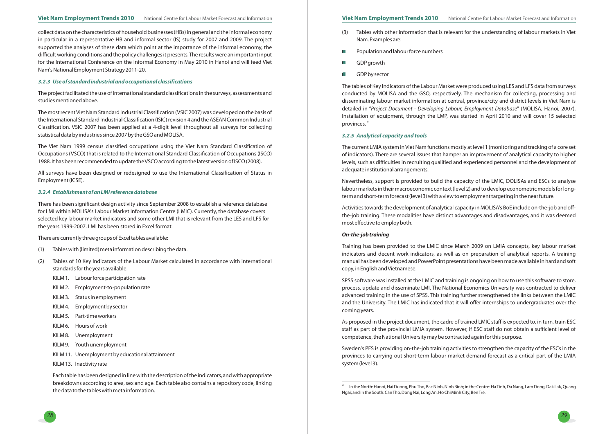

collect data on the characteristics of household businesses (HBs) in general and the informal economy in particular in <sup>a</sup> representative HB and informal sector (IS) study for 2007 and 2009. The project supported the analyses of these data which point at the importance of the informal economy, the difficult working conditions and the policy challenges it presents. The results were an important input for the International Conference on the Informal Economy in May 2010 in Hanoi and will feed Viet Nam's National Employment Strategy 2011-20.

The project facilitated the use of international standard classifications in the surveys, assessments and studies mentioned above.

The most recent Viet Nam Standard Industrial Classification (VSIC 2007) was developed on the basis of the International Standard Industrial Classification (ISIC) revision 4 and the ASEAN Common Industrial Classification. VSIC 2007 has been applied at <sup>a</sup> 4-digit level throughout all surveys for collecting statistical data by industries since 2007 by the GSO and MOLISA.

The Viet Nam 1999 census classified occupations using the Viet Nam Standard Classification of Occupations (VSCO) that is related to the International Standard Classification of Occupations (ISCO) 1988. It has been recommended to update theVSCO according to the latest version of ISCO (2008).

- (3) Tables with other information that is relevant for the understanding of labour markets in Viet Nam. Examples are:
- Population and labour force numbers Ш
- GDP growth  $\Box$
- GDP by sector  $\Box$

All surveys have been designed or redesigned to use the International Classification of Status in Employment (ICSE).

The tables of Key Indicators of the Labour Market were produced using LES and LFS data from surveys conducted by MOLISA and the GSO, respectively. The mechanism for collecting, processing and disseminating labour market information at central, province/city and district levels in Viet Nam is detailed in "Project Document - Developing Labour, Employment Database" (MOLISA, Hanoi, 2007). Installation of equipment, through the LMP, was started in April 2010 and will cover 15 selected provinces.  $^{41}$ 

There has been significant design activity since September 2008 to establish <sup>a</sup> reference database for LMI within MOLISA's Labour Market Information Centre (LMIC). Currently, the database covers selected key labour market indicators and some other LMI that is relevant from the LES and LFS for the years 1999-2007. LMI has been stored in Excel format.

There are currently three groups of Excel tables available:

- (1) Tables with (limited) meta information describing the data.
- (2) Tables of 10 Key Indicators of the Labour Market calculated in accordance with international standards for the years available:
	- KILM 1. Labour force participation rate
	- KILM 2. Employment-to-population rate
	- KILM 3. Status in employment
	- KILM 4. Employment by sector
	- KILM 5. Part-time workers
	- KILM 6. Hours of work
	- KILM 8. Unemployment
	- KILM 9. Youth unemployment
	- KILM 11. Unemployment by educational attainment
	- KILM 13. Inactivity rate

Each table has been designed in line with the description of the indicators, and with appropriate breakdowns according to area, sex and age. Each table also contains <sup>a</sup> repository code, linking the data to the tables with meta information.

## Viet Nam Employment Trends 2010 National Centre for Labour Market Forecast and Information Viet Nam Employment Trends 2010 National Centre for Labour Market Forecast and Information

## *3.2.3 Use of standard industrial and occupational classifications*

#### *3.2.4 Establishment of an LMI reference database*

The current LMIA system in Viet Nam functions mostly at level <sup>1</sup> (monitoring and tracking of <sup>a</sup> core set of indicators). There are several issues that hamper an improvement of analytical capacity to higher levels, such as difficulties in recruiting qualified and experienced personnel and the development of adequate institutional arrangements.

Nevertheless, support is provided to build the capacity of the LMIC, DOLISAs and ESCs to analyse labour markets in their macroeconomic context (level 2) and to develop econometric models for longterm and short-term forecast (level 3) with <sup>a</sup> view to employment targeting in the near future.

Activities towards the development of analytical capacity in MOLISA's BoE include on-the-job and offthe-job training. These modalities have distinct advantages and disadvantages, and it was deemed most effective to employ both.

Training has been provided to the LMIC since March 2009 on LMIA concepts, key labour market indicators and decent work indicators, as well as on preparation of analytical reports. A training manual has been developed and PowerPoint presentations have been made available in hard and soft copy, in English andVietnamese.

SPSS software was installed at the LMIC and training is ongoing on how to use this software to store, process, update and disseminate LMI. The National Economics University was contracted to deliver advanced training in the use of SPSS. This training further strengthened the links between the LMIC and the University. The LMIC has indicated that it will offer internships to undergraduates over the coming years.

As proposed in the project document, the cadre of trained LMIC staff is expected to, in turn, train ESC staff as part of the provincial LMIA system. However, if ESC staff do not obtain <sup>a</sup> sufficient level of competence, the National University may be contracted again for this purpose.

Sweden's PES is providing on-the-job training activities to strengthen the capacity of the ESCs in the provinces to carrying out short-term labour market demand forecast as <sup>a</sup> critical part of the LMIA system (level 3).

## *On-the-job training*

## *3.2.5 Analytical capacity and tools*

<sup>41</sup> In the North: Hanoi, Hai Duong, Phu Tho, Bac Ninh, Ninh Binh; in the Centre: Ha Tinh, Da Nang, Lam Dong, Dak Lak, Quang Ngai; and in the South: CanTho, Dong Nai, Long An, Ho Chi Minh City, BenTre.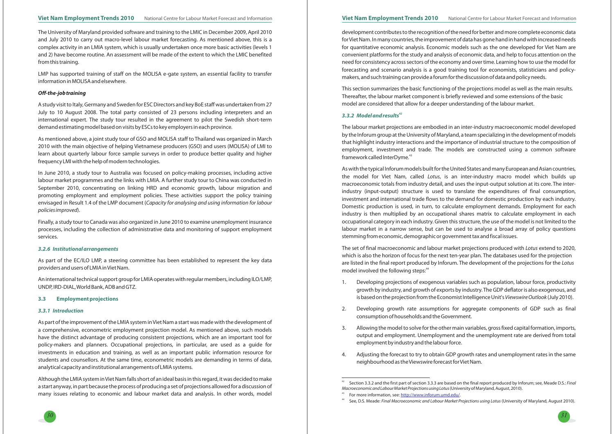

The University of Maryland provided software and training to the LMIC in December 2009, April 2010 and July 2010 to carry out macro-level labour market forecasting. As mentioned above, this is <sup>a</sup> complex activity in an LMIA system, which is usually undertaken once more basic activities (levels <sup>1</sup> and 2) have become routine. An assessment will be made of the extent to which the LMIC benefited from this training.

LMP has supported training of staff on the MOLISA e-gate system, an essential facility to transfer information in MOLISA and elsewhere.

A study visit to Italy, Germany and Sweden for ESC Directors and key BoE staff was undertaken from 27 July to 10 August 2008. The total party consisted of 23 persons including interpreters and an international expert. The study tour resulted in the agreement to pilot the Swedish short-term demand estimating model based on visits by ESCs to key employers in each province.

As mentioned above, <sup>a</sup> joint study tour of GSO and MOLISA staff to Thailand was organized in March 2010 with the main objective of helping Vietnamese producers (GSO) and users (MOLISA) of LMI to learn about quarterly labour force sample surveys in order to produce better quality and higher frequency LMI with the help of modern technologies.

Finally, <sup>a</sup> study tour to Canada was also organized in June 2010 to examine unemployment insurance processes, including the collection of administrative data and monitoring of support employment services.

As part of the EC/ILO LMP, <sup>a</sup> steering committee has been established to represent the key data providers and users of LMIA inViet Nam.

An international technical support group for LMIA operates with regular members, including ILO/LMP, UNDP, IRD-DIAL,World Bank, ADB and GTZ.

In June 2010, <sup>a</sup> study tour to Australia was focused on policy-making processes, including active labour market programmes and the links with LMIA. A further study tour to China was conducted in September 2010, concentrating on linking HRD and economic growth, labour migration and promoting employment and employment policies. These activities support the policy training envisaged in Result 1.4 of the LMP document ( *Capacity for analysing and using information for labour* ). *policies improved*

As part of the improvement of the LMIA system in Viet Nam <sup>a</sup> start was made with the development of <sup>a</sup> comprehensive, econometric employment projection model. As mentioned above, such models have the distinct advantage of producing consistent projections, which are an important tool for policy-makers and planners. Occupational projections, in particular, are used as <sup>a</sup> guide for investments in education and training, as well as an important public information resource for students and counsellors. At the same time, econometric models are demanding in terms of data, analytical capacity and institutional arrangements of LMIA systems.

1. Developing projections of exogenous variables such as population, labour force, productivity growth by industry, and growth of exports by industry. The GDP deflator is also exogenous, and is based on the projection from the Economist Intelligence Unit's *Viewswire Outlook* (July 2010).

Although the LMIA system inViet Nam falls short of an ideal basis in this regard, it was decided to make <sup>a</sup> start anyway, in part because the process of producing <sup>a</sup> set of projections allowed for <sup>a</sup> discussion of many issues relating to economic and labour market data and analysis. In other words, model

## Viet Nam Employment Trends 2010 National Centre for Labour Market Forecast and Information Viet Nam Employment Trends 2010 National Centre for Labour Market Forecast and Information

## *Off-the-job training*

#### *3.2.6 Institutional arrangements*

#### *3.3.1 Introduction*

#### **3.3 Employment projections**

development contributes to the recognition of the need for better and more complete economic data forViet Nam. In many countries, the improvement of data has gone hand in hand with increased needs for quantitative economic analysis. Economic models such as the one developed for Viet Nam are convenient platforms for the study and analysis of economic data, and help to focus attention on the need for consistency across sectors of the economy and over time. Learning how to use the model for forecasting and scenario analysis is <sup>a</sup> good training tool for economists, statisticians and policymakers, and such training can provide <sup>a</sup> forum for the discussion of data and policy needs.

This section summarizes the basic functioning of the projections model as well as the main results. Thereafter, the labour market component is briefly reviewed and some extensions of the basic model are considered that allow for <sup>a</sup> deeper understanding of the labour market.

As with the typical Inforum models built for the United States and many European and Asian countries, the model for Viet Nam, called *Lotus*, is an inter-industry macro model which builds up macroeconomic totals from industry detail, and uses the input-output solution at its core. The interindustry (input-output) structure is used to translate the expenditures of final consumption, investment and international trade flows to the demand for domestic production by each industry. Domestic production is used, in turn, to calculate employment demands. Employment for each industry is then multiplied by an occupational shares matrix to calculate employment in each occupational category in each industry. Given this structure, the use of the model is not limited to the labour market in <sup>a</sup> narrow sense, but can be used to analyse <sup>a</sup> broad array of policy questions stemming from economic, demographic or government tax and fiscal issues.

The set of final macroeconomic and labour market projections produced with *Lotus* extend to 2020, which is also the horizon of focus for the next ten-year plan. The databases used for the projection are listed in the final report produced by Inforum. The development of the projections for the *Lotus* model involved the following steps: $^{44}$ 

The labour market projections are embodied in an inter-industry macroeconomic model developed by the Inforum group at the University of Maryland, <sup>a</sup> team specializing in the development of models that highlight industry interactions and the importance of industrial structure to the composition of employment, investment and trade. The models are constructed using <sup>a</sup> common software framework called InterDyme. 43

2. Developing growth rate assumptions for aggregate components of GDP such as final

3. Allowing the model to solve for the other main variables, gross fixed capital formation, imports, output and employment. Unemployment and the unemployment rate are derived from total

- 
- consumption of households and the Government.
- employment by industry and the labour force.
- neighbourhood as theViewswire forecast forViet Nam.

4. Adjusting the forecast to try to obtain GDP growth rates and unemployment rates in the same

<sup>44</sup> See, D.S. Meade: Final Macroeconomic and Labour Market Projections using Lotus (University of Maryland, August 2010).

## *3.3.2 Model and results<sup>42</sup>*

<sup>42</sup>43Section 3.3.2 and the first part of section 3.3.3 are based on the final report produced by Inforum; see, Meade D.S.: *Final*  $M$ acroeconomic and Labour Market Projections using Lotus (University of Maryland, August, 2010). For more information, see: <u>http://www.inforum.umd.edu/</u>.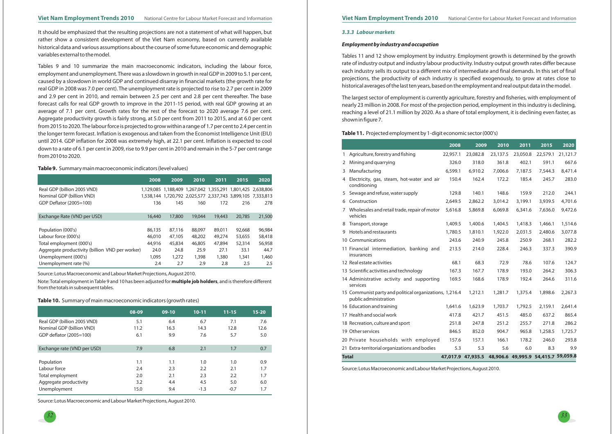#### Viet Nam Employment Trends 2010 National Centre for Labour Market Forecast and Information Viet Nam Employment Trends 2010 National Centre for Labour Market Forecast and Information

It should be emphasized that the resulting projections are not <sup>a</sup> statement of what will happen, but rather show <sup>a</sup> consistent development of the Viet Nam economy, based on currently available historical data and various assumptions about the course of some future economic and demographic variables external to the model.

Tables 9 and 10 summarize the main macroeconomic indicators, including the labour force, employment and unemployment. There was <sup>a</sup> slowdown in growth in real GDP in 2009 to 5.1 per cent, caused by <sup>a</sup> slowdown in world GDP and continued disarray in financial markets (the growth rate for real GDP in 2008 was 7.0 per cent). The unemployment rate is projected to rise to 2.7 per cent in 2009 and 2.9 per cent in 2010, and remain between 2.5 per cent and 2.8 per cent thereafter. The base forecast calls for real GDP growth to improve in the 2011-15 period, with real GDP growing at an average of 7.1 per cent. Growth rates for the rest of the forecast to 2020 average 7.6 per cent. Aggregate productivity growth is fairly strong, at 5.0 per cent from 2011 to 2015, and at 6.0 per cent from 2015 to 2020.The labour force is projected to grow within <sup>a</sup> range of 1.7 per cent to 2.4 per cent in the longer term forecast. Inflation is exogenous and taken from the Economist Intelligence Unit (EIU) until 2014. GDP inflation for 2008 was extremely high, at 22.1 per cent. Inflation is expected to cool down to <sup>a</sup> rate of 6.1 per cent in 2009, rise to 9.9 per cent in 2010 and remain in the 5-7 per cent range from 2010 to 2020.

#### *3.3.3 Labour markets*

#### *Employment by industry and occupation*

Tables <sup>11</sup> and 12 show employment by industry. Employment growth is determined by the growth rate of industry output and industry labour productivity. Industry output growth rates differ because each industry sells its output to <sup>a</sup> different mix of intermediate and final demands. In this set of final projections, the productivity of each industry is specified exogenously, to grow at rates close to historical averages of the last ten years, based on the employment and real output data in the model.

The largest sector of employment is currently agriculture, forestry and fisheries, with employment of nearly 23 million in 2008. For most of the projection period, employment in this industry is declining, reaching <sup>a</sup> level of 21.1 million by 2020. As <sup>a</sup> share of total employment, it is declining even faster, as shown in figure 7.

#### **Table 9.** Summary main macroeconomic indicators (level values)

|                                                 | 2008   | 2009                                    | 2010   | 2011   | 2015                                                        | 2020   |
|-------------------------------------------------|--------|-----------------------------------------|--------|--------|-------------------------------------------------------------|--------|
| Real GDP (billion 2005 VND)                     |        | 1,129,085 1,188,409 1,267,042 1,355,291 |        |        | 1,801,425 2,638,806                                         |        |
| Nominal GDP (billion VND)                       |        |                                         |        |        | 1,538,144 1,720,792 2,025,577 2,337,743 3,899,105 7,333,813 |        |
| GDP Deflator (2005=100)                         | 136    | 145                                     | 160    | 172    | 216                                                         | 278    |
|                                                 |        |                                         |        |        |                                                             |        |
| Exchange Rate (VND per USD)                     | 16,440 | 17,800                                  | 19,044 | 19,443 | 20,785                                                      | 21,500 |
|                                                 |        |                                         |        |        |                                                             |        |
| Population (000's)                              | 86,135 | 87,116                                  | 88,097 | 89,011 | 92,668                                                      | 96,984 |
| Labour force (000's)                            | 46,010 | 47,105                                  | 48,202 | 49,274 | 53,655                                                      | 58,418 |
| Total employment (000's)                        | 44,916 | 45,834                                  | 46,805 | 47,894 | 52,314                                                      | 56,958 |
| Aggregate productivity (billion VND per worker) | 24.0   | 24.8                                    | 25.9   | 27.1   | 33.1                                                        | 44.7   |
| Unemployment (000's)                            | 1,095  | 1,272                                   | 1,398  | 1,380  | 1,341                                                       | 1,460  |
| Unemployment rate (%)                           | 2.4    | 2.7                                     | 2.9    | 2.8    | 2.5                                                         | 2.5    |

Source: Lotus Macroeconomic and Labour Market Projections, August 2010.

Note: Total employment in Table 9 and 10 has been adjusted for **multiple job holders**, and is therefore different from the totals in subsequent tables.

#### **Table 10.** Summary of main macroeconomic indicators (growth rates)

| 08-09 | $09-10$ | $10 - 11$ | $11 - 15$ | $15 - 20$ |
|-------|---------|-----------|-----------|-----------|
| 5.1   | 6.4     | 6.7       | 7.1       | 7.6       |
| 11.2  | 16.3    | 14.3      | 12.8      | 12.6      |
| 6.1   | 9.9     | 7.6       | 5.7       | 5.0       |
| 7.9   | 6.8     | 2.1       | 1.7       | 0.7       |
| 1.1   | 1.1     | 1.0       | 1.0       | 0.9       |
| 2.4   | 2.3     | 2.2       | 2.1       | 1.7       |
| 2.0   | 2.1     | 2.3       | 2.2       | 1.7       |
| 3.2   | 4.4     | 4.5       | 5.0       | 6.0       |
| 15.0  | 9.4     | $-1.3$    | $-0.7$    | 1.7       |
|       |         |           |           |           |

Source: Lotus Macroeconomic and Labour Market Projections, August 2010.

#### **Table 11.** Projected employment by 1-digit economic sector (000's)

|              |                                                                                  | 2008     | 2009              | 2010     | 2011                                | 2015     | 2020     |
|--------------|----------------------------------------------------------------------------------|----------|-------------------|----------|-------------------------------------|----------|----------|
|              | 1 Agriculture, forestry and fishing                                              | 22,957.1 | 23,082.8          | 23,137.5 | 23,050.8                            | 22,579.1 | 21,121.7 |
|              | 2 Mining and quarrying                                                           | 326.0    | 318.0             | 361.8    | 402.1                               | 591.1    | 667.6    |
|              | 3 Manufacturing                                                                  | 6,599.1  | 6,910.2           | 7,006.6  | 7,187.5                             | 7,544.3  | 8,471.4  |
|              | 4 Electricity, gas, steam, hot-water and air<br>conditioning                     | 150.4    | 162.4             | 172.2    | 185.4                               | 245.7    | 283.0    |
|              | 5 Sewage and refuse, water supply                                                | 129.8    | 140.1             | 148.6    | 159.9                               | 212.0    | 244.1    |
|              | 6 Construction                                                                   | 2,649.5  | 2,862.2           | 3,014.2  | 3,199.1                             | 3,939.5  | 4,701.6  |
|              | 7 Wholesales and retail trade, repair of motor<br>vehicles                       | 5,616.8  | 5,869.8           | 6,069.8  | 6,341.6                             | 7,636.0  | 9,472.6  |
|              | 8 Transport, storage                                                             | 1,409.5  | 1,400.6           | 1,404.5  | 1,418.3                             | 1,466.1  | 1,514.6  |
|              | 9 Hotels and restaurants                                                         | 1,780.5  | 1,810.1           | 1,922.0  | 2,031.5                             | 2,480.6  | 3,077.8  |
|              | 10 Communications                                                                | 243.6    | 240.9             | 245.8    | 250.9                               | 268.1    | 282.2    |
|              | 11 Financial intermediation, banking and<br>insurances                           | 213.5    | 214.0             | 228.4    | 246.3                               | 337.3    | 390.9    |
|              | 12 Real estate activities                                                        | 68.1     | 68.3              | 72.9     | 78.6                                | 107.6    | 124.7    |
|              | 13 Scientific activities and technology                                          | 167.3    | 167.7             | 178.9    | 193.0                               | 264.2    | 306.3    |
|              | 14 Administrative activity and supporting<br>services                            | 169.5    | 168.6             | 178.9    | 192.4                               | 264.6    | 311.6    |
|              | 15 Communist party and political organizations, 1,216.4<br>public administration |          | 1,212.1           | 1,281.7  | 1,375.4                             | 1,898.6  | 2,267.3  |
|              | 16 Education and training                                                        | 1,641.6  | 1,623.9           | 1,703.7  | 1,792.5                             | 2,159.1  | 2,641.4  |
|              | 17 Health and social work                                                        | 417.8    | 421.7             | 451.5    | 485.0                               | 637.2    | 865.4    |
|              | 18 Recreation, culture and sport                                                 | 251.8    | 247.8             | 251.2    | 255.7                               | 271.8    | 286.2    |
|              | 19 Other services                                                                | 846.5    | 852.0             | 904.7    | 965.8                               | 1,258.5  | 1,725.7  |
|              | 20 Private households with employed                                              | 157.6    | 157.1             | 166.1    | 178.2                               | 246.0    | 293.8    |
|              | 21 Extra-territorial organizations and bodies                                    | 5.3      | 5.3               | 5.6      | 6.0                                 | 8.3      | 9.9      |
| <b>Total</b> |                                                                                  |          | 47,017.9 47,935.5 |          | 48,906.6 49,995.9 54,415.7 59,059.8 |          |          |

Source: Lotus Macroeconomic and Labour Market Projections, August 2010.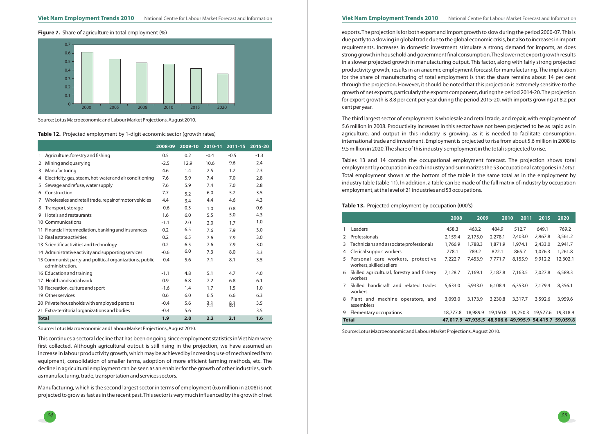#### **Figure 7.** Share of agriculture in total employment (%)



Source: Lotus Macroeconomic and Labour Market Projections, August 2010.

**Table 12.** Projected employment by 1-digit economic sector (growth rates)

exports.The projection is for both export and import growth to slow during the period 2000-07.This is due partly to <sup>a</sup> slowing in global trade due to the global economic crisis, but also to increases in import requirements. Increases in domestic investment stimulate <sup>a</sup> strong demand for imports, as does strong growth in household and government final consumption.The slower net export growth results in <sup>a</sup> slower projected growth in manufacturing output. This factor, along with fairly strong projected productivity growth, results in an anaemic employment forecast for manufacturing. The implication for the share of manufacturing of total employment is that the share remains about <sup>14</sup> per cent through the projection. However, it should be noted that this projection is extremely sensitive to the growth of net exports, particularly the exports component, during the period 2014-20. The projection for export growth is 8.8 per cent per year during the period 2015-20, with imports growing at 8.2 per cent per year.

The third largest sector of employment is wholesale and retail trade, and repair, with employment of 5.6 million in 2008. Productivity increases in this sector have not been projected to be as rapid as in agriculture, and output in this industry is growing, as it is needed to facilitate consumption, international trade and investment. Employment is projected to rise from about 5.6 million in 2008 to 9.5 million in 2020.The share of this industry's employment in the total is projected to rise.

Tables 13 and <sup>14</sup> contain the occupational employment forecast. The projection shows total employment by occupation in each industry and summarizes the 53 occupational categories in *Lotus.* Total employment shown at the bottom of the table is the same total as in the employment by industry table (table 11). In addition, <sup>a</sup> table can be made of the full matrix of industry by occupation employment, at the level of 21 industries and 53 occupations.

|              |                                                                           | 2008-09 | 2009-10 | 2010-11 | 2011-15 | 2015-20 |
|--------------|---------------------------------------------------------------------------|---------|---------|---------|---------|---------|
| 1            | Agriculture, forestry and fishing                                         | 0.5     | 0.2     | $-0.4$  | $-0.5$  | $-1.3$  |
| 2            | Mining and quarrying                                                      | $-2.5$  | 12.9    | 10.6    | 9.6     | 2.4     |
| 3            | Manufacturing                                                             | 4.6     | 1.4     | 2.5     | 1.2     | 2.3     |
| 4            | Electricity, gas, steam, hot-water and air conditioning                   | 7.6     | 5.9     | 7.4     | 7.0     | 2.8     |
| 5            | Sewage and refuse, water supply                                           | 7.6     | 5.9     | 7.4     | 7.0     | 2.8     |
| 6            | Construction                                                              | 7.7     | 5.2     | 6.0     | 5.2     | 3.5     |
| 7            | Wholesales and retail trade, repair of motor vehicles                     | 4.4     | 3.4     | 4.4     | 4.6     | 4.3     |
| 8            | Transport, storage                                                        | $-0.6$  | 0.3     | 1.0     | 0.8     | 0.6     |
| 9            | Hotels and restaurants                                                    | 1.6     | 6.0     | 5.5     | 5.0     | 4.3     |
|              | 10 Communications                                                         | $-1.1$  | 2.0     | 2.0     | 1.7     | 1.0     |
|              | 11 Financial intermediation, banking and insurances                       | 0.2     | 6.5     | 7.6     | 7.9     | 3.0     |
|              | 12 Real estate activities                                                 | 0.2     | 6.5     | 7.6     | 7.9     | 3.0     |
|              | 13 Scientific activities and technology                                   | 0.2     | 6.5     | 7.6     | 7.9     | 3.0     |
|              | 14 Administrative activity and supporting services                        | $-0.6$  | 6.0     | 7.3     | 8.0     | 3.3     |
|              | 15 Communist party and political organizations, public<br>administration. | $-0.4$  | 5.6     | 7.1     | 8.1     | 3.5     |
|              | 16 Education and training                                                 | $-1.1$  | 4.8     | 5.1     | 4.7     | 4.0     |
|              | 17 Health and social work                                                 | 0.9     | 6.8     | 7.2     | 6.8     | 6.1     |
|              | 18 Recreation, culture and sport                                          | $-1.6$  | 1.4     | 1.7     | 1.5     | 1.0     |
|              | 19 Other services                                                         | 0.6     | 6.0     | 6.5     | 6.6     | 6.3     |
|              | 20 Private households with employed persons                               | $-0.4$  | 5.6     | 7:1     | 8:1     | 3.5     |
|              | 21 Extra-territorial organizations and bodies                             | $-0.4$  | 5.6     |         |         | 3.5     |
| <b>Total</b> |                                                                           | 1.9     | 2.0     | 2.2     | 2.1     | 1.6     |

Source: Lotus Macroeconomic and Labour Market Projections, August 2010.

This continues <sup>a</sup> sectoral decline that has been ongoing since employment statistics in Viet Nam were first collected. Although agricultural output is still rising in the projection, we have assumed an increase in labour productivity growth, which may be achieved by increasing use of mechanized farm equipment, consolidation of smaller farms, adoption of more efficient farming methods, etc. The decline in agricultural employment can be seen as an enabler for the growth of other industries, such as manufacturing, trade, transportation and services sectors.

Manufacturing, which is the second largest sector in terms of employment (6.6 million in 2008) is not projected to grow as fast as in the recent past. This sector is very much influenced by the growth of net

#### **Table 13.** Projected employment by occupation (000's)

|               |                                                               | 2008     | 2009                                                  | 2010     | 2011     | 2015     | 2020     |
|---------------|---------------------------------------------------------------|----------|-------------------------------------------------------|----------|----------|----------|----------|
|               | Leaders                                                       | 458.3    | 463.2                                                 | 484.9    | 512.7    | 649.1    | 769.2    |
| $\mathcal{P}$ | Professionals                                                 | 2,159.4  | 2,175.0                                               | 2,278.1  | 2,403.0  | 2,967.8  | 3,561.2  |
| 3             | Technicians and associate professionals                       | 1,766.9  | 1,788.3                                               | 1,871.9  | 1,974.1  | 2,433.0  | 2,941.7  |
| 4             | Clerical support workers                                      | 778.1    | 789.2                                                 | 822.1    | 865.7    | 1.076.3  | 1,261.8  |
| 5             | Personal care workers, protective<br>workers, skilled sellers | 7,222.7  | 7,453.9                                               | 7,771.7  | 8,155.9  | 9,912.2  | 12,302.1 |
| 6             | Skilled agricultural, forestry and fishery<br>workers         | 7,128.7  | 7.169.1                                               | 7.187.8  | 7.163.5  | 7.027.8  | 6,589.3  |
|               | Skilled handicraft and related trades<br>workers              | 5,633.0  | 5,933.0                                               | 6,108.4  | 6,353.0  | 7,179.4  | 8,356.1  |
| 8             | Plant and machine operators, and<br>assemblers                | 3,093.0  | 3,173.9                                               | 3,230.8  | 3,317.7  | 3,592.6  | 3,959.6  |
| 9             | Elementary occupations                                        | 18.777.8 | 18,989.9                                              | 19,150.8 | 19,250.3 | 19,577.6 | 19,318.9 |
|               | <b>Total</b>                                                  |          | 47,017.9 47,935.5 48,906.6 49,995.9 54,415.7 59,059.8 |          |          |          |          |

Source: Lotus Macroeconomic and Labour Market Projections, August 2010.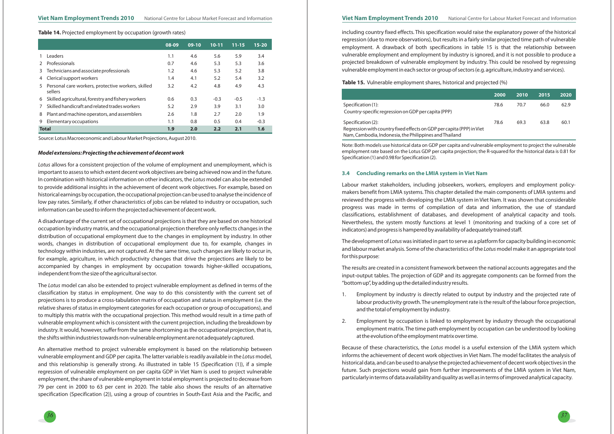

#### *Model extensions: Projecting the achievement of decent work*

*Lotus* allows for <sup>a</sup> consistent projection of the volume of employment and unemployment, which is In combination with historical information on other indicators, the *Lotus* model can also be extended important to assess to which extent decent work objectives are being achieved now and in the future. to provide additional insights in the achievement of decent work objectives. For example, based on historical earnings by occupation, the occupational projection can be used to analyse the incidence of low pay rates. Similarly, if other characteristics of jobs can be related to industry or occupation, such information can be used to inform the projected achievement of decent work.

A disadvantage of the current set of occupational projections is that they are based on one historical occupation by industry matrix, and the occupational projection therefore only reflects changes in the distribution of occupational employment due to the changes in employment by industry. In other words, changes in distribution of occupational employment due to, for example, changes in technology within industries, are not captured. At the same time, such changes are likely to occur in, for example, agriculture, in which productivity changes that drive the projections are likely to be accompanied by changes in employment by occupation towards higher-skilled occupations, independent from the size of the agricultural sector.

The *Lotus* model can also be extended to project vulnerable employment as defined in terms of the classification by status in employment. One way to do this consistently with the current set of projections is to produce <sup>a</sup> cross-tabulation matrix of occupation and status in employment (i.e. the relative shares of status in employment categories for each occupation or group of occupations), and to multiply this matrix with the occupational projection. This method would result in <sup>a</sup> time path of vulnerable employment which is consistent with the current projection, including the breakdown by industry. It would, however, suffer from the same shortcoming as the occupational projection, that is, the shifts within industries towards non-vulnerable employment are not adequately captured.

vulnerable employment and GDP per capita. The latter variable is readily available in the *Lotus* model, An alternative method to project vulnerable employment is based on the relationship between and this relationship is generally strong. As illustrated in table 15 (Specification (1)), if <sup>a</sup> simple regression of vulnerable employment on per capita GDP in Viet Nam is used to project vulnerable employment, the share of vulnerable employment in total employment is projected to decrease from 79 per cent in 2000 to 63 per cent in 2020. The table also shows the results of an alternative specification (Specification (2)), using <sup>a</sup> group of countries in South-East Asia and the Pacific, and

Regression with country fixed effects on GDP per capita (PI Nam, Cambodia, Indonesia, the Philippines andThailand

The development of *Lotus* was initiated in part to serve as a platform for capacity building in economic and labour market analysis. Some of the characteristics of the *Lotus* model make it an appropriate tool for this purpose:

including country fixed effects. This specification would raise the explanatory power of the historical regression (due to more observations), but results in <sup>a</sup> fairly similar projected time path of vulnerable employment. A drawback of both specifications in table 15 is that the relationship between vulnerable employment and employment by industry is ignored, and it is not possible to produce <sup>a</sup> projected breakdown of vulnerable employment by industry. This could be resolved by regressing vulnerable employment in each sector or group of sectors (e.g. agriculture, industry and services).

Because of these characteristics, the *Lotus* model is a useful extension of the LMIA system which informs the achievement of decent work objectives in Viet Nam. The model facilitates the analysis of historical data, and can be used to analyse the projected achievement of decent work objectives in the future. Such projections would gain from further improvements of the LMIA system in Viet Nam, particularly in terms of data availability and quality as well as in terms of improved analytical capacity.

**Table 14.** Projected employment by occupation (growth rates)

Source: Lotus Macroeconomic and Labour Market Projections, August 2010.

|   |                                                               | 08-09 | $09-10$ | $10 - 11$ | $11 - 15$ | $15 - 20$ |
|---|---------------------------------------------------------------|-------|---------|-----------|-----------|-----------|
|   | <b>Leaders</b>                                                | 1.1   | 4.6     | 5.6       | 5.9       | 3.4       |
|   | Professionals                                                 | 0.7   | 4.6     | 5.3       | 5.3       | 3.6       |
| 3 | Technicians and associate professionals                       | 1.2   | 4.6     | 5.3       | 5.2       | 3.8       |
| 4 | Clerical support workers                                      | 1.4   | 4.1     | 5.2       | 5.4       | 3.2       |
| 5 | Personal care workers, protective workers, skilled<br>sellers | 3.2   | 4.2     | 4.8       | 4.9       | 4.3       |
| 6 | Skilled agricultural, forestry and fishery workers            | 0.6   | 0.3     | $-0.3$    | $-0.5$    | $-1.3$    |
|   | Skilled handicraft and related trades workers                 | 5.2   | 2.9     | 3.9       | 3.1       | 3.0       |
| 8 | Plant and machine operators, and assemblers                   | 2.6   | 1.8     | 2.7       | 2.0       | 1.9       |
| 9 | Elementary occupations                                        | 1.1   | 0.8     | 0.5       | 0.4       | $-0.3$    |
|   | <b>Total</b>                                                  | 1.9   | 2.0     | 2.2       | 2.1       | 1.6       |

**Table 15.** Vulnerable employment shares, historical and projected (%)

Specification (1):

Country-specific regression on GDP per capita (PPP)

Specification (2):

|             | 2000 | 2010 | 2015 | 2020 |
|-------------|------|------|------|------|
|             | 78.6 | 70.7 | 66.0 | 62.9 |
| PP) in Viet | 78.6 | 69.3 | 63.8 | 60.1 |

Note: Both models use historical data on GDP per capita and vulnerable employment to project the vulnerable employment rate based on the Lotus GDP per capita projection; the R-squared for the historical data is 0.81 for Specification (1) and 0.98 for Specification (2).

# **3.4 Concluding remarks on the LMIA system in Viet Nam**

Labour market stakeholders, including jobseekers, workers, employers and employment policymakers benefit from LMIA systems. This chapter detailed the main components of LMIA systems and reviewed the progress with developing the LMIA system in Viet Nam. It was shown that considerable progress was made in terms of compilation of data and information, the use of standard classifications, establishment of databases, and development of analytical capacity and tools. Nevertheless, the system mostly functions at level <sup>1</sup> (monitoring and tracking of <sup>a</sup> core set of indicators) and progress is hampered by availability of adequately trained staff.

The results are created in <sup>a</sup> consistent framework between the national accounts aggregates and the input-output tables. The projection of GDP and its aggregate components can be formed from the "bottom up", by adding up the detailed industry results.

labour productivity growth. The unemployment rate is the result of the labour force projection,

- 1. Employment by industry is directly related to output by industry and the projected rate of and the total of employment by industry.
- at the evolution of the employment matrix over time.

2. Employment by occupation is linked to employment by industry through the occupational employment matrix. The time path employment by occupation can be understood by looking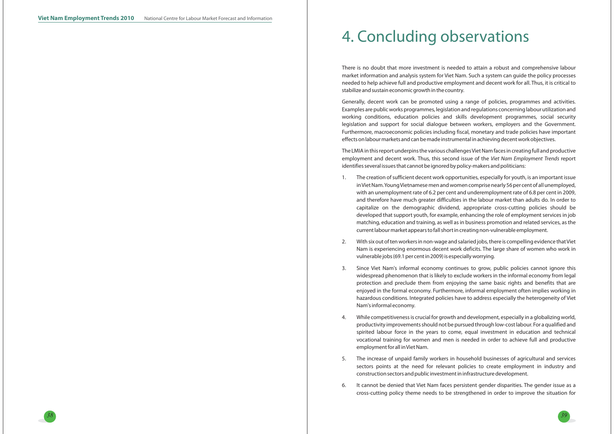

There is no doubt that more investment is needed to attain <sup>a</sup> robust and comprehensive labour market information and analysis system for Viet Nam. Such <sup>a</sup> system can guide the policy processes needed to help achieve full and productive employment and decent work for all. Thus, it is critical to stabilize and sustain economic growth in the country.

Generally, decent work can be promoted using <sup>a</sup> range of policies, programmes and activities. Examples are public works programmes, legislation and regulations concerning labour utilization and working conditions, education policies and skills development programmes, social security legislation and support for social dialogue between workers, employers and the Government. Furthermore, macroeconomic policies including fiscal, monetary and trade policies have important effects on labour markets and can be made instrumental in achieving decent work objectives.

The LMIA in this report underpins the various challengesViet Nam faces in creating full and productive employment and decent work. Thus, this second issue of the Viet Nam Employment Trends report identifies several issues that cannot be ignored by policy-makers and politicians:

inViet Nam.YoungVietnamese men and women comprise nearly 56 per cent of all unemployed, with an unemployment rate of 6.2 per cent and underemployment rate of 6.8 per cent in 2009, and therefore have much greater difficulties in the labour market than adults do. In order to capitalize on the demographic dividend, appropriate cross-cutting policies should be developed that support youth, for example, enhancing the role of employment services in job matching, education and training, as well as in business promotion and related services, as the

Nam is experiencing enormous decent work deficits. The large share of women who work in

- 1. The creation of sufficient decent work opportunities, especially for youth, is an important issue current labour market appears to fall short in creating non-vulnerable employment.
- 2. With six out of ten workers in non-wage and salaried jobs, there is compelling evidence thatViet vulnerable jobs (69.1 per cent in 2009) is especially worrying.
- 3. Since Viet Nam's informal economy continues to grow, public policies cannot ignore this Nam's informal economy.
- 4. While competitiveness is crucial for growth and development, especially in <sup>a</sup> globalizing world, employment for all inViet Nam.
- 5. The increase of unpaid family workers in household businesses of agricultural and services construction sectors and public investment in infrastructure development.
- 6. It cannot be denied that Viet Nam faces persistent gender disparities. The gender issue as <sup>a</sup>

widespread phenomenon that is likely to exclude workers in the informal economy from legal protection and preclude them from enjoying the same basic rights and benefits that are enjoyed in the formal economy. Furthermore, informal employment often implies working in hazardous conditions. Integrated policies have to address especially the heterogeneity of Viet

productivity improvements should not be pursued through low-cost labour. For <sup>a</sup> qualified and spirited labour force in the years to come, equal investment in education and technical vocational training for women and men is needed in order to achieve full and productive

sectors points at the need for relevant policies to create employment in industry and

cross-cutting policy theme needs to be strengthened in order to improve the situation for

# 4. Concluding observations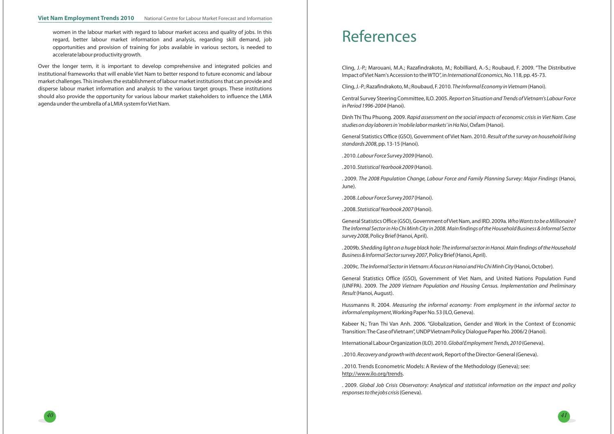General Statistics Office (GSO), Government of Viet Nam. 2010. *Result of the survey on household living standards* 2008, pp. 13-15 (Hanoi).

. 2009. The 2008 Population Change, Labour Force and Family Planning Survey: Major Findings (Hanoi, June).

General Statistics Office (GSO), Government ofViet Nam, and IRD. 2009a. *Who Wants to be a Millionaire?* , Policy Brief (Hanoi, April). *survey 2008* The Informal Sector in Ho Chi Minh City in 2008. Main findings of the Household Business & Informal Sector

. 2009b. Shedding light on a huge black hole: The informal sector in Hanoi. Main findings of the Household *Business* & *Informal Sector survey 2007*, Policy Brief (Hanoi, April).

. 2009c. The Informal Sector in Vietnam: A focus on Hanoi and Ho Chi Minh City (Hanoi, October).

Central Survey Steering Committee, ILO. 2005. *Report on Situation and Trends of Vietnam's Labour Force* (Hanoi). *in Period 1996-2004*

Dinh Thi Thu Phuong. 2009. Rapid assessment on the social impacts of economic crisis in Viet Nam. Case  $s$ tudies on day laborers in 'mobile labor markets' in Ha Noi, Oxfam (Hanoi).

Kabeer N.; Tran Thi Van Anh. 2006. "Globalization, Gender and Work in the Context of Economic Transition:The Case ofVietnam", UNDPVietnam Policy Dialogue Paper No. 2006/2 (Hanoi).

lnternational Labour Organization (ILO). 2010. *Global Employment Trends, 2010* (Geneva).

. 2010. *Recovery and growth with decent work*, Report of the Director-General (Geneva).

. 2010. (Hanoi). *Labour Force Survey 2009*

. 2010. (Hanoi). *Statistical Yearbook 2009*

. 2008. (Hanoi). *Labour Force Survey 2007*

. 2008. (Hanoi). *Statistical Yearbook 2007*

. 2009. Global Job Crisis Observatory: Analytical and statistical information on the impact and policy (Geneva). *responses to the jobs crisis*

General Statistics Office (GSO), Government of Viet Nam, and United Nations Population Fund (UNFPA). 2009. The 2009 Vietnam Population and Housing Census. Implementation and Preliminary (Hanoi, August). *Result*

Hussmanns R. 2004. Measuring the informal economy: From employment in the informal sector to *informal employment*, Working Paper No. 53 (ILO, Geneva).

. 2010. Trends Econometric Models: A Review of the Methodology (Geneva); see: . http://www.ilo.org/trends

women in the labour market with regard to labour market access and quality of jobs. In this regard, better labour market information and analysis, regarding skill demand, job opportunities and provision of training for jobs available in various sectors, is needed to accelerate labour productivity growth.

Over the longer term, it is important to develop comprehensive and integrated policies and institutional frameworks that will enable Viet Nam to better respond to future economic and labour market challenges. This involves the establishment of labour market institutions that can provide and disperse labour market information and analysis to the various target groups. These institutions should also provide the opportunity for various labour market stakeholders to influence the LMIA agenda under the umbrella of <sup>a</sup> LMIA system forViet Nam.

*40*



# References

Cling, J.-P.; Marouani, M.A.; Razafindrakoto, M.; Robilliard, A.-S.; Roubaud, F. 2009. "The Distributive lmpact of Viet Nam's Accession to the WTO", in *International Economics* , No. 118, pp. 45-73.

Cling, J.-P.; Razafindrakoto, M.; Roubaud, F. 2010. *The Informal Economy in Vietnam* (Hanoi).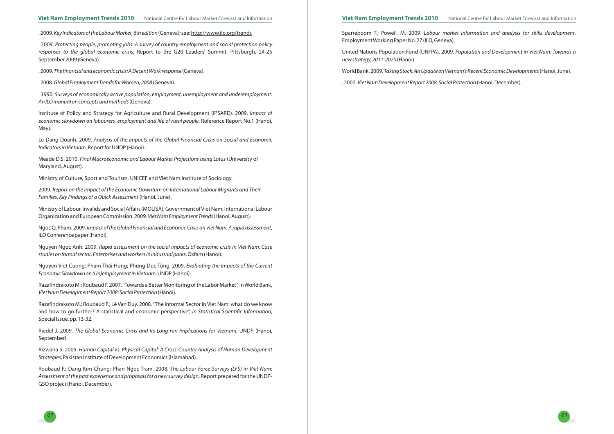

Sparreboom T.; Powell, M. 2009. , *Labour market information and analysis for skills development* EmploymentWorking Paper No. 27 (ILO, Geneva).

United Nations Population Fund (UNFPA). 2009. *Population and Development in Viet Nam: Towards <sup>a</sup>* (Hanoi). *new strategy, 2011-2020*

. 2009. Protecting people, promoting jobs: A survey of country employment and social protection policy  $r$ esponses to the global economic crisis, Report to the G20 Leaders' Summit, Pittsburgh, 24-25 September 2009 (Geneva).

> World Bank. 2009. (Hanoi, June). *Taking Stock: An Update on Vietnam's Recent Economic Developments* . 2007. (Hanoi, December). *Viet Nam Development Report 2008: Social Protection*

 $\,$  Meade D.S. 2010. *Final Macroeconomic and Labour Market Projections using Lotus (University of* Maryland, August).

Ministry of Labour, Invalids and Social Affairs (MOLISA), Government ofViet Nam, International Labour Organization and European Commission. 2009. Viet Nam Employment Trends (Hanoi, August).

Ngoc Q. Pham. 2009. Impact of the Global Financial and Economic Crisis on Viet Nam, A rapid assessment, ILO Conference paper (Hanoi).

Institute of Policy and Strategy for Agriculture and Rural Development (IPSARD). 2009. *Impact of* economic slowdown on labourers, employment and life of rural people, Reference Report No.1 (Hanoi, May).

Le Dang Doanh. 2009. Analysis of the Impacts of the Global Financial Crisis on Social and Economic *Indicators in Vietnam,* Report for UNDP (Hanoi).

Riedel J. 2009. *The Global Economic Crisis and Its Long-run Implications for Vietnam,* UNDP (Hanoi, September).

Rizwana S. 2009. Human Capital vs. Physical Capital: A Cross-Country Analysis of Human Development S*trategies*, Pakistan Institute of Development Economics (Islamabad).

Ministry of Culture, Sport and Tourism, UNICEF and Viet Nam Institute of Sociology.

2009. Report on the Impact of the Economic Downturn on International Labour Migrants and Their (Hanoi, June). *Families. Key Findings of <sup>a</sup> Quick Assessment*

. 2009. (Geneva). *The financial and economic crisis: A Decent Work response*

. 2008. (Geneva). *Global Employment Trends for Women, 2008*

. 1990. *Surveys of economically active population, employment, unemployment and underemployment:* (Geneva). *An ILO manual on concepts and methods*

Nguyen Ngoc Anh. 2009. *Rapid assessment on the social impacts of economic crisis in Viet Nam: Case* , Oxfam (Hanoi). *studies on formal sector: Enterprises and workers in industrial parks*

Razafindrakoto M.; Roubaud F.; Lê Van Duy. 2008."The Informal Sector in Viet Nam: what do we know and how to go further? A statistical and economic perspective", in Statistical Scientific Information, Special Issue, pp. 13-32.

Roubaud F.; Dang Kim Chung; Phan Ngoc Tram. 2008. *The Labour Force Surveys (LFS) in Viet Nam:* Assessment of the past experience and proposals for a new survey design, Report prepared for the UNDP-GSO project (Hanoi, December).

. 2009. (Geneva); see: *Key Indicators of the Labour Market, 6th edition* http://www.ilo.org/trends

Nguyen Viet Cuong; Pham Thái Hung; Phùng Duc Tùng. 2009. *Evaluating the Impacts of the Current* , UNDP (Hanoi). *Economic Slowdown on (Un)employment in Vietnam*

Razafindrakoto M.; Roubaud F. 2007."Towards <sup>a</sup> Better Monitoring of the Labor Market", inWorld Bank, (Hanoi). *Viet Nam Development Report 2008: Social Protection*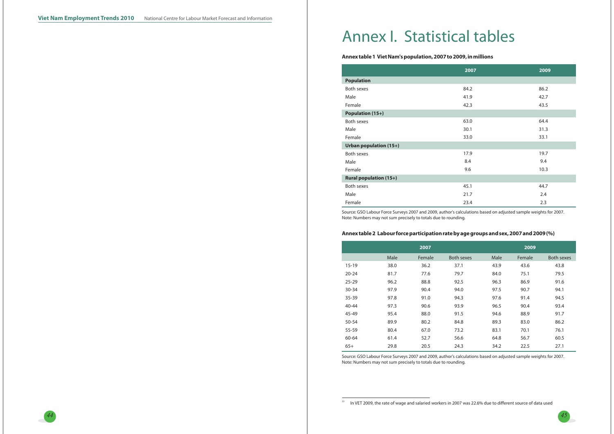

22In VET 2009, the rate of wage and salaried workers in 2007 was 22.6% due to different source of data used

# Annex I. Statistical tables

# **Annex table 1 Viet Nam's population, 2007 to 2009, in millions**

|                               | 2007 | 2009 |
|-------------------------------|------|------|
| <b>Population</b>             |      |      |
| <b>Both sexes</b>             | 84.2 | 86.2 |
| Male                          | 41.9 | 42.7 |
| Female                        | 42.3 | 43.5 |
| <b>Population (15+)</b>       |      |      |
| <b>Both sexes</b>             | 63.0 | 64.4 |
| Male                          | 30.1 | 31.3 |
| Female                        | 33.0 | 33.1 |
| <b>Urban population (15+)</b> |      |      |
| <b>Both sexes</b>             | 17.9 | 19.7 |
| Male                          | 8.4  | 9.4  |
| Female                        | 9.6  | 10.3 |
| <b>Rural population (15+)</b> |      |      |
| Both sexes                    | 45.1 | 44.7 |
| Male                          | 21.7 | 2.4  |
| Female                        | 23.4 | 2.3  |

Source: GSO Labour Force Surveys 2007 and 2009, author's calculations based on adjusted sample weights for 2007. Note: Numbers may not sum precisely to totals due to rounding.

## Annex table 2 Labour force participation rate by age groups and sex, 2007 and 2009 (%)

|           |      | 2007   |            |      | 2009   |            |
|-----------|------|--------|------------|------|--------|------------|
|           | Male | Female | Both sexes | Male | Female | Both sexes |
| $15 - 19$ | 38.0 | 36.2   | 37.1       | 43.9 | 43.6   | 43.8       |
| $20 - 24$ | 81.7 | 77.6   | 79.7       | 84.0 | 75.1   | 79.5       |
| $25 - 29$ | 96.2 | 88.8   | 92.5       | 96.3 | 86.9   | 91.6       |
| $30 - 34$ | 97.9 | 90.4   | 94.0       | 97.5 | 90.7   | 94.1       |
| 35-39     | 97.8 | 91.0   | 94.3       | 97.6 | 91.4   | 94.5       |
| 40-44     | 97.3 | 90.6   | 93.9       | 96.5 | 90.4   | 93.4       |
| 45-49     | 95.4 | 88.0   | 91.5       | 94.6 | 88.9   | 91.7       |
| 50-54     | 89.9 | 80.2   | 84.8       | 89.3 | 83.0   | 86.2       |
| 55-59     | 80.4 | 67.0   | 73.2       | 83.1 | 70.1   | 76.1       |
| 60-64     | 61.4 | 52.7   | 56.6       | 64.8 | 56.7   | 60.5       |
| $65+$     | 29.8 | 20.5   | 24.3       | 34.2 | 22.5   | 27.1       |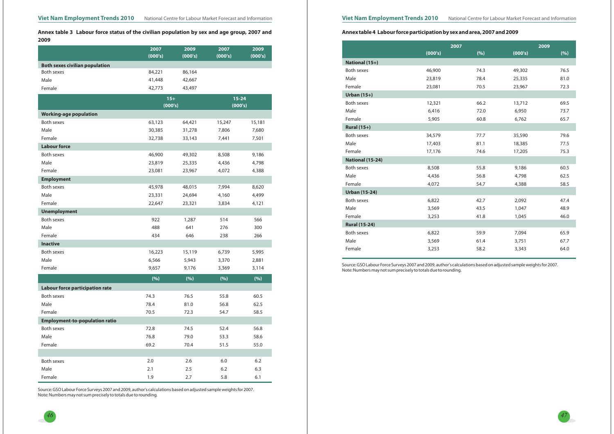

Annex table 3 Labour force status of the civilian population by sex and age group, 2007 and **2009**

|                                        | 2007    | 2009    | 2007      | 2009    |
|----------------------------------------|---------|---------|-----------|---------|
|                                        | (000's) | (000's) | (000's)   | (000's) |
| <b>Both sexes civilian population</b>  |         |         |           |         |
| Both sexes                             | 84,221  | 86,164  |           |         |
| Male                                   | 41,448  | 42,667  |           |         |
| Female                                 | 42,773  | 43,497  |           |         |
|                                        | $15+$   |         | $15 - 24$ |         |
|                                        | (000's) |         | (000's)   |         |
| <b>Working-age population</b>          |         |         |           |         |
| Both sexes                             | 63,123  | 64,421  | 15,247    | 15,181  |
| Male                                   | 30,385  | 31,278  | 7,806     | 7,680   |
| Female                                 | 32,738  | 33,143  | 7,441     | 7,501   |
| <b>Labour force</b>                    |         |         |           |         |
| <b>Both sexes</b>                      | 46,900  | 49,302  | 8,508     | 9,186   |
| Male                                   | 23,819  | 25,335  | 4,436     | 4,798   |
| Female                                 | 23,081  | 23,967  | 4,072     | 4,388   |
| <b>Employment</b>                      |         |         |           |         |
| Both sexes                             | 45,978  | 48,015  | 7,994     | 8,620   |
| Male                                   | 23,331  | 24,694  | 4,160     | 4,499   |
| Female                                 | 22,647  | 23,321  | 3,834     | 4,121   |
| <b>Unemployment</b>                    |         |         |           |         |
| <b>Both sexes</b>                      | 922     | 1,287   | 514       | 566     |
| Male                                   | 488     | 641     | 276       | 300     |
| Female                                 | 434     | 646     | 238       | 266     |
| <b>Inactive</b>                        |         |         |           |         |
| Both sexes                             | 16,223  | 15,119  | 6,739     | 5,995   |
| Male                                   | 6,566   | 5,943   | 3,370     | 2,881   |
| Female                                 | 9,657   | 9,176   | 3,369     | 3,114   |
|                                        | (%)     | (%)     | (%)       | (%)     |
| <b>Labour force participation rate</b> |         |         |           |         |
| <b>Both sexes</b>                      | 74.3    | 76.5    | 55.8      | 60.5    |
| Male                                   | 78.4    | 81.0    | 56.8      | 62.5    |
| Female                                 | 70.5    | 72.3    | 54.7      | 58.5    |
| <b>Employment-to-population ratio</b>  |         |         |           |         |
| Both sexes                             | 72.8    | 74.5    | 52.4      | 56.8    |
| Male                                   | 76.8    | 79.0    | 53.3      | 58.6    |
| Female                                 | 69.2    | 70.4    | 51.5      | 55.0    |
|                                        |         |         |           |         |
| Both sexes                             | 2.0     | 2.6     | 6.0       | 6.2     |
| Male                                   | 2.1     | 2.5     | 6.2       | 6.3     |
| Female                                 | 1.9     | 2.7     | 5.8       | 6.1     |

Source: GSO Labour Force Surveys 2007 and 2009, author's calculations based on adjusted sample weights for 2007. Note: Numbers may not sum precisely to totals due to rounding.

# Annex table 4 Labour force participation by sex and area, 2007 and 2009

|                      |         | 2007 |         | 2009 |
|----------------------|---------|------|---------|------|
|                      | (000's) | (%)  | (000's) | (%)  |
| National (15+)       |         |      |         |      |
| <b>Both sexes</b>    | 46,900  | 74.3 | 49,302  | 76.5 |
| Male                 | 23,819  | 78.4 | 25,335  | 81.0 |
| Female               | 23,081  | 70.5 | 23,967  | 72.3 |
| Urban $(15+)$        |         |      |         |      |
| Both sexes           | 12,321  | 66.2 | 13,712  | 69.5 |
| Male                 | 6,416   | 72.0 | 6,950   | 73.7 |
| Female               | 5,905   | 60.8 | 6,762   | 65.7 |
| <b>Rural (15+)</b>   |         |      |         |      |
| <b>Both sexes</b>    | 34,579  | 77.7 | 35,590  | 79.6 |
| Male                 | 17,403  | 81.1 | 18,385  | 77.5 |
| Female               | 17,176  | 74.6 | 17,205  | 75.3 |
| National (15-24)     |         |      |         |      |
| <b>Both sexes</b>    | 8,508   | 55.8 | 9,186   | 60.5 |
| Male                 | 4,436   | 56.8 | 4,798   | 62.5 |
| Female               | 4,072   | 54.7 | 4,388   | 58.5 |
| <b>Urban (15-24)</b> |         |      |         |      |
| <b>Both sexes</b>    | 6,822   | 42.7 | 2,092   | 47.4 |
| Male                 | 3,569   | 43.5 | 1,047   | 48.9 |
| Female               | 3,253   | 41.8 | 1,045   | 46.0 |
| <b>Rural (15-24)</b> |         |      |         |      |
| <b>Both sexes</b>    | 6,822   | 59.9 | 7,094   | 65.9 |
| Male                 | 3,569   | 61.4 | 3,751   | 67.7 |
| Female               | 3,253   | 58.2 | 3,343   | 64.0 |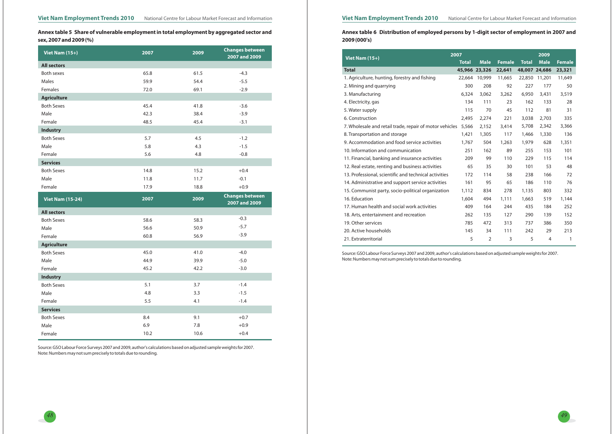

Annex table 5 Share of vulnerable employment in total employment by aggregated sector and **sex, 2007 and 2009 (%)**

# Annex table 6 Distribution of employed persons by 1-digit sector of employment in 2007 and **2009 (000's)**

| Viet Nam (15+)          | 2007 | 2009    | <b>Changes between</b><br>2007 and 2009 |
|-------------------------|------|---------|-----------------------------------------|
| <b>All sectors</b>      |      |         |                                         |
| Both sexes              | 65.8 | 61.5    | $-4.3$                                  |
| Males                   | 59.9 | 54.4    | $-5.5$                                  |
| Females                 | 72.0 | 69.1    | $-2.9$                                  |
| <b>Agriculture</b>      |      |         |                                         |
| <b>Both Sexes</b>       | 45.4 | 41.8    | $-3.6$                                  |
| Male                    | 42.3 | 38.4    | $-3.9$                                  |
| Female                  | 48.5 | 45.4    | $-3.1$                                  |
| <b>Industry</b>         |      |         |                                         |
| <b>Both Sexes</b>       | 5.7  | 4.5     | $-1.2$                                  |
| Male                    | 5.8  | 4.3     | $-1.5$                                  |
| Female                  | 5.6  | 4.8     | $-0.8$                                  |
| <b>Services</b>         |      |         |                                         |
| <b>Both Sexes</b>       | 14.8 | 15.2    | $+0.4$                                  |
| Male                    | 11.8 | 11.7    | $-0.1$                                  |
| Female                  | 17.9 | 18.8    | $+0.9$                                  |
|                         |      |         |                                         |
| <b>Viet Nam (15-24)</b> | 2007 | 2009    | <b>Changes between</b><br>2007 and 2009 |
| <b>All sectors</b>      |      |         |                                         |
| <b>Both Sexes</b>       | 58.6 | 58.3    | $-0.3$                                  |
| Male                    | 56.6 | 50.9    | $-5.7$                                  |
| Female                  | 60.8 | 56.9    | $-3.9$                                  |
| <b>Agriculture</b>      |      |         |                                         |
| <b>Both Sexes</b>       | 45.0 | 41.0    | $-4.0$                                  |
| Male                    | 44.9 | 39.9    | $-5.0$                                  |
| Female                  | 45.2 | 42.2    | $-3.0$                                  |
| <b>Industry</b>         |      |         |                                         |
| <b>Both Sexes</b>       | 5.1  | 3.7     | $-1.4$                                  |
| Male                    | 4.8  | 3.3     | $-1.5$                                  |
| Female                  | 5.5  | 4.1     | $-1.4$                                  |
| <b>Services</b>         |      |         |                                         |
| <b>Both Sexes</b>       | 8.4  | 9.1     | $+0.7$                                  |
| Male                    | 6.9  | $7.8\,$ | $+0.9$                                  |

| Viet Nam $(15+)$                                        | 2007         |                |               |              | 2009           |               |
|---------------------------------------------------------|--------------|----------------|---------------|--------------|----------------|---------------|
|                                                         | <b>Total</b> | <b>Male</b>    | <b>Female</b> | <b>Total</b> | <b>Male</b>    | <b>Female</b> |
| <b>Total</b>                                            |              | 45,966 23,326  | 22,641        |              | 48,007 24,686  | 23,321        |
| 1. Agriculture, hunting, forestry and fishing           | 22,664       | 10,999         | 11,665        | 22,850       | 11,201         | 11,649        |
| 2. Mining and quarrying                                 | 300          | 208            | 92            | 227          | 177            | 50            |
| 3. Manufacturing                                        | 6,324        | 3,062          | 3,262         | 6,950        | 3,431          | 3,519         |
| 4. Electricity, gas                                     | 134          | 111            | 23            | 162          | 133            | 28            |
| 5. Water supply                                         | 115          | 70             | 45            | 112          | 81             | 31            |
| 6. Construction                                         | 2,495        | 2,274          | 221           | 3,038        | 2,703          | 335           |
| 7. Wholesale and retail trade, repair of motor vehicles | 5,566        | 2,152          | 3,414         | 5,708        | 2,342          | 3,366         |
| 8. Transportation and storage                           | 1,421        | 1,305          | 117           | 1,466        | 1,330          | 136           |
| 9. Accommodation and food service activities            | 1,767        | 504            | 1,263         | 1,979        | 628            | 1,351         |
| 10. Information and communication                       | 251          | 162            | 89            | 255          | 153            | 101           |
| 11. Financial, banking and insurance activities         | 209          | 99             | 110           | 229          | 115            | 114           |
| 12. Real estate, renting and business activities        | 65           | 35             | 30            | 101          | 53             | 48            |
| 13. Professional, scientific and technical activities   | 172          | 114            | 58            | 238          | 166            | 72            |
| 14. Administrative and support service activities       | 161          | 95             | 65            | 186          | 110            | 76            |
| 15. Communist party, socio-political organization       | 1,112        | 834            | 278           | 1,135        | 803            | 332           |
| 16. Education                                           | 1,604        | 494            | 1,111         | 1,663        | 519            | 1,144         |
| 17. Human health and social work activities             | 409          | 164            | 244           | 435          | 184            | 252           |
| 18. Arts, entertainment and recreation                  | 262          | 135            | 127           | 290          | 139            | 152           |
| 19. Other services                                      | 785          | 472            | 313           | 737          | 386            | 350           |
| 20. Active households                                   | 145          | 34             | 111           | 242          | 29             | 213           |
| 21. Extraterritorial                                    | 5            | $\overline{2}$ | 3             | 5            | $\overline{4}$ | 1             |

Source: GSO Labour Force Surveys 2007 and 2009, author's calculations based on adjusted sample weights for 2007. Note: Numbers may not sum precisely to totals due to rounding.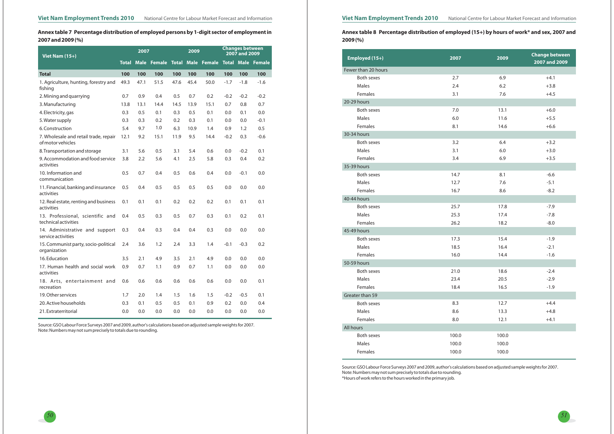

Annex table 7 Percentage distribution of employed persons by 1-digit sector of employment in **2007 and 2009 (%)**

# Annex table 8 Percentage distribution of employed (15+) by hours of work\* and sex, 2007 and **2009 (%)**

| <b>Viet Nam (15+)</b>                                      | 2007         |      | 2009               |              | <b>Changes between</b><br>2007 and 2009 |                               |        |        |        |
|------------------------------------------------------------|--------------|------|--------------------|--------------|-----------------------------------------|-------------------------------|--------|--------|--------|
|                                                            | <b>Total</b> |      | <b>Male Female</b> | <b>Total</b> |                                         | Male Female Total Male Female |        |        |        |
| <b>Total</b>                                               | 100          | 100  | 100                | 100          | 100                                     | 100                           | 100    | 100    | 100    |
| 1. Agriculture, hunting, forestry and<br>fishing           | 49.3         | 47.1 | 51.5               | 47.6         | 45.4                                    | 50.0                          | $-1.7$ | $-1.8$ | $-1.6$ |
| 2. Mining and quarrying                                    | 0.7          | 0.9  | 0.4                | 0.5          | 0.7                                     | 0.2                           | $-0.2$ | $-0.2$ | $-0.2$ |
| 3. Manufacturing                                           | 13.8         | 13.1 | 14.4               | 14.5         | 13.9                                    | 15.1                          | 0.7    | 0.8    | 0.7    |
| 4. Electricity, gas                                        | 0.3          | 0.5  | 0.1                | 0.3          | 0.5                                     | 0.1                           | 0.0    | 0.1    | 0.0    |
| 5. Water supply                                            | 0.3          | 0.3  | 0.2                | 0.2          | 0.3                                     | 0.1                           | 0.0    | 0.0    | $-0.1$ |
| 6. Construction                                            | 5.4          | 9.7  | 1.0                | 6.3          | 10.9                                    | 1.4                           | 0.9    | 1.2    | 0.5    |
| 7. Wholesale and retail trade, repair<br>of motor vehicles | 12.1         | 9.2  | 15.1               | 11.9         | 9.5                                     | 14.4                          | $-0.2$ | 0.3    | $-0.6$ |
| 8. Transportation and storage                              | 3.1          | 5.6  | 0.5                | 3.1          | 5.4                                     | 0.6                           | 0.0    | $-0.2$ | 0.1    |
| 9. Accommodation and food service<br>activities            | 3.8          | 2.2  | 5.6                | 4.1          | 2.5                                     | 5.8                           | 0.3    | 0.4    | 0.2    |
| 10. Information and<br>communication                       | 0.5          | 0.7  | 0.4                | 0.5          | 0.6                                     | 0.4                           | 0.0    | $-0.1$ | 0.0    |
| 11. Financial, banking and insurance<br>activities         | 0.5          | 0.4  | 0.5                | 0.5          | 0.5                                     | 0.5                           | 0.0    | 0.0    | 0.0    |
| 12. Real estate, renting and business<br>activities        | 0.1          | 0.1  | 0.1                | 0.2          | 0.2                                     | 0.2                           | 0.1    | 0.1    | 0.1    |
| 13. Professional, scientific and<br>technical activities   | 0.4          | 0.5  | 0.3                | 0.5          | 0.7                                     | 0.3                           | 0.1    | 0.2    | 0.1    |
| 14. Administrative and support<br>service activities       | 0.3          | 0.4  | 0.3                | 0.4          | 0.4                                     | 0.3                           | 0.0    | 0.0    | 0.0    |
| 15. Communist party, socio-political<br>organization       | 2.4          | 3.6  | 1.2                | 2.4          | 3.3                                     | 1.4                           | $-0.1$ | $-0.3$ | 0.2    |
| 16. Education                                              | 3.5          | 2.1  | 4.9                | 3.5          | 2.1                                     | 4.9                           | 0.0    | 0.0    | 0.0    |
| 17. Human health and social work<br>activities             | 0.9          | 0.7  | 1.1                | 0.9          | 0.7                                     | 1.1                           | 0.0    | 0.0    | 0.0    |
| 18. Arts, entertainment and<br>recreation                  | 0.6          | 0.6  | 0.6                | 0.6          | 0.6                                     | 0.6                           | 0.0    | 0.0    | 0.1    |
| 19. Other services                                         | 1.7          | 2.0  | 1.4                | 1.5          | 1.6                                     | 1.5                           | $-0.2$ | $-0.5$ | 0.1    |
| 20. Active households                                      | 0.3          | 0.1  | 0.5                | 0.5          | 0.1                                     | 0.9                           | 0.2    | 0.0    | 0.4    |
| 21. Extraterritorial                                       | 0.0          | 0.0  | 0.0                | 0.0          | 0.0                                     | 0.0                           | 0.0    | 0.0    | 0.0    |

Source: GSO Labour Force Surveys 2007 and 2009, author's calculations based on adjusted sample weights for 2007. Note: Numbers may not sum precisely to totals due to rounding. \*Hours of work refers to the hours worked in the primary job.

| Employed (15+)      | 2007  | 2009  | <b>Change between</b><br>2007 and 2009 |
|---------------------|-------|-------|----------------------------------------|
| Fewer than 20 hours |       |       |                                        |
| Both sexes          | 2.7   | 6.9   | $+4.1$                                 |
| Males               | 2.4   | 6.2   | $+3.8$                                 |
| Females             | 3.1   | 7.6   | $+4.5$                                 |
| 20-29 hours         |       |       |                                        |
| Both sexes          | 7.0   | 13.1  | $+6.0$                                 |
| Males               | 6.0   | 11.6  | $+5.5$                                 |
| Females             | 8.1   | 14.6  | $+6.6$                                 |
| 30-34 hours         |       |       |                                        |
| <b>Both sexes</b>   | 3.2   | 6.4   | $+3.2$                                 |
| Males               | 3.1   | 6.0   | $+3.0$                                 |
| Females             | 3.4   | 6.9   | $+3.5$                                 |
| 35-39 hours         |       |       |                                        |
| Both sexes          | 14.7  | 8.1   | $-6.6$                                 |
| Males               | 12.7  | 7.6   | $-5.1$                                 |
| Females             | 16.7  | 8.6   | $-8.2$                                 |
| 40-44 hours         |       |       |                                        |
| <b>Both sexes</b>   | 25.7  | 17.8  | $-7.9$                                 |
| Males               | 25.3  | 17.4  | $-7.8$                                 |
| Females             | 26.2  | 18.2  | $-8.0$                                 |
| 45-49 hours         |       |       |                                        |
| Both sexes          | 17.3  | 15.4  | $-1.9$                                 |
| Males               | 18.5  | 16.4  | $-2.1$                                 |
| Females             | 16.0  | 14.4  | $-1.6$                                 |
| 50-59 hours         |       |       |                                        |
| Both sexes          | 21.0  | 18.6  | $-2.4$                                 |
| Males               | 23.4  | 20.5  | $-2.9$                                 |
| Females             | 18.4  | 16.5  | $-1.9$                                 |
| Greater than 59     |       |       |                                        |
| Both sexes          | 8.3   | 12.7  | $+4.4$                                 |
| Males               | 8.6   | 13.3  | $+4.8$                                 |
| Females             | 8.0   | 12.1  | $+4.1$                                 |
| All hours           |       |       |                                        |
| <b>Both sexes</b>   | 100.0 | 100.0 |                                        |
| Males               | 100.0 | 100.0 |                                        |
| Females             | 100.0 | 100.0 |                                        |
|                     |       |       |                                        |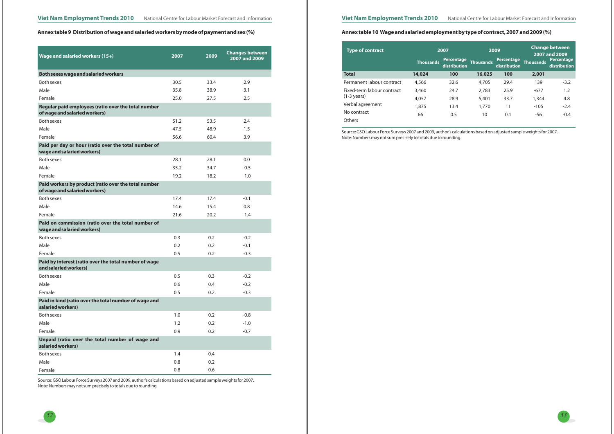## Annex table 9 Distribution of wage and salaried workers by mode of payment and sex (%)

*52*

# Annex table 10 Wage and salaried employment by type of contract, 2007 and 2009 (%)



| Wage and salaried workers (15+)                                                       | 2007 | 2009          | <b>Changes between</b><br>2007 and 2009 |
|---------------------------------------------------------------------------------------|------|---------------|-----------------------------------------|
| <b>Both sexes wage and salaried workers</b>                                           |      |               |                                         |
| Both sexes                                                                            | 30.5 | 33.4          | 2.9                                     |
| Male                                                                                  | 35.8 | 38.9          | 3.1                                     |
| Female                                                                                | 25.0 | 27.5          | 2.5                                     |
| Regular paid employees (ratio over the total number<br>of wage and salaried workers)  |      |               |                                         |
| <b>Both sexes</b>                                                                     | 51.2 | 53.5          | 2.4                                     |
| Male                                                                                  | 47.5 | 48.9          | 1.5                                     |
| Female                                                                                | 56.6 | 60.4          | 3.9                                     |
| Paid per day or hour (ratio over the total number of<br>wage and salaried workers)    |      |               |                                         |
| <b>Both sexes</b>                                                                     | 28.1 | 28.1          | 0.0                                     |
| Male                                                                                  | 35.2 | 34.7          | $-0.5$                                  |
| Female                                                                                | 19.2 | 18.2          | $-1.0$                                  |
| Paid workers by product (ratio over the total number<br>of wage and salaried workers) |      |               |                                         |
| <b>Both sexes</b>                                                                     | 17.4 | 17.4          | $-0.1$                                  |
| Male                                                                                  | 14.6 | 15.4          | 0.8                                     |
| Female                                                                                | 21.6 | 20.2          | $-1.4$                                  |
| Paid on commission (ratio over the total number of<br>wage and salaried workers)      |      |               |                                         |
| <b>Both sexes</b>                                                                     | 0.3  | $0.2^{\circ}$ | $-0.2$                                  |
| Male                                                                                  | 0.2  | 0.2           | $-0.1$                                  |
| Female                                                                                | 0.5  | 0.2           | $-0.3$                                  |
| Paid by interest (ratio over the total number of wage<br>and salaried workers)        |      |               |                                         |
| <b>Both sexes</b>                                                                     | 0.5  | 0.3           | $-0.2$                                  |
| Male                                                                                  | 0.6  | 0.4           | $-0.2$                                  |
| Female                                                                                | 0.5  | 0.2           | $-0.3$                                  |
| Paid in kind (ratio over the total number of wage and<br>salaried workers)            |      |               |                                         |
| Both sexes                                                                            | 1.0  | 0.2           | $-0.8$                                  |
| Male                                                                                  | 1.2  | 0.2           | $-1.0$                                  |
| Female                                                                                | 0.9  | 0.2           | $-0.7$                                  |
| Unpaid (ratio over the total number of wage and<br>salaried workers)                  |      |               |                                         |
| Both sexes                                                                            | 1.4  | 0.4           |                                         |
| Male                                                                                  | 0.8  | 0.2           |                                         |
| Female                                                                                | 0.8  | 0.6           |                                         |

| <b>Type of contract</b>    |                  | 2007                              |           | 2009                       |                  | <b>Change between</b><br>2007 and 2009 |  |
|----------------------------|------------------|-----------------------------------|-----------|----------------------------|------------------|----------------------------------------|--|
|                            | <b>Thousands</b> | <b>Percentage</b><br>distribution | Thousands | Percentage<br>distribution | <b>Thousands</b> | Percenta<br>distributi                 |  |
| <b>Total</b>               | 14,024           | 100                               | 16,025    | 100                        | 2,001            |                                        |  |
| Permanent labour contract  | 4,566            | 32.6                              | 4,705     | 29.4                       | 139              | $-3.2$                                 |  |
| Fixed-term labour contract | 3,460            | 24.7                              | 2,783     | 25.9                       | $-677$           | 1.2                                    |  |
| $(1-3 \text{ years})$      | 4,057            | 28.9                              | 5,401     | 33.7                       | 1,344            | 4.8                                    |  |
| Verbal agreement           | 1,875            | 13.4                              | 1,770     | 11                         | $-105$           | $-2.4$                                 |  |
| No contract                | 66               | 0.5                               | 10        | 0.1                        | -56              | $-0.4$                                 |  |
| <b>Others</b>              |                  |                                   |           |                            |                  |                                        |  |

Source: GSO Labour Force Surveys 2007 and 2009, author's calculations based on adjusted sample weights for 2007. Note: Numbers may not sum precisely to totals due to rounding.

Source: GSO Labour Force Surveys 2007 and 2009, author's calculations based on adjusted sample weights for 2007. Note: Numbers may not sum precisely to totals due to rounding.

#### **Thousands Percentage distribution Thousands Percentage distribution 16,025** 4,705 2,783 5,401 1,770 10 **100** 29.4 25.9 33.7 11 0.1 **2,001** 139 -677 1,344 -105 -56 -3.2 1.2 4.8 -2.4 -0.4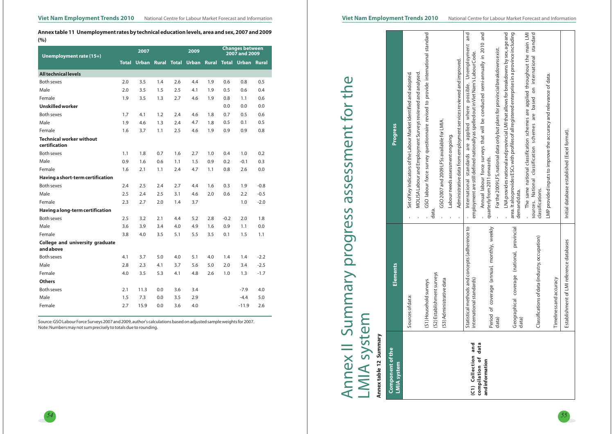

# Annex table 11 Unemployment rates by technical education levels, area and sex, 2007 and 2009 **(%)**

| Unemployment rate (15+)                      |              | 2007         |     |     | 2009                     |     |        | <b>Changes between</b><br>2007 and 2009 |        |
|----------------------------------------------|--------------|--------------|-----|-----|--------------------------|-----|--------|-----------------------------------------|--------|
|                                              | <b>Total</b> | <b>Urban</b> |     |     | <b>Rural Total Urban</b> |     |        | <b>Rural Total Urban Rural</b>          |        |
| <b>All technical levels</b>                  |              |              |     |     |                          |     |        |                                         |        |
| <b>Both sexes</b>                            | 2.0          | 3.5          | 1.4 | 2.6 | 4.4                      | 1.9 | 0.6    | 0.8                                     | 0.5    |
| Male                                         | 2.0          | 3.5          | 1.5 | 2.5 | 4.1                      | 1.9 | 0.5    | 0.6                                     | 0.4    |
| Female                                       | 1.9          | 3.5          | 1.3 | 2.7 | 4.6                      | 1.9 | 0.8    | 1.1                                     | 0.6    |
| <b>Unskilled worker</b>                      |              |              |     |     |                          |     | 0.0    | 0.0                                     | 0.0    |
| <b>Both sexes</b>                            | 1.7          | 4.1          | 1.2 | 2.4 | 4.6                      | 1.8 | 0.7    | 0.5                                     | 0.6    |
| Male                                         | 1.9          | 4.6          | 1.3 | 2.4 | 4.7                      | 1.8 | 0.5    | 0.1                                     | 0.5    |
| Female                                       | 1.6          | 3.7          | 1.1 | 2.5 | 4.6                      | 1.9 | 0.9    | 0.9                                     | 0.8    |
| Technical worker without<br>certification    |              |              |     |     |                          |     |        |                                         |        |
| <b>Both sexes</b>                            | 1.1          | 1.8          | 0.7 | 1.6 | 2.7                      | 1.0 | 0.4    | 1.0                                     | 0.2    |
| Male                                         | 0.9          | 1.6          | 0.6 | 1.1 | 1.5                      | 0.9 | 0.2    | $-0.1$                                  | 0.3    |
| Female                                       | 1.6          | 2.1          | 1.1 | 2.4 | 4.7                      | 1.1 | 0.8    | 2.6                                     | 0.0    |
| Having a short-term certification            |              |              |     |     |                          |     |        |                                         |        |
| <b>Both sexes</b>                            | 2.4          | 2.5          | 2.4 | 2.7 | 4.4                      | 1.6 | 0.3    | 1.9                                     | $-0.8$ |
| Male                                         | 2.5          | 2.4          | 2.5 | 3.1 | 4.6                      | 2.0 | 0.6    | 2.2                                     | $-0.5$ |
| Female                                       | 2.3          | 2.7          | 2.0 | 1.4 | 3.7                      |     |        | 1.0                                     | $-2.0$ |
| Having a long-term certification             |              |              |     |     |                          |     |        |                                         |        |
| <b>Both sexes</b>                            | 2.5          | 3.2          | 2.1 | 4.4 | 5.2                      | 2.8 | $-0.2$ | 2.0                                     | 1.8    |
| Male                                         | 3.6          | 3.9          | 3.4 | 4.0 | 4.9                      | 1.6 | 0.9    | 1.1                                     | 0.0    |
| Female                                       | 3.8          | 4.0          | 3.5 | 5.1 | 5.5                      | 3.5 | 0.1    | 1.5                                     | 1.1    |
| College and university graduate<br>and above |              |              |     |     |                          |     |        |                                         |        |
| <b>Both sexes</b>                            | 4.1          | 3.7          | 5.0 | 4.0 | 5.1                      | 4.0 | 1.4    | 1.4                                     | $-2.2$ |
| Male                                         | 2.8          | 2.3          | 4.1 | 3.7 | 5.6                      | 5.0 | 2.0    | 3.4                                     | $-2.5$ |
| Female                                       | 4.0          | 3.5          | 5.3 | 4.1 | 4.8                      | 2.6 | 1.0    | 1.3                                     | $-1.7$ |
| <b>Others</b>                                |              |              |     |     |                          |     |        |                                         |        |
| <b>Both sexes</b>                            | 2.1          | 11.3         | 0.0 | 3.6 | 3.4                      |     |        | $-7.9$                                  | 4.0    |
| Male                                         | 1.5          | 7.3          | 0.0 | 3.5 | 2.9                      |     |        | $-4.4$                                  | 5.0    |
| Female                                       | 2.7          | 15.9         | 0.0 | 3.6 | 4.0                      |     |        | $-11.9$                                 | 2.6    |

# assessment for the Annex II Summary progress assessment for the Annex II Summary progress LMIA system

| Annex table 12 Summary                    |                                                                            |                                                                                                                                                                                                        |
|-------------------------------------------|----------------------------------------------------------------------------|--------------------------------------------------------------------------------------------------------------------------------------------------------------------------------------------------------|
| Component of the<br><b>LMIA system</b>    | <b>Elements</b>                                                            | Progress                                                                                                                                                                                               |
|                                           | Sources of data:                                                           | MOLISA Labour and Employment Surveys reviewed and analysed.<br>Set of Key Indicators of the Labour Market identified and adopted.<br>1                                                                 |
|                                           | (S2) Establishment surveys<br>(S1) Household surveys                       | GSO labour force survey questionnaire revised to provide international standard<br>data.                                                                                                               |
|                                           | (S3) Administrative data                                                   | GSO 2007 and 2009 LFSs available for LMIA.<br>Labour needs assessment ongoing.<br>ı,                                                                                                                   |
|                                           |                                                                            | Administrative data from employment services reviewed and improved.                                                                                                                                    |
| and<br>(C1) Collection                    | Statistical methods and concepts (adherence to<br>international standards) | and<br>possible. Unemployment<br>employment are still defined nationally as spelled out in Viet Nam's Labour Code.<br>International standards are applied where<br>$\mathbf{I}$                        |
| data<br>compilation of<br>and information | Period of coverage (annual, monthly, weekly                                | Annual labour force surveys that will be conducted semi-annually in 2010 and<br>quarterly from 2011 onwards.                                                                                           |
|                                           | data)                                                                      | For the 2009 LFS, national data only but plans for provincial breakdowns exist.                                                                                                                        |
|                                           | Geographical coverage (national, provincial<br>data)                       | area. It also provides ESCs with profiles of all registered enterprises in a province including<br>LNA provides national and provincial LMI that allows for breakdowns by sex, age and<br>demand data. |
|                                           | occupation)<br>Classifications of data (industry,                          | The same national classification schemes are applied throughout the main LMI<br>sources. National classification schemes are based on international standard<br>classifications.                       |
|                                           | Timeliness and accuracy                                                    | LMP provided inputs to improve the accuracy and relevance of data.                                                                                                                                     |
|                                           | Establishment of LMI reference databases                                   | Initial database established (Excel format).                                                                                                                                                           |